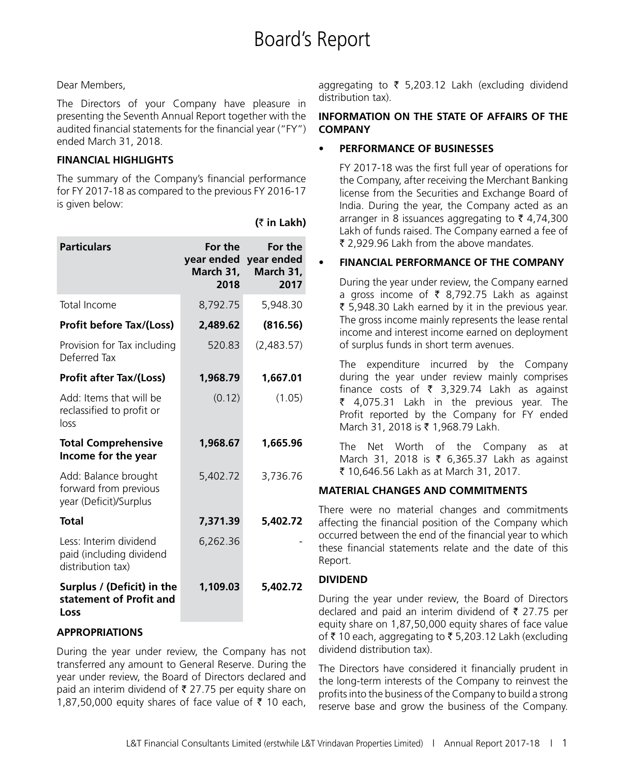### Dear Members,

The Directors of your Company have pleasure in presenting the Seventh Annual Report together with the audited financial statements for the financial year ("FY") ended March 31, 2018.

### **FINANCIAL HIGHLIGHTS**

The summary of the Company's financial performance for FY 2017-18 as compared to the previous FY 2016-17 is given below:

| <b>Particulars</b>                                                      | For the<br>March 31,<br>2018 | For the<br>year ended year ended<br>March 31,<br>2017 |
|-------------------------------------------------------------------------|------------------------------|-------------------------------------------------------|
| Total Income                                                            | 8,792.75                     | 5,948.30                                              |
| <b>Profit before Tax/(Loss)</b>                                         | 2,489.62                     | (816.56)                                              |
| Provision for Tax including<br>Deferred Tax                             | 520.83                       | (2,483.57)                                            |
| <b>Profit after Tax/(Loss)</b>                                          | 1,968.79                     | 1,667.01                                              |
| Add: Items that will be<br>reclassified to profit or<br>loss            | (0.12)                       | (1.05)                                                |
| <b>Total Comprehensive</b><br>Income for the year                       | 1,968.67                     | 1,665.96                                              |
| Add: Balance brought<br>forward from previous<br>year (Deficit)/Surplus | 5,402.72                     | 3,736.76                                              |
| <b>Total</b>                                                            | 7,371.39                     | 5,402.72                                              |
| Less: Interim dividend<br>paid (including dividend<br>distribution tax) | 6,262.36                     |                                                       |
| Surplus / (Deficit) in the<br>statement of Profit and<br>Loss           | 1,109.03                     | 5,402.72                                              |

#### **(**` **in Lakh)**

aggregating to  $\bar{\tau}$  5,203.12 Lakh (excluding dividend distribution tax).

### **INFORMATION ON THE STATE OF AFFAIRS OF THE COMPANY**

### **PERFORMANCE OF BUSINESSES**

FY 2017-18 was the first full year of operations for the Company, after receiving the Merchant Banking license from the Securities and Exchange Board of India. During the year, the Company acted as an arranger in 8 issuances aggregating to  $\bar{\tau}$  4,74,300 Lakh of funds raised. The Company earned a fee of ₹ 2.929.96 Lakh from the above mandates.

### **FINANCIAL PERFORMANCE OF THE COMPANY**

During the year under review, the Company earned a gross income of  $\bar{\tau}$  8,792.75 Lakh as against ₹ 5,948.30 Lakh earned by it in the previous year. The gross income mainly represents the lease rental income and interest income earned on deployment of surplus funds in short term avenues.

The expenditure incurred by the Company during the year under review mainly comprises finance costs of  $\bar{\tau}$  3,329.74 Lakh as against  $\bar{\tau}$  4,075.31 Lakh in the previous year. The Profit reported by the Company for FY ended March 31, 2018 is ₹ 1,968.79 Lakh.

The Net Worth of the Company as at March 31, 2018 is ₹ 6,365.37 Lakh as against ` 10,646.56 Lakh as at March 31, 2017.

### **MATERIAL CHANGES AND COMMITMENTS**

There were no material changes and commitments affecting the financial position of the Company which occurred between the end of the financial year to which these financial statements relate and the date of this Report.

### **DIVIDEND**

During the year under review, the Board of Directors declared and paid an interim dividend of  $\bar{\tau}$  27.75 per equity share on 1,87,50,000 equity shares of face value of ₹ 10 each, aggregating to ₹ 5,203.12 Lakh (excluding dividend distribution tax).

The Directors have considered it financially prudent in the long-term interests of the Company to reinvest the profits into the business of the Company to build a strong reserve base and grow the business of the Company.

### **APPROPRIATIONS**

During the year under review, the Company has not transferred any amount to General Reserve. During the year under review, the Board of Directors declared and paid an interim dividend of  $\bar{\tau}$  27.75 per equity share on 1,87,50,000 equity shares of face value of  $\bar{z}$  10 each,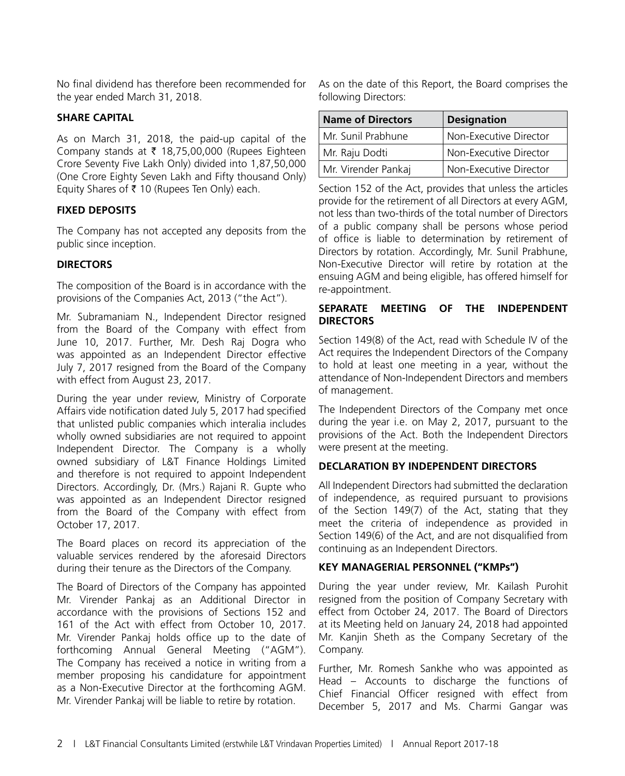No final dividend has therefore been recommended for the year ended March 31, 2018.

### **SHARE CAPITAL**

As on March 31, 2018, the paid-up capital of the Company stands at  $\bar{\tau}$  18,75,00,000 (Rupees Eighteen Crore Seventy Five Lakh Only) divided into 1,87,50,000 (One Crore Eighty Seven Lakh and Fifty thousand Only) Equity Shares of  $\bar{\tau}$  10 (Rupees Ten Only) each.

### **FIXED DEPOSITS**

The Company has not accepted any deposits from the public since inception.

### **DIRECTORS**

The composition of the Board is in accordance with the provisions of the Companies Act, 2013 ("the Act").

Mr. Subramaniam N., Independent Director resigned from the Board of the Company with effect from June 10, 2017. Further, Mr. Desh Raj Dogra who was appointed as an Independent Director effective July 7, 2017 resigned from the Board of the Company with effect from August 23, 2017.

During the year under review, Ministry of Corporate Affairs vide notification dated July 5, 2017 had specified that unlisted public companies which interalia includes wholly owned subsidiaries are not required to appoint Independent Director. The Company is a wholly owned subsidiary of L&T Finance Holdings Limited and therefore is not required to appoint Independent Directors. Accordingly, Dr. (Mrs.) Rajani R. Gupte who was appointed as an Independent Director resigned from the Board of the Company with effect from October 17, 2017.

The Board places on record its appreciation of the valuable services rendered by the aforesaid Directors during their tenure as the Directors of the Company.

The Board of Directors of the Company has appointed Mr. Virender Pankaj as an Additional Director in accordance with the provisions of Sections 152 and 161 of the Act with effect from October 10, 2017. Mr. Virender Pankaj holds office up to the date of forthcoming Annual General Meeting ("AGM"). The Company has received a notice in writing from a member proposing his candidature for appointment as a Non-Executive Director at the forthcoming AGM. Mr. Virender Pankaj will be liable to retire by rotation.

As on the date of this Report, the Board comprises the following Directors:

| Name of Directors   | <b>Designation</b>     |  |  |
|---------------------|------------------------|--|--|
| Mr. Sunil Prabhune  | Non-Executive Director |  |  |
| Mr. Raju Dodti      | Non-Executive Director |  |  |
| Mr. Virender Pankaj | Non-Executive Director |  |  |

Section 152 of the Act, provides that unless the articles provide for the retirement of all Directors at every AGM, not less than two-thirds of the total number of Directors of a public company shall be persons whose period of office is liable to determination by retirement of Directors by rotation. Accordingly, Mr. Sunil Prabhune, Non-Executive Director will retire by rotation at the ensuing AGM and being eligible, has offered himself for re-appointment.

### **SEPARATE MEETING OF THE INDEPENDENT DIRECTORS**

Section 149(8) of the Act, read with Schedule IV of the Act requires the Independent Directors of the Company to hold at least one meeting in a year, without the attendance of Non-Independent Directors and members of management.

The Independent Directors of the Company met once during the year i.e. on May 2, 2017, pursuant to the provisions of the Act. Both the Independent Directors were present at the meeting.

### **DECLARATION BY INDEPENDENT DIRECTORS**

All Independent Directors had submitted the declaration of independence, as required pursuant to provisions of the Section 149(7) of the Act, stating that they meet the criteria of independence as provided in Section 149(6) of the Act, and are not disqualified from continuing as an Independent Directors.

### **KEY MANAGERIAL PERSONNEL ("KMPs")**

During the year under review, Mr. Kailash Purohit resigned from the position of Company Secretary with effect from October 24, 2017. The Board of Directors at its Meeting held on January 24, 2018 had appointed Mr. Kanjin Sheth as the Company Secretary of the Company.

Further, Mr. Romesh Sankhe who was appointed as Head – Accounts to discharge the functions of Chief Financial Officer resigned with effect from December 5, 2017 and Ms. Charmi Gangar was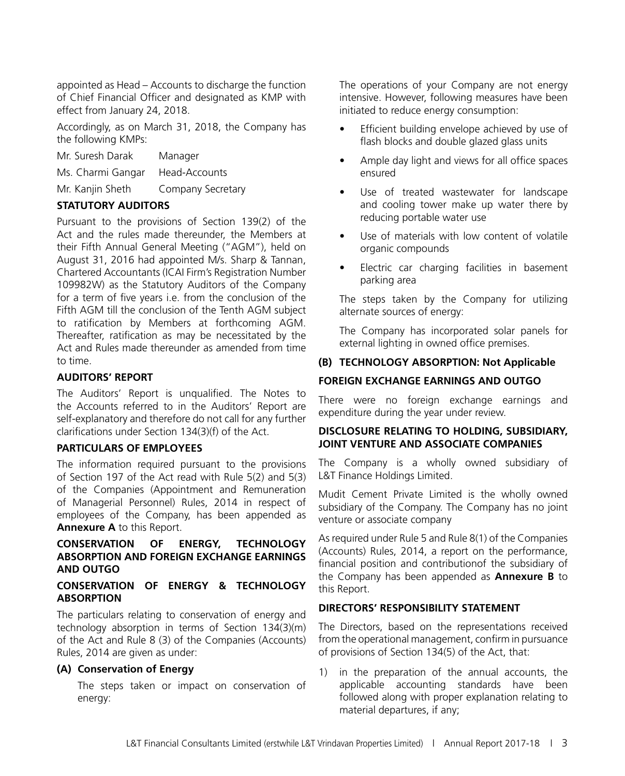appointed as Head – Accounts to discharge the function of Chief Financial Officer and designated as KMP with effect from January 24, 2018.

Accordingly, as on March 31, 2018, the Company has the following KMPs:

- Mr. Suresh Darak Manager
- Ms. Charmi Gangar Head-Accounts
- Mr. Kanjin Sheth Company Secretary

### **STATUTORY AUDITORS**

Pursuant to the provisions of Section 139(2) of the Act and the rules made thereunder, the Members at their Fifth Annual General Meeting ("AGM"), held on August 31, 2016 had appointed M/s. Sharp & Tannan, Chartered Accountants (ICAI Firm's Registration Number 109982W) as the Statutory Auditors of the Company for a term of five years i.e. from the conclusion of the Fifth AGM till the conclusion of the Tenth AGM subject to ratification by Members at forthcoming AGM. Thereafter, ratification as may be necessitated by the Act and Rules made thereunder as amended from time to time.

### **AUDITORS' REPORT**

The Auditors' Report is unqualified. The Notes to the Accounts referred to in the Auditors' Report are self-explanatory and therefore do not call for any further clarifications under Section 134(3)(f) of the Act.

#### **PARTICULARS OF EMPLOYEES**

The information required pursuant to the provisions of Section 197 of the Act read with Rule 5(2) and 5(3) of the Companies (Appointment and Remuneration of Managerial Personnel) Rules, 2014 in respect of employees of the Company, has been appended as **Annexure A** to this Report.

### **CONSERVATION OF ENERGY, TECHNOLOGY ABSORPTION AND FOREIGN EXCHANGE EARNINGS AND OUTGO**

### **CONSERVATION OF ENERGY & TECHNOLOGY ABSORPTION**

The particulars relating to conservation of energy and technology absorption in terms of Section 134(3)(m) of the Act and Rule 8 (3) of the Companies (Accounts) Rules, 2014 are given as under:

### **(A) Conservation of Energy**

The steps taken or impact on conservation of energy:

The operations of your Company are not energy intensive. However, following measures have been initiated to reduce energy consumption:

- Efficient building envelope achieved by use of flash blocks and double glazed glass units
- Ample day light and views for all office spaces ensured
- Use of treated wastewater for landscape and cooling tower make up water there by reducing portable water use
- Use of materials with low content of volatile organic compounds
- Electric car charging facilities in basement parking area

The steps taken by the Company for utilizing alternate sources of energy:

The Company has incorporated solar panels for external lighting in owned office premises.

### **(B) TECHNOLOGY ABSORPTION: Not Applicable**

### **FOREIGN EXCHANGE EARNINGS AND OUTGO**

There were no foreign exchange earnings and expenditure during the year under review.

### **DISCLOSURE RELATING TO HOLDING, SUBSIDIARY, JOINT VENTURE AND ASSOCIATE COMPANIES**

The Company is a wholly owned subsidiary of L&T Finance Holdings Limited.

Mudit Cement Private Limited is the wholly owned subsidiary of the Company. The Company has no joint venture or associate company

As required under Rule 5 and Rule 8(1) of the Companies (Accounts) Rules, 2014, a report on the performance, financial position and contributionof the subsidiary of the Company has been appended as **Annexure B** to this Report.

#### **DIRECTORS' RESPONSIBILITY STATEMENT**

The Directors, based on the representations received from the operational management, confirm in pursuance of provisions of Section 134(5) of the Act, that:

1) in the preparation of the annual accounts, the applicable accounting standards have been followed along with proper explanation relating to material departures, if any;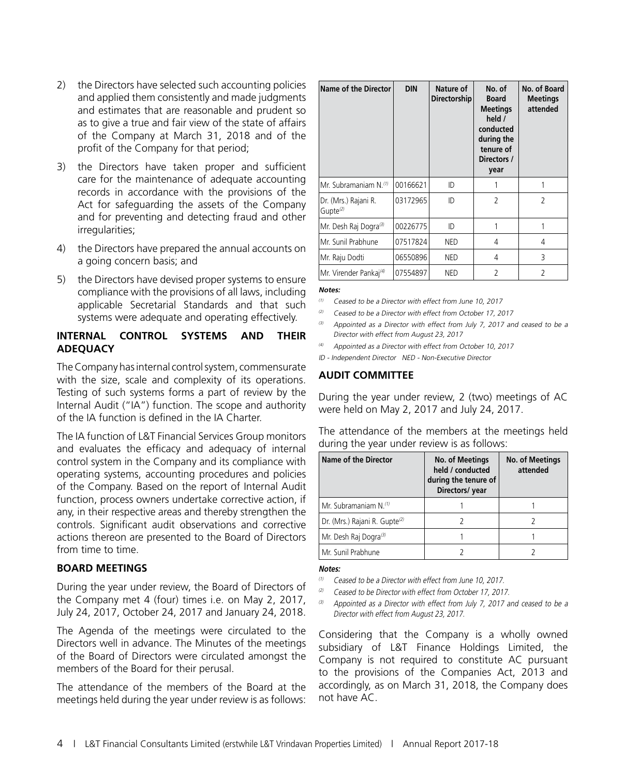- 2) the Directors have selected such accounting policies and applied them consistently and made judgments and estimates that are reasonable and prudent so as to give a true and fair view of the state of affairs of the Company at March 31, 2018 and of the profit of the Company for that period;
- 3) the Directors have taken proper and sufficient care for the maintenance of adequate accounting records in accordance with the provisions of the Act for safeguarding the assets of the Company and for preventing and detecting fraud and other irregularities;
- 4) the Directors have prepared the annual accounts on a going concern basis; and
- 5) the Directors have devised proper systems to ensure compliance with the provisions of all laws, including applicable Secretarial Standards and that such systems were adequate and operating effectively.

### **INTERNAL CONTROL SYSTEMS AND THEIR ADEQUACY**

The Company has internal control system, commensurate with the size, scale and complexity of its operations. Testing of such systems forms a part of review by the Internal Audit ("IA") function. The scope and authority of the IA function is defined in the IA Charter.

The IA function of L&T Financial Services Group monitors and evaluates the efficacy and adequacy of internal control system in the Company and its compliance with operating systems, accounting procedures and policies of the Company. Based on the report of Internal Audit function, process owners undertake corrective action, if any, in their respective areas and thereby strengthen the controls. Significant audit observations and corrective actions thereon are presented to the Board of Directors from time to time.

### **BOARD MEETINGS**

During the year under review, the Board of Directors of the Company met 4 (four) times i.e. on May 2, 2017, July 24, 2017, October 24, 2017 and January 24, 2018.

The Agenda of the meetings were circulated to the Directors well in advance. The Minutes of the meetings of the Board of Directors were circulated amongst the members of the Board for their perusal.

The attendance of the members of the Board at the meetings held during the year under review is as follows:

| Name of the Director                         | <b>DIN</b> | Nature of<br>Directorship | No. of<br><b>Board</b><br><b>Meetings</b><br>held /<br>conducted<br>during the<br>tenure of<br>Directors /<br>year | No. of Board<br><b>Meetings</b><br>attended |
|----------------------------------------------|------------|---------------------------|--------------------------------------------------------------------------------------------------------------------|---------------------------------------------|
| Mr. Subramaniam N.(1)                        | 00166621   | ID                        |                                                                                                                    |                                             |
| Dr. (Mrs.) Rajani R.<br>Gupte <sup>(2)</sup> | 03172965   | ID                        | $\overline{\phantom{a}}$                                                                                           | $\mathcal{P}$                               |
| Mr. Desh Raj Dogra <sup>(3)</sup>            | 00226775   | ID                        |                                                                                                                    |                                             |
| Mr. Sunil Prabhune                           | 07517824   | NED                       | 4                                                                                                                  | 4                                           |
| Mr. Raju Dodti                               | 06550896   | NED                       | 4                                                                                                                  | 3                                           |
| Mr. Virender Pankaj <sup>(4)</sup>           | 07554897   | NED                       | $\mathcal{P}$                                                                                                      | $\overline{\phantom{a}}$                    |

#### **Notes:**

 $(1)$  Ceased to be a Director with effect from June 10, 2017

 $(2)$  Ceased to be a Director with effect from October 17, 2017

- (3) Appointed as a Director with effect from July 7, 2017 and ceased to be a Director with effect from August 23, 2017
- (4) Appointed as a Director with effect from October 10, 2017

ID - Independent Director NED - Non-Executive Director

### **AUDIT COMMITTEE**

During the year under review, 2 (two) meetings of AC were held on May 2, 2017 and July 24, 2017.

The attendance of the members at the meetings held during the year under review is as follows:

| Name of the Director                      | <b>No. of Meetings</b><br>held / conducted<br>during the tenure of<br>Directors/ year | <b>No. of Meetings</b><br>attended |
|-------------------------------------------|---------------------------------------------------------------------------------------|------------------------------------|
| Mr. Subramaniam N.(1)                     |                                                                                       |                                    |
| Dr. (Mrs.) Rajani R. Gupte <sup>(2)</sup> |                                                                                       |                                    |
| Mr. Desh Raj Dogra <sup>(3)</sup>         |                                                                                       |                                    |
| Mr. Sunil Prabhune                        |                                                                                       |                                    |

#### **Notes:**

Ceased to be a Director with effect from June 10, 2017.

- (2) Ceased to be Director with effect from October 17, 2017.
- $(3)$  Appointed as a Director with effect from July 7, 2017 and ceased to be a Director with effect from August 23, 2017.

Considering that the Company is a wholly owned subsidiary of L&T Finance Holdings Limited, the Company is not required to constitute AC pursuant to the provisions of the Companies Act, 2013 and accordingly, as on March 31, 2018, the Company does not have AC.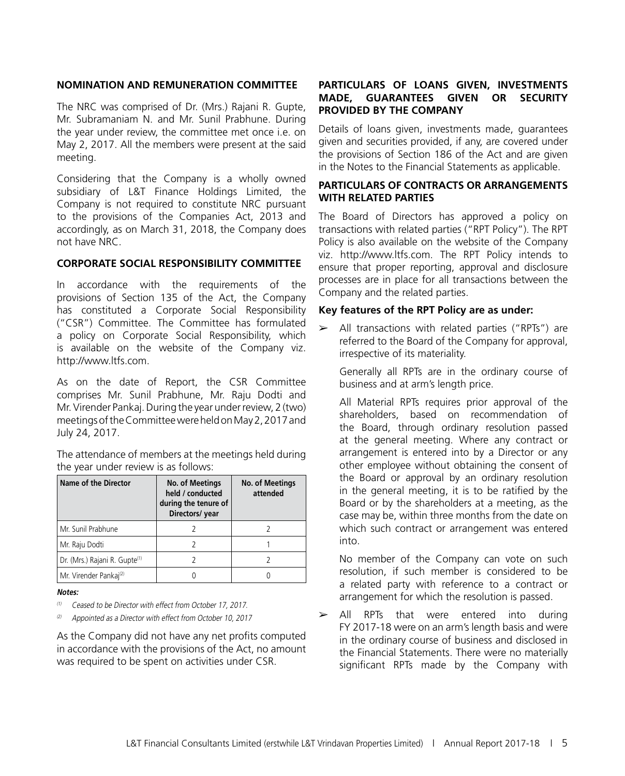#### **NOMINATION AND REMUNERATION COMMITTEE**

The NRC was comprised of Dr. (Mrs.) Rajani R. Gupte, Mr. Subramaniam N. and Mr. Sunil Prabhune. During the year under review, the committee met once i.e. on May 2, 2017. All the members were present at the said meeting.

Considering that the Company is a wholly owned subsidiary of L&T Finance Holdings Limited, the Company is not required to constitute NRC pursuant to the provisions of the Companies Act, 2013 and accordingly, as on March 31, 2018, the Company does not have NRC.

### **CORPORATE SOCIAL RESPONSIBILITY COMMITTEE**

In accordance with the requirements of the provisions of Section 135 of the Act, the Company has constituted a Corporate Social Responsibility ("CSR") Committee. The Committee has formulated a policy on Corporate Social Responsibility, which is available on the website of the Company viz. http://www.ltfs.com.

As on the date of Report, the CSR Committee comprises Mr. Sunil Prabhune, Mr. Raju Dodti and Mr. Virender Pankaj. During the year under review, 2 (two) meetings of the Committee were held on May 2, 2017 and July 24, 2017.

The attendance of members at the meetings held during the year under review is as follows:

| <b>Name of the Director</b>               | No. of Meetings<br>held / conducted<br>during the tenure of<br>Directors/year | <b>No. of Meetings</b><br>attended |
|-------------------------------------------|-------------------------------------------------------------------------------|------------------------------------|
| Mr. Sunil Prabhune                        |                                                                               |                                    |
| Mr. Raju Dodti                            |                                                                               |                                    |
| Dr. (Mrs.) Rajani R. Gupte <sup>(1)</sup> |                                                                               |                                    |
| Mr. Virender Pankaj <sup>(2)</sup>        |                                                                               |                                    |

#### **Notes:**

(1) Ceased to be Director with effect from October 17, 2017.

Appointed as a Director with effect from October 10, 2017

As the Company did not have any net profits computed in accordance with the provisions of the Act, no amount was required to be spent on activities under CSR.

### **PARTICULARS OF LOANS GIVEN, INVESTMENTS MADE, GUARANTEES GIVEN OR SECURITY PROVIDED BY THE COMPANY**

Details of loans given, investments made, guarantees given and securities provided, if any, are covered under the provisions of Section 186 of the Act and are given in the Notes to the Financial Statements as applicable.

### **PARTICULARS OF CONTRACTS OR ARRANGEMENTS WITH RELATED PARTIES**

The Board of Directors has approved a policy on transactions with related parties ("RPT Policy"). The RPT Policy is also available on the website of the Company viz. http://www.ltfs.com. The RPT Policy intends to ensure that proper reporting, approval and disclosure processes are in place for all transactions between the Company and the related parties.

### **Key features of the RPT Policy are as under:**

All transactions with related parties ("RPTs") are referred to the Board of the Company for approval, irrespective of its materiality.

Generally all RPTs are in the ordinary course of business and at arm's length price.

All Material RPTs requires prior approval of the shareholders, based on recommendation of the Board, through ordinary resolution passed at the general meeting. Where any contract or arrangement is entered into by a Director or any other employee without obtaining the consent of the Board or approval by an ordinary resolution in the general meeting, it is to be ratified by the Board or by the shareholders at a meeting, as the case may be, within three months from the date on which such contract or arrangement was entered into.

No member of the Company can vote on such resolution, if such member is considered to be a related party with reference to a contract or arrangement for which the resolution is passed.

 $\ge$  All RPTs that were entered into during FY 2017-18 were on an arm's length basis and were in the ordinary course of business and disclosed in the Financial Statements. There were no materially significant RPTs made by the Company with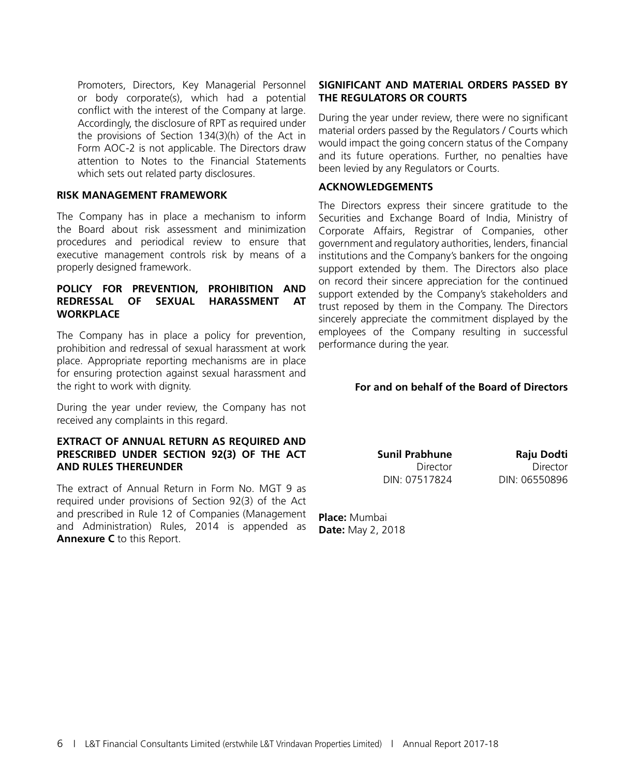Promoters, Directors, Key Managerial Personnel or body corporate(s), which had a potential conflict with the interest of the Company at large. Accordingly, the disclosure of RPT as required under the provisions of Section 134(3)(h) of the Act in Form AOC-2 is not applicable. The Directors draw attention to Notes to the Financial Statements which sets out related party disclosures.

### **RISK MANAGEMENT FRAMEWORK**

The Company has in place a mechanism to inform the Board about risk assessment and minimization procedures and periodical review to ensure that executive management controls risk by means of a properly designed framework.

### **POLICY FOR PREVENTION, PROHIBITION AND REDRESSAL OF SEXUAL HARASSMENT AT WORKPLACE**

The Company has in place a policy for prevention, prohibition and redressal of sexual harassment at work place. Appropriate reporting mechanisms are in place for ensuring protection against sexual harassment and the right to work with dignity.

During the year under review, the Company has not received any complaints in this regard.

### **EXTRACT OF ANNUAL RETURN AS REQUIRED AND PRESCRIBED UNDER SECTION 92(3) OF THE ACT AND RULES THEREUNDER**

The extract of Annual Return in Form No. MGT 9 as required under provisions of Section 92(3) of the Act and prescribed in Rule 12 of Companies (Management and Administration) Rules, 2014 is appended as **Annexure C** to this Report.

### **SIGNIFICANT AND MATERIAL ORDERS PASSED BY THE REGULATORS OR COURTS**

During the year under review, there were no significant material orders passed by the Regulators / Courts which would impact the going concern status of the Company and its future operations. Further, no penalties have been levied by any Regulators or Courts.

### **ACKNOWLEDGEMENTS**

The Directors express their sincere gratitude to the Securities and Exchange Board of India, Ministry of Corporate Affairs, Registrar of Companies, other government and regulatory authorities, lenders, financial institutions and the Company's bankers for the ongoing support extended by them. The Directors also place on record their sincere appreciation for the continued support extended by the Company's stakeholders and trust reposed by them in the Company. The Directors sincerely appreciate the commitment displayed by the employees of the Company resulting in successful performance during the year.

### **For and on behalf of the Board of Directors**

**Sunil Prabhune Raju Dodti** DIN: 07517824 DIN: 06550896

Director Director

**Place:** Mumbai **Date:** May 2, 2018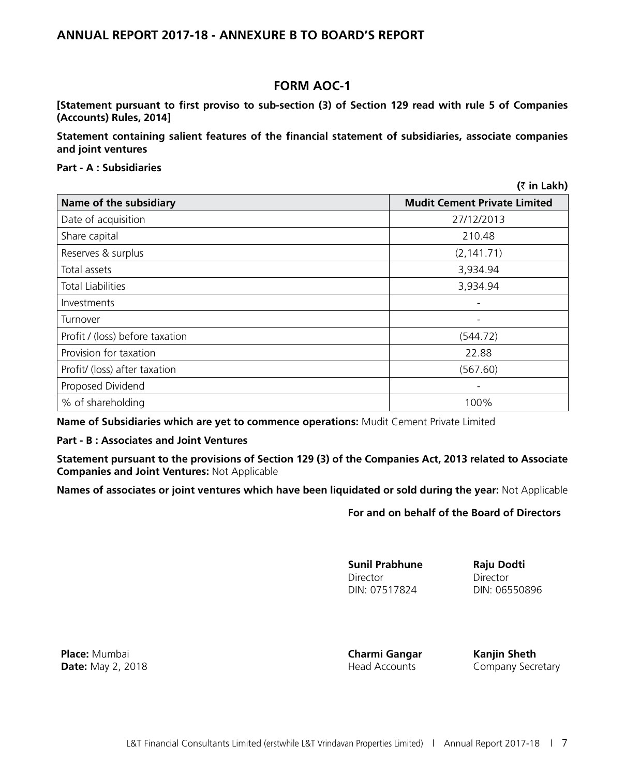## **ANNUAL REPORT 2017-18 - ANNEXURE B TO BOARD'S REPORT**

# **FORM AOC-1**

**[Statement pursuant to first proviso to sub-section (3) of Section 129 read with rule 5 of Companies (Accounts) Rules, 2014]**

**Statement containing salient features of the financial statement of subsidiaries, associate companies and joint ventures**

### **Part - A : Subsidiaries**

|                                 | (₹ in Lakh)                         |
|---------------------------------|-------------------------------------|
| Name of the subsidiary          | <b>Mudit Cement Private Limited</b> |
| Date of acquisition             | 27/12/2013                          |
| Share capital                   | 210.48                              |
| Reserves & surplus              | (2, 141.71)                         |
| Total assets                    | 3,934.94                            |
| <b>Total Liabilities</b>        | 3,934.94                            |
| Investments                     | -                                   |
| Turnover                        |                                     |
| Profit / (loss) before taxation | (544.72)                            |
| Provision for taxation          | 22.88                               |
| Profit/ (loss) after taxation   | (567.60)                            |
| Proposed Dividend               |                                     |
| % of shareholding               | 100%                                |

**Name of Subsidiaries which are yet to commence operations:** Mudit Cement Private Limited

### **Part - B : Associates and Joint Ventures**

**Statement pursuant to the provisions of Section 129 (3) of the Companies Act, 2013 related to Associate Companies and Joint Ventures:** Not Applicable

**Names of associates or joint ventures which have been liquidated or sold during the year:** Not Applicable

### **For and on behalf of the Board of Directors**

**Sunil Prabhune Director** DIN: 07517824

**Raju Dodti Director** DIN: 06550896

**Place:** Mumbai **Date:** May 2, 2018 **Charmi Gangar** Head Accounts

**Kanjin Sheth** Company Secretary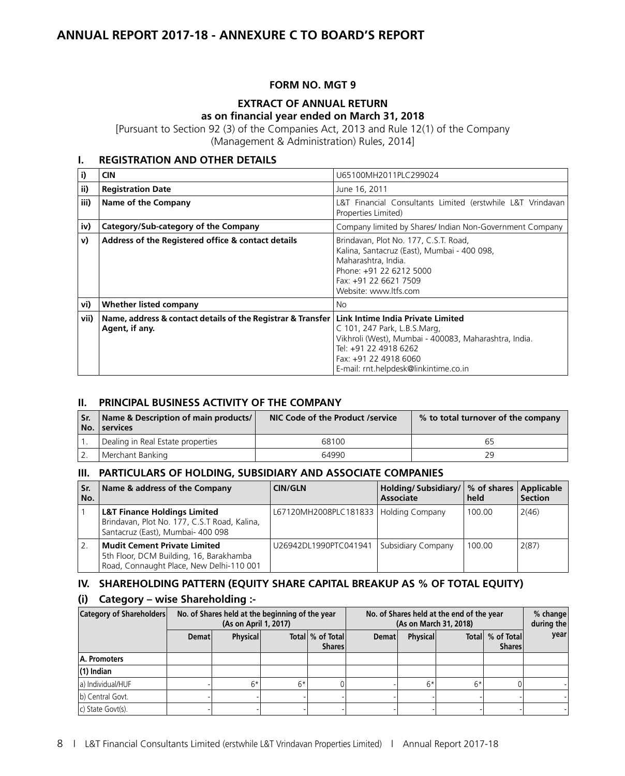# **ANNUAL REPORT 2017-18 - ANNEXURE C TO BOARD'S REPORT**

### **FORM NO. MGT 9**

## **EXTRACT OF ANNUAL RETURN as on financial year ended on March 31, 2018**

[Pursuant to Section 92 (3) of the Companies Act, 2013 and Rule 12(1) of the Company (Management & Administration) Rules, 2014]

# **I. REGISTRATION AND OTHER DETAILS**

| i)   | <b>CIN</b>                                                                                                        | U65100MH2011PLC299024                                                                                                                                                                    |
|------|-------------------------------------------------------------------------------------------------------------------|------------------------------------------------------------------------------------------------------------------------------------------------------------------------------------------|
| ii)  | <b>Registration Date</b>                                                                                          | June 16, 2011                                                                                                                                                                            |
| iii) | Name of the Company                                                                                               | L&T Financial Consultants Limited (erstwhile L&T Vrindavan<br>Properties Limited)                                                                                                        |
| iv)  | Category/Sub-category of the Company                                                                              | Company limited by Shares/ Indian Non-Government Company                                                                                                                                 |
| v)   | Address of the Registered office & contact details                                                                | Brindavan, Plot No. 177, C.S.T. Road,<br>Kalina, Santacruz (East), Mumbai - 400 098,<br>Maharashtra, India.<br>Phone: +91 22 6212 5000<br>Fax: +91 22 6621 7509<br>Website: www.ltfs.com |
| vi)  | Whether listed company                                                                                            | No                                                                                                                                                                                       |
| vii) | Name, address & contact details of the Registrar & Transfer   Link Intime India Private Limited<br>Agent, if any. | C 101, 247 Park, L.B.S.Marg,<br>Vikhroli (West), Mumbai - 400083, Maharashtra, India.<br>Tel: +91 22 4918 6262<br>Fax: +91 22 4918 6060<br>E-mail: rnt.helpdesk@linkintime.co.in         |

### **II. PRINCIPAL BUSINESS ACTIVITY OF THE COMPANY**

| 'Sr. | Name & Description of main products/<br>No. services | NIC Code of the Product /service | % to total turnover of the company |
|------|------------------------------------------------------|----------------------------------|------------------------------------|
|      | Dealing in Real Estate properties                    | 68100                            |                                    |
|      | <sup>I</sup> Merchant Banking                        | 64990                            |                                    |

### **III. PARTICULARS OF HOLDING, SUBSIDIARY AND ASSOCIATE COMPANIES**

| l Sr.<br>No.   | Name & address of the Company                                                                                                | <b>CIN/GLN</b>                          | Holding/Subsidiary/   % of shares   Applicable<br><b>Associate</b> | held   | <b>Section</b> |
|----------------|------------------------------------------------------------------------------------------------------------------------------|-----------------------------------------|--------------------------------------------------------------------|--------|----------------|
|                | <b>L&amp;T Finance Holdings Limited</b><br>Brindavan, Plot No. 177, C.S.T Road, Kalina,<br>Santacruz (East), Mumbai- 400 098 | L67120MH2008PLC181833   Holding Company |                                                                    | 100.00 | 2(46)          |
| $^{\prime}$ 2. | <b>Mudit Cement Private Limited</b><br>5th Floor, DCM Building, 16, Barakhamba<br>Road, Connaught Place, New Delhi-110 001   | U26942DL1990PTC041941                   | Subsidiary Company                                                 | 100.00 | 2(87)          |

### **IV. SHAREHOLDING PATTERN (EQUITY SHARE CAPITAL BREAKUP AS % OF TOTAL EQUITY)**

### **(i) Category – wise Shareholding :-**

| <b>Category of Shareholders</b> | No. of Shares held at the beginning of the year<br>(As on April 1, 2017) |                 |      | No. of Shares held at the end of the year<br>(As on March 31, 2018) |              |                 |      | $%$ change<br>during the          |      |
|---------------------------------|--------------------------------------------------------------------------|-----------------|------|---------------------------------------------------------------------|--------------|-----------------|------|-----------------------------------|------|
|                                 | <b>Demat</b>                                                             | <b>Physical</b> |      | Total % of Total<br><b>Shares</b>                                   | <b>Demat</b> | <b>Physical</b> |      | Total % of Total<br><b>Shares</b> | year |
| A. Promoters                    |                                                                          |                 |      |                                                                     |              |                 |      |                                   |      |
| $(1)$ Indian                    |                                                                          |                 |      |                                                                     |              |                 |      |                                   |      |
| a) Individual/HUF               |                                                                          | $6*$            | $6*$ |                                                                     |              | f*              | $6*$ |                                   |      |
| b) Central Govt.                |                                                                          |                 |      |                                                                     |              |                 |      |                                   |      |
| c) State Govt(s).               |                                                                          |                 |      |                                                                     |              |                 |      |                                   |      |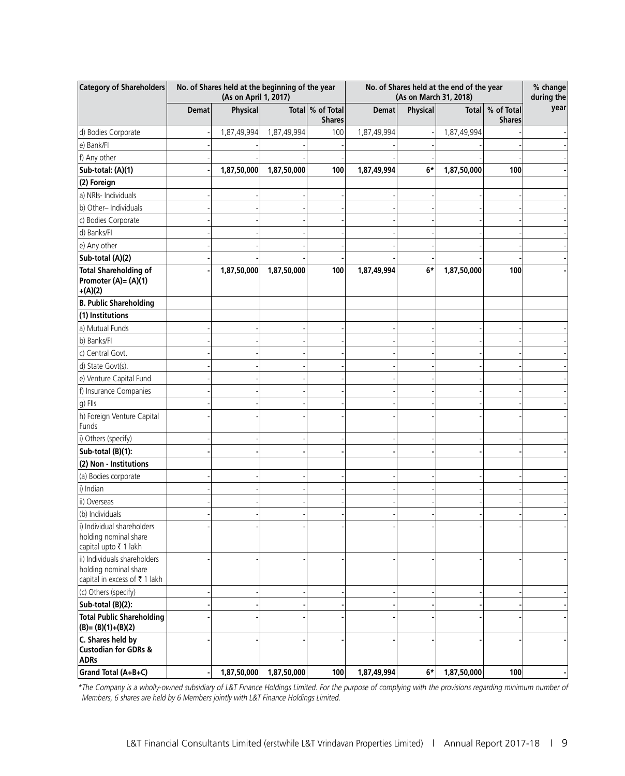| <b>Category of Shareholders</b>                                                        | No. of Shares held at the beginning of the year<br>(As on April 1, 2017) |                 |             |                                   | No. of Shares held at the end of the year<br>(As on March 31, 2018) |          |              |                             | % change<br>during the |
|----------------------------------------------------------------------------------------|--------------------------------------------------------------------------|-----------------|-------------|-----------------------------------|---------------------------------------------------------------------|----------|--------------|-----------------------------|------------------------|
|                                                                                        | <b>Demat</b>                                                             | <b>Physical</b> |             | Total % of Total<br><b>Shares</b> | <b>Demat</b>                                                        | Physical | <b>Total</b> | % of Total<br><b>Shares</b> | year                   |
| d) Bodies Corporate                                                                    |                                                                          | 1,87,49,994     | 1,87,49,994 | 100                               | 1,87,49,994                                                         |          | 1,87,49,994  |                             |                        |
| e) Bank/Fl                                                                             |                                                                          |                 |             |                                   |                                                                     |          |              |                             |                        |
| f) Any other                                                                           |                                                                          |                 |             |                                   |                                                                     |          |              |                             |                        |
| Sub-total: (A)(1)                                                                      |                                                                          | 1,87,50,000     | 1,87,50,000 | 100                               | 1,87,49,994                                                         | 6*       | 1,87,50,000  | 100                         |                        |
| (2) Foreign                                                                            |                                                                          |                 |             |                                   |                                                                     |          |              |                             |                        |
| a) NRIs- Individuals                                                                   |                                                                          |                 |             |                                   |                                                                     |          |              |                             |                        |
| b) Other-Individuals                                                                   |                                                                          |                 |             |                                   |                                                                     |          |              |                             |                        |
| c) Bodies Corporate                                                                    |                                                                          |                 |             |                                   |                                                                     |          |              |                             |                        |
| d) Banks/Fl                                                                            |                                                                          |                 |             |                                   |                                                                     |          |              |                             |                        |
| e) Any other                                                                           |                                                                          |                 |             |                                   |                                                                     |          |              |                             |                        |
| Sub-total (A)(2)                                                                       |                                                                          |                 |             |                                   |                                                                     |          |              |                             |                        |
| <b>Total Shareholding of</b><br>Promoter (A)= (A)(1)<br>$+(A)(2)$                      |                                                                          | 1,87,50,000     | 1,87,50,000 | 100                               | 1,87,49,994                                                         | $6*$     | 1,87,50,000  | 100                         |                        |
| <b>B. Public Shareholding</b>                                                          |                                                                          |                 |             |                                   |                                                                     |          |              |                             |                        |
| (1) Institutions                                                                       |                                                                          |                 |             |                                   |                                                                     |          |              |                             |                        |
| a) Mutual Funds                                                                        |                                                                          |                 |             |                                   |                                                                     |          |              |                             |                        |
| b) Banks/FI                                                                            |                                                                          |                 |             |                                   |                                                                     |          |              |                             |                        |
| c) Central Govt.                                                                       |                                                                          |                 |             |                                   |                                                                     |          |              |                             |                        |
| d) State Govt(s).                                                                      |                                                                          |                 |             |                                   |                                                                     |          |              |                             |                        |
| e) Venture Capital Fund                                                                |                                                                          |                 |             |                                   |                                                                     |          |              |                             |                        |
| f) Insurance Companies                                                                 |                                                                          |                 |             |                                   |                                                                     |          |              |                             |                        |
| g) Flls                                                                                |                                                                          |                 |             |                                   |                                                                     |          |              |                             |                        |
| h) Foreign Venture Capital<br>Funds                                                    |                                                                          |                 |             |                                   |                                                                     |          |              |                             |                        |
| i) Others (specify)                                                                    |                                                                          |                 |             |                                   |                                                                     |          |              |                             |                        |
| Sub-total (B)(1):                                                                      |                                                                          |                 |             |                                   |                                                                     |          |              |                             |                        |
| (2) Non - Institutions                                                                 |                                                                          |                 |             |                                   |                                                                     |          |              |                             |                        |
| (a) Bodies corporate                                                                   |                                                                          |                 |             |                                   |                                                                     |          |              |                             |                        |
| i) Indian                                                                              |                                                                          |                 |             |                                   |                                                                     |          |              |                             |                        |
| ii) Overseas                                                                           |                                                                          |                 |             |                                   |                                                                     |          |              |                             |                        |
| (b) Individuals                                                                        |                                                                          |                 |             |                                   |                                                                     |          |              |                             |                        |
| i) Individual shareholders<br>holding nominal share<br>capital upto ₹ 1 lakh           |                                                                          |                 |             |                                   |                                                                     |          |              |                             |                        |
| ii) Individuals shareholders<br>holding nominal share<br>capital in excess of ₹ 1 lakh |                                                                          |                 |             |                                   |                                                                     |          |              |                             |                        |
| (c) Others (specify)                                                                   |                                                                          |                 |             |                                   |                                                                     |          |              |                             |                        |
| Sub-total (B)(2):                                                                      |                                                                          |                 |             |                                   |                                                                     |          |              |                             |                        |
| <b>Total Public Shareholding</b><br>$(B)=(B)(1)+(B)(2)$                                |                                                                          |                 |             |                                   |                                                                     |          |              |                             |                        |
| C. Shares held by<br><b>Custodian for GDRs &amp;</b><br><b>ADRs</b>                    |                                                                          |                 |             |                                   |                                                                     |          |              |                             |                        |
| Grand Total (A+B+C)                                                                    |                                                                          | 1,87,50,000     | 1,87,50,000 | 100                               | 1,87,49,994                                                         | $6*$     | 1,87,50,000  | 100                         |                        |

\*The Company is a wholly-owned subsidiary of L&T Finance Holdings Limited. For the purpose of complying with the provisions regarding minimum number of Members, 6 shares are held by 6 Members jointly with L&T Finance Holdings Limited.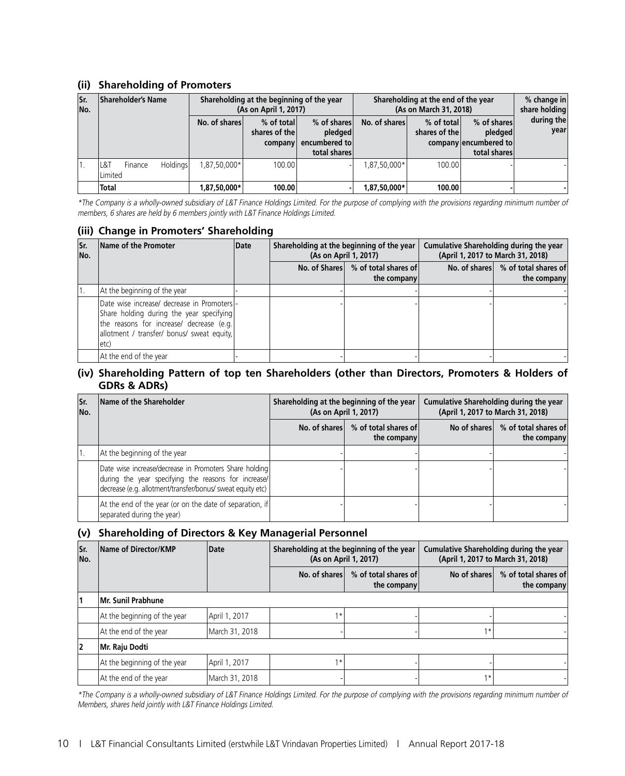### **(ii) Shareholding of Promoters**

| lsr.<br>No. | <b>Shareholder's Name</b>                           | Shareholding at the beginning of the year<br>(As on April 1, 2017) |                                        |                                                         | Shareholding at the end of the year<br>(As on March 31, 2018) | % change in<br>share holding |                                                                 |                    |  |
|-------------|-----------------------------------------------------|--------------------------------------------------------------------|----------------------------------------|---------------------------------------------------------|---------------------------------------------------------------|------------------------------|-----------------------------------------------------------------|--------------------|--|
|             |                                                     | No. of shares                                                      | % of total<br>shares of the<br>company | % of shares<br>pledged<br>encumbered to<br>total shares | No. of shares                                                 | % of total<br>shares of the  | % of shares<br>pledged<br>company encumbered to<br>total shares | during the<br>vear |  |
|             | <b>Holdings</b><br>L&T<br>Finance<br><b>Limited</b> | 1,87,50,000*                                                       | 100.00                                 |                                                         | 1,87,50,000*                                                  | 100.00                       |                                                                 |                    |  |
|             | <b>Total</b>                                        | 1,87,50,000*                                                       | 100.00                                 |                                                         | 1,87,50,000*                                                  | 100.00                       |                                                                 |                    |  |

\*The Company is a wholly-owned subsidiary of L&T Finance Holdings Limited. For the purpose of complying with the provisions regarding minimum number of members, 6 shares are held by 6 members jointly with L&T Finance Holdings Limited.

### **(iii) Change in Promoters' Shareholding**

| lSr.<br>No. | Name of the Promoter                                                                                                                                                                       | Date | Shareholding at the beginning of the year<br>(As on April 1, 2017) |                                                     |  |                                                     | Cumulative Shareholding during the year<br>(April 1, 2017 to March 31, 2018) |  |
|-------------|--------------------------------------------------------------------------------------------------------------------------------------------------------------------------------------------|------|--------------------------------------------------------------------|-----------------------------------------------------|--|-----------------------------------------------------|------------------------------------------------------------------------------|--|
|             |                                                                                                                                                                                            |      |                                                                    | No. of Shares \ % of total shares of<br>the company |  | No. of shares \ % of total shares of<br>the company |                                                                              |  |
|             | At the beginning of the year                                                                                                                                                               |      |                                                                    |                                                     |  |                                                     |                                                                              |  |
|             | Date wise increase/ decrease in Promoters -<br>Share holding during the year specifying<br>the reasons for increase/ decrease (e.g.<br>allotment / transfer/ bonus/ sweat equity,<br>letc) |      |                                                                    |                                                     |  |                                                     |                                                                              |  |
|             | At the end of the year                                                                                                                                                                     |      |                                                                    |                                                     |  |                                                     |                                                                              |  |

### **(iv) Shareholding Pattern of top ten Shareholders (other than Directors, Promoters & Holders of GDRs & ADRs)**

| lSr.<br>No. | Name of the Shareholder                                                                                                                                                      | Shareholding at the beginning of the year<br>(As on April 1, 2017) |                                     | Cumulative Shareholding during the year<br>(April 1, 2017 to March 31, 2018) |                                                    |
|-------------|------------------------------------------------------------------------------------------------------------------------------------------------------------------------------|--------------------------------------------------------------------|-------------------------------------|------------------------------------------------------------------------------|----------------------------------------------------|
|             |                                                                                                                                                                              | No. of shares                                                      | % of total shares of<br>the company |                                                                              | No of shares \ % of total shares of<br>the company |
|             | At the beginning of the year                                                                                                                                                 |                                                                    |                                     |                                                                              |                                                    |
|             | Date wise increase/decrease in Promoters Share holding<br>during the year specifying the reasons for increase/<br>decrease (e.g. allotment/transfer/bonus/ sweat equity etc) |                                                                    |                                     |                                                                              |                                                    |
|             | At the end of the year (or on the date of separation, if<br>separated during the year)                                                                                       |                                                                    |                                     |                                                                              |                                                    |

#### **(v) Shareholding of Directors & Key Managerial Personnel**

| Sr.<br>No. | Name of Director/KMP         | Date           | Shareholding at the beginning of the year<br>(As on April 1, 2017) |                                     | Cumulative Shareholding during the year<br>(April 1, 2017 to March 31, 2018) |                                     |  |
|------------|------------------------------|----------------|--------------------------------------------------------------------|-------------------------------------|------------------------------------------------------------------------------|-------------------------------------|--|
|            |                              |                | No. of shares                                                      | % of total shares of<br>the company | No of shares                                                                 | % of total shares of<br>the company |  |
|            | Mr. Sunil Prabhune           |                |                                                                    |                                     |                                                                              |                                     |  |
|            | At the beginning of the year | April 1, 2017  | $1*$                                                               |                                     |                                                                              |                                     |  |
|            | At the end of the year       | March 31, 2018 |                                                                    |                                     | $1*$                                                                         |                                     |  |
| 2          | Mr. Raju Dodti               |                |                                                                    |                                     |                                                                              |                                     |  |
|            | At the beginning of the year | April 1, 2017  | $1*$                                                               |                                     |                                                                              |                                     |  |
|            | At the end of the year       | March 31, 2018 |                                                                    |                                     | $1*$                                                                         |                                     |  |

\*The Company is a wholly-owned subsidiary of L&T Finance Holdings Limited. For the purpose of complying with the provisions regarding minimum number of Members, shares held jointly with L&T Finance Holdings Limited.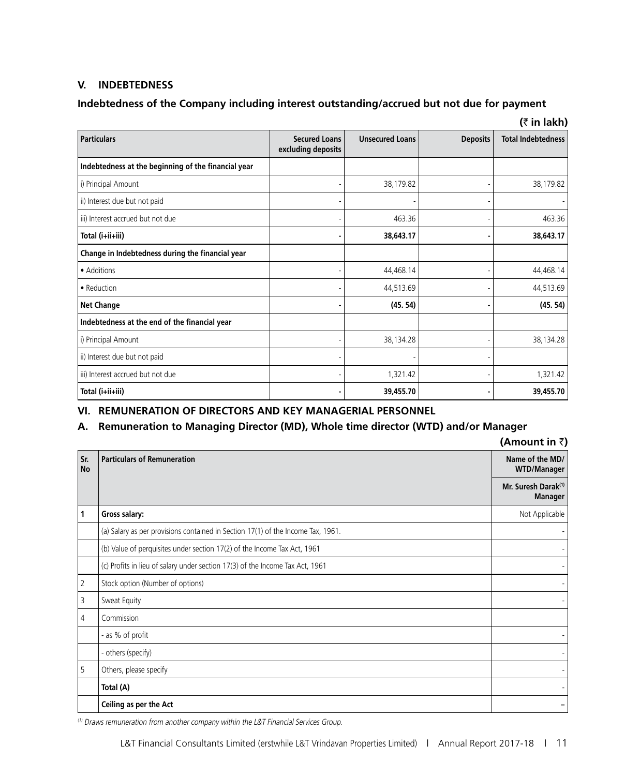### **V.** INDEBTEDNESS

# **Indebtedness of the Company including interest outstanding/accrued but not due for payment**

| (₹ in lakh)                                         |                                            |                        |                 |                           |  |
|-----------------------------------------------------|--------------------------------------------|------------------------|-----------------|---------------------------|--|
| <b>Particulars</b>                                  | <b>Secured Loans</b><br>excluding deposits | <b>Unsecured Loans</b> | <b>Deposits</b> | <b>Total Indebtedness</b> |  |
| Indebtedness at the beginning of the financial year |                                            |                        |                 |                           |  |
| i) Principal Amount                                 |                                            | 38,179.82              |                 | 38,179.82                 |  |
| ii) Interest due but not paid                       |                                            |                        |                 |                           |  |
| iii) Interest accrued but not due                   |                                            | 463.36                 |                 | 463.36                    |  |
| Total (i+ii+iii)                                    |                                            | 38,643.17              |                 | 38,643.17                 |  |
| Change in Indebtedness during the financial year    |                                            |                        |                 |                           |  |
| • Additions                                         |                                            | 44,468.14              |                 | 44,468.14                 |  |
| • Reduction                                         |                                            | 44,513.69              |                 | 44,513.69                 |  |
| <b>Net Change</b>                                   |                                            | (45.54)                |                 | (45.54)                   |  |
| Indebtedness at the end of the financial year       |                                            |                        |                 |                           |  |
| i) Principal Amount                                 |                                            | 38,134.28              |                 | 38,134.28                 |  |
| ii) Interest due but not paid                       |                                            |                        |                 |                           |  |
| iii) Interest accrued but not due                   |                                            | 1,321.42               |                 | 1,321.42                  |  |
| Total (i+ii+iii)                                    |                                            | 39,455.70              |                 | 39,455.70                 |  |

### **VI. REMUNERATION OF DIRECTORS AND KEY MANAGERIAL PERSONNEL**

# **A. Remuneration to Managing Director (MD), Whole time director (WTD) and/or Manager**

|                  |                                                                                  | (Amount in ₹)                                     |
|------------------|----------------------------------------------------------------------------------|---------------------------------------------------|
| Sr.<br><b>No</b> | <b>Particulars of Remuneration</b>                                               | Name of the MD/<br><b>WTD/Manager</b>             |
|                  |                                                                                  | Mr. Suresh Darak <sup>(1)</sup><br><b>Manager</b> |
| 1                | Gross salary:                                                                    | Not Applicable                                    |
|                  | (a) Salary as per provisions contained in Section 17(1) of the Income Tax, 1961. |                                                   |
|                  | (b) Value of perquisites under section 17(2) of the Income Tax Act, 1961         |                                                   |
|                  | (c) Profits in lieu of salary under section 17(3) of the Income Tax Act, 1961    |                                                   |
| $\overline{2}$   | Stock option (Number of options)                                                 |                                                   |
| 3                | Sweat Equity                                                                     |                                                   |
| $\overline{4}$   | Commission                                                                       |                                                   |
|                  | - as % of profit                                                                 |                                                   |
|                  | - others (specify)                                                               |                                                   |
| $5^{\circ}$      | Others, please specify                                                           |                                                   |
|                  | Total (A)                                                                        |                                                   |
|                  | Ceiling as per the Act                                                           |                                                   |

(1) Draws remuneration from another company within the L&T Financial Services Group.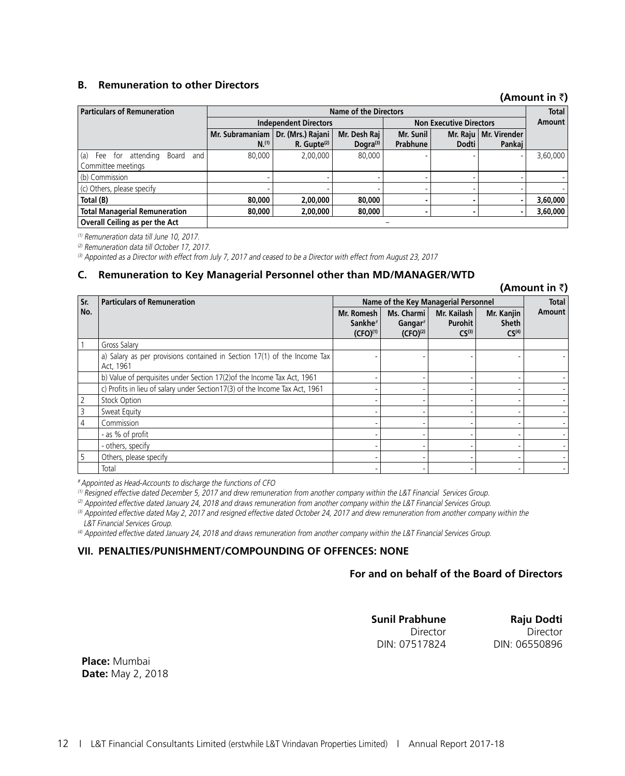### **B. Remuneration to other Directors**

### **(Amount in** `**)**

**(Amount in** `**)**

| <b>Particulars of Remuneration</b>                             | <b>Name of the Directors</b> |                   |              |                                |       |                         | <b>Total</b> |
|----------------------------------------------------------------|------------------------------|-------------------|--------------|--------------------------------|-------|-------------------------|--------------|
|                                                                | <b>Independent Directors</b> |                   |              | <b>Non Executive Directors</b> |       |                         | Amount       |
|                                                                | Mr. Subramaniam              | Dr. (Mrs.) Rajani | Mr. Desh Raj | Mr. Sunil                      |       | Mr. Raju   Mr. Virender |              |
|                                                                | $N^{(1)}$                    | $R.$ Gupte $(2)$  | Dogra $(3)$  | Prabhune                       | Dodti | Pankai                  |              |
| (a)<br>Fee for attending<br>Board<br>and<br>Committee meetings | 80,000                       | 2,00,000          | 80,000       |                                |       |                         | 3,60,000     |
| (b) Commission                                                 |                              |                   |              |                                |       |                         |              |
| (c) Others, please specify                                     |                              |                   |              |                                |       |                         |              |
| Total (B)                                                      | 80,000                       | 2,00,000          | 80,000       |                                |       |                         | 3,60,000     |
| <b>Total Managerial Remuneration</b>                           | 80,000                       | 2,00,000          | 80,000       |                                |       | ٠                       | 3,60,000     |
| Overall Ceiling as per the Act                                 |                              |                   |              |                                |       |                         |              |

(1) Remuneration data till June 10, 2017.

(2) Remuneration data till October 17, 2017.

(3) Appointed as a Director with effect from July 7, 2017 and ceased to be a Director with effect from August 23, 2017

#### **C. Remuneration to Key Managerial Personnel other than MD/MANAGER/WTD**

| Sr.            | <b>Particulars of Remuneration</b>                                                    |                                   | Name of the Key Managerial Personnel |                        |                            |        |
|----------------|---------------------------------------------------------------------------------------|-----------------------------------|--------------------------------------|------------------------|----------------------------|--------|
| No.            |                                                                                       | Mr. Romesh<br>Sankhe <sup>#</sup> | Ms. Charmi<br>Gangar $#$             | Mr. Kailash<br>Purohit | Mr. Kanjin<br><b>Sheth</b> | Amount |
|                |                                                                                       | $(CFO)^{(1)}$                     | $(CFO)^{(2)}$                        | CS <sup>(3)</sup>      | CS <sup>(4)</sup>          |        |
|                | Gross Salary                                                                          |                                   |                                      |                        |                            |        |
|                | a) Salary as per provisions contained in Section 17(1) of the Income Tax<br>Act, 1961 |                                   |                                      |                        |                            |        |
|                | b) Value of perquisites under Section 17(2) of the Income Tax Act, 1961               |                                   |                                      |                        |                            |        |
|                | c) Profits in lieu of salary under Section17(3) of the Income Tax Act, 1961           |                                   |                                      |                        |                            |        |
| $\overline{2}$ | <b>Stock Option</b>                                                                   |                                   |                                      |                        |                            |        |
| 3              | Sweat Equity                                                                          |                                   |                                      |                        |                            |        |
| 4              | Commission                                                                            |                                   |                                      |                        |                            |        |
|                | - as % of profit                                                                      |                                   |                                      |                        |                            |        |
|                | - others, specify                                                                     |                                   |                                      |                        |                            |        |
| 5              | Others, please specify                                                                |                                   |                                      |                        |                            |        |
|                | Total                                                                                 |                                   |                                      |                        |                            |        |

# Appointed as Head-Accounts to discharge the functions of CFO

 $^{(1)}$  Resigned effective dated December 5, 2017 and drew remuneration from another company within the L&T Financial Services Group.

(2) Appointed effective dated January 24, 2018 and draws remuneration from another company within the L&T Financial Services Group.

(3) Appointed effective dated May 2, 2017 and resigned effective dated October 24, 2017 and drew remuneration from another company within the L&T Financial Services Group.

(4) Appointed effective dated January 24, 2018 and draws remuneration from another company within the L&T Financial Services Group.

#### **VII. PENALTIES/PUNISHMENT/COMPOUNDING OF OFFENCES: NONE**

### **For and on behalf of the Board of Directors**

**Sunil Prabhune** Director DIN: 07517824

**Raju Dodti** Director DIN: 06550896

**Place:** Mumbai **Date:** May 2, 2018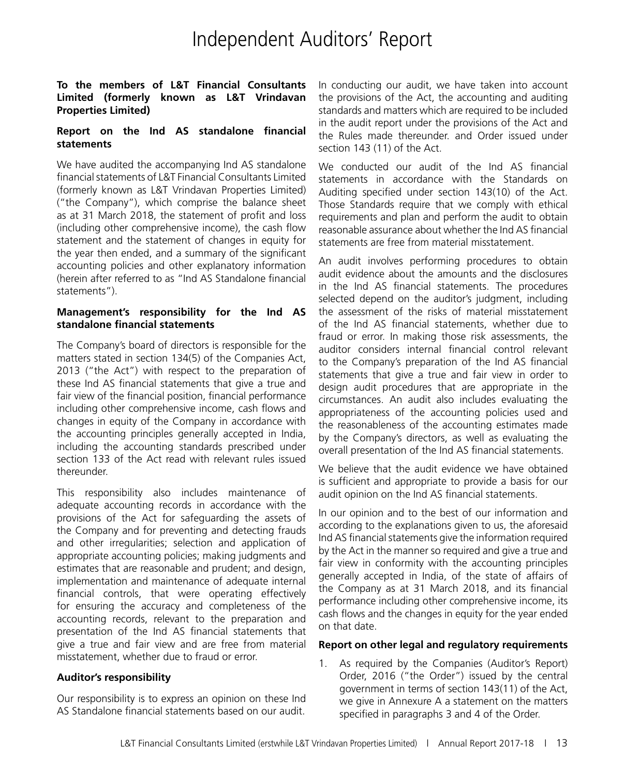# Independent Auditors' Report

### **To the members of L&T Financial Consultants Limited (formerly known as L&T Vrindavan Properties Limited)**

### **Report on the Ind AS standalone financial statements**

We have audited the accompanying Ind AS standalone financial statements of L&T Financial Consultants Limited (formerly known as L&T Vrindavan Properties Limited) ("the Company"), which comprise the balance sheet as at 31 March 2018, the statement of profit and loss (including other comprehensive income), the cash flow statement and the statement of changes in equity for the year then ended, and a summary of the significant accounting policies and other explanatory information (herein after referred to as "Ind AS Standalone financial statements").

### **Management's responsibility for the Ind AS standalone financial statements**

The Company's board of directors is responsible for the matters stated in section 134(5) of the Companies Act, 2013 ("the Act") with respect to the preparation of these Ind AS financial statements that give a true and fair view of the financial position, financial performance including other comprehensive income, cash flows and changes in equity of the Company in accordance with the accounting principles generally accepted in India, including the accounting standards prescribed under section 133 of the Act read with relevant rules issued thereunder.

This responsibility also includes maintenance of adequate accounting records in accordance with the provisions of the Act for safeguarding the assets of the Company and for preventing and detecting frauds and other irregularities; selection and application of appropriate accounting policies; making judgments and estimates that are reasonable and prudent; and design, implementation and maintenance of adequate internal financial controls, that were operating effectively for ensuring the accuracy and completeness of the accounting records, relevant to the preparation and presentation of the Ind AS financial statements that give a true and fair view and are free from material misstatement, whether due to fraud or error.

### **Auditor's responsibility**

Our responsibility is to express an opinion on these Ind AS Standalone financial statements based on our audit.

In conducting our audit, we have taken into account the provisions of the Act, the accounting and auditing standards and matters which are required to be included in the audit report under the provisions of the Act and the Rules made thereunder. and Order issued under section 143 (11) of the Act.

We conducted our audit of the Ind AS financial statements in accordance with the Standards on Auditing specified under section 143(10) of the Act. Those Standards require that we comply with ethical requirements and plan and perform the audit to obtain reasonable assurance about whether the Ind AS financial statements are free from material misstatement.

An audit involves performing procedures to obtain audit evidence about the amounts and the disclosures in the Ind AS financial statements. The procedures selected depend on the auditor's judgment, including the assessment of the risks of material misstatement of the Ind AS financial statements, whether due to fraud or error. In making those risk assessments, the auditor considers internal financial control relevant to the Company's preparation of the Ind AS financial statements that give a true and fair view in order to design audit procedures that are appropriate in the circumstances. An audit also includes evaluating the appropriateness of the accounting policies used and the reasonableness of the accounting estimates made by the Company's directors, as well as evaluating the overall presentation of the Ind AS financial statements.

We believe that the audit evidence we have obtained is sufficient and appropriate to provide a basis for our audit opinion on the Ind AS financial statements.

In our opinion and to the best of our information and according to the explanations given to us, the aforesaid Ind AS financial statements give the information required by the Act in the manner so required and give a true and fair view in conformity with the accounting principles generally accepted in India, of the state of affairs of the Company as at 31 March 2018, and its financial performance including other comprehensive income, its cash flows and the changes in equity for the year ended on that date.

### **Report on other legal and regulatory requirements**

1. As required by the Companies (Auditor's Report) Order, 2016 ("the Order") issued by the central government in terms of section 143(11) of the Act, we give in Annexure A a statement on the matters specified in paragraphs 3 and 4 of the Order.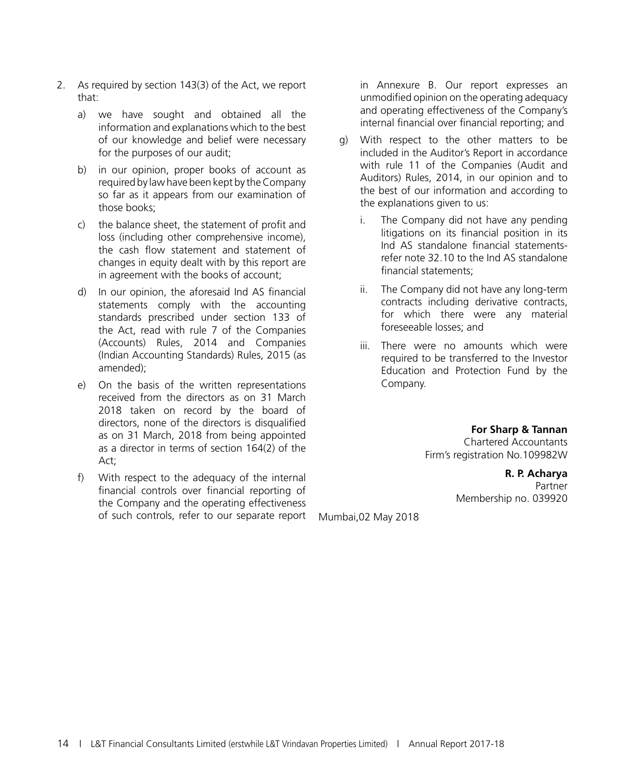- 2. As required by section 143(3) of the Act, we report that:
	- a) we have sought and obtained all the information and explanations which to the best of our knowledge and belief were necessary for the purposes of our audit;
	- b) in our opinion, proper books of account as required by law have been kept by the Company so far as it appears from our examination of those books;
	- c) the balance sheet, the statement of profit and loss (including other comprehensive income), the cash flow statement and statement of changes in equity dealt with by this report are in agreement with the books of account;
	- d) In our opinion, the aforesaid Ind AS financial statements comply with the accounting standards prescribed under section 133 of the Act, read with rule 7 of the Companies (Accounts) Rules, 2014 and Companies (Indian Accounting Standards) Rules, 2015 (as amended);
	- e) On the basis of the written representations received from the directors as on 31 March 2018 taken on record by the board of directors, none of the directors is disqualified as on 31 March, 2018 from being appointed as a director in terms of section 164(2) of the Act;
	- f) With respect to the adequacy of the internal financial controls over financial reporting of the Company and the operating effectiveness of such controls, refer to our separate report

in Annexure B. Our report expresses an unmodified opinion on the operating adequacy and operating effectiveness of the Company's internal financial over financial reporting; and

- g) With respect to the other matters to be included in the Auditor's Report in accordance with rule 11 of the Companies (Audit and Auditors) Rules, 2014, in our opinion and to the best of our information and according to the explanations given to us:
	- i. The Company did not have any pending litigations on its financial position in its Ind AS standalone financial statementsrefer note 32.10 to the Ind AS standalone financial statements;
	- ii. The Company did not have any long-term contracts including derivative contracts, for which there were any material foreseeable losses; and
	- iii. There were no amounts which were required to be transferred to the Investor Education and Protection Fund by the Company.

**For Sharp & Tannan** Chartered Accountants Firm's registration No.109982W

> **R. P. Acharya** Partner Membership no. 039920

Mumbai,02 May 2018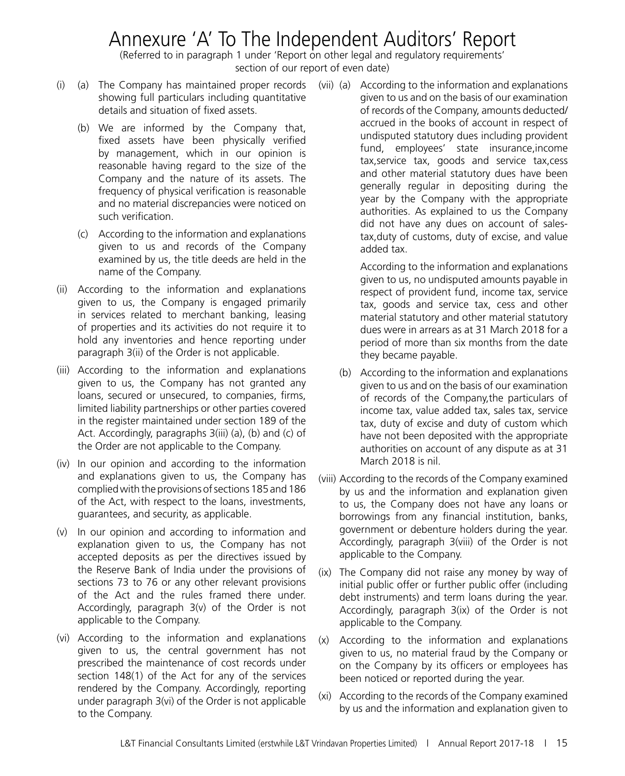# Annexure 'A' To The Independent Auditors' Report

(Referred to in paragraph 1 under 'Report on other legal and regulatory requirements' section of our report of even date)

- (i) (a) The Company has maintained proper records (vii) (a) According to the information and explanations showing full particulars including quantitative details and situation of fixed assets.
	- (b) We are informed by the Company that, fixed assets have been physically verified by management, which in our opinion is reasonable having regard to the size of the Company and the nature of its assets. The frequency of physical verification is reasonable and no material discrepancies were noticed on such verification.
	- (c) According to the information and explanations given to us and records of the Company examined by us, the title deeds are held in the name of the Company.
- (ii) According to the information and explanations given to us, the Company is engaged primarily in services related to merchant banking, leasing of properties and its activities do not require it to hold any inventories and hence reporting under paragraph 3(ii) of the Order is not applicable.
- (iii) According to the information and explanations given to us, the Company has not granted any loans, secured or unsecured, to companies, firms, limited liability partnerships or other parties covered in the register maintained under section 189 of the Act. Accordingly, paragraphs 3(iii) (a), (b) and (c) of the Order are not applicable to the Company.
- (iv) In our opinion and according to the information and explanations given to us, the Company has complied with the provisions of sections 185 and 186 of the Act, with respect to the loans, investments, guarantees, and security, as applicable.
- (v) In our opinion and according to information and explanation given to us, the Company has not accepted deposits as per the directives issued by the Reserve Bank of India under the provisions of sections 73 to 76 or any other relevant provisions of the Act and the rules framed there under. Accordingly, paragraph 3(v) of the Order is not applicable to the Company.
- (vi) According to the information and explanations given to us, the central government has not prescribed the maintenance of cost records under section 148(1) of the Act for any of the services rendered by the Company. Accordingly, reporting under paragraph 3(vi) of the Order is not applicable to the Company.

given to us and on the basis of our examination of records of the Company, amounts deducted/ accrued in the books of account in respect of undisputed statutory dues including provident fund, employees' state insurance,income tax,service tax, goods and service tax,cess and other material statutory dues have been generally regular in depositing during the year by the Company with the appropriate authorities. As explained to us the Company did not have any dues on account of salestax,duty of customs, duty of excise, and value added tax.

 According to the information and explanations given to us, no undisputed amounts payable in respect of provident fund, income tax, service tax, goods and service tax, cess and other material statutory and other material statutory dues were in arrears as at 31 March 2018 for a period of more than six months from the date they became payable.

- (b) According to the information and explanations given to us and on the basis of our examination of records of the Company,the particulars of income tax, value added tax, sales tax, service tax, duty of excise and duty of custom which have not been deposited with the appropriate authorities on account of any dispute as at 31 March 2018 is nil.
- (viii) According to the records of the Company examined by us and the information and explanation given to us, the Company does not have any loans or borrowings from any financial institution, banks, government or debenture holders during the year. Accordingly, paragraph 3(viii) of the Order is not applicable to the Company.
- (ix) The Company did not raise any money by way of initial public offer or further public offer (including debt instruments) and term loans during the year. Accordingly, paragraph 3(ix) of the Order is not applicable to the Company.
- (x) According to the information and explanations given to us, no material fraud by the Company or on the Company by its officers or employees has been noticed or reported during the year.
- (xi) According to the records of the Company examined by us and the information and explanation given to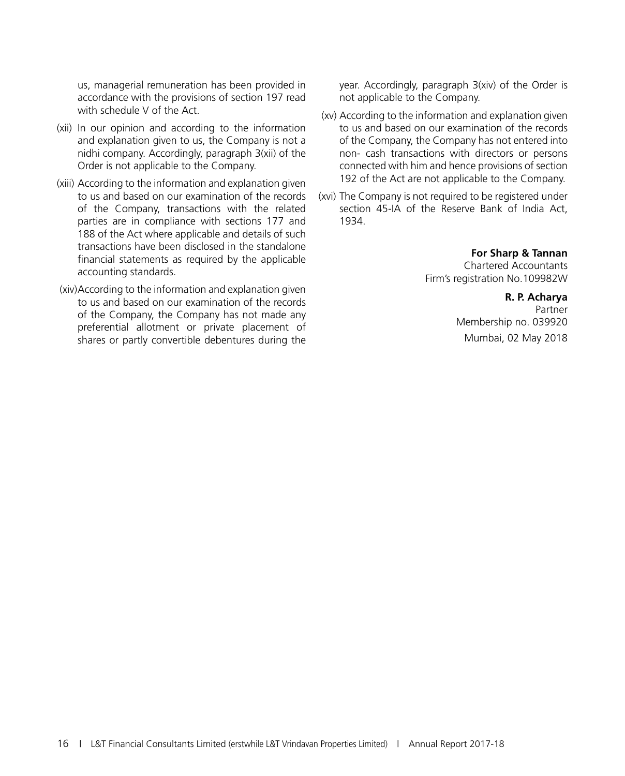us, managerial remuneration has been provided in accordance with the provisions of section 197 read with schedule V of the Act.

- (xii) In our opinion and according to the information and explanation given to us, the Company is not a nidhi company. Accordingly, paragraph 3(xii) of the Order is not applicable to the Company.
- (xiii) According to the information and explanation given to us and based on our examination of the records of the Company, transactions with the related parties are in compliance with sections 177 and 188 of the Act where applicable and details of such transactions have been disclosed in the standalone financial statements as required by the applicable accounting standards.
- (xiv)According to the information and explanation given to us and based on our examination of the records of the Company, the Company has not made any preferential allotment or private placement of shares or partly convertible debentures during the

year. Accordingly, paragraph 3(xiv) of the Order is not applicable to the Company.

- (xv) According to the information and explanation given to us and based on our examination of the records of the Company, the Company has not entered into non- cash transactions with directors or persons connected with him and hence provisions of section 192 of the Act are not applicable to the Company.
- (xvi) The Company is not required to be registered under section 45-IA of the Reserve Bank of India Act, 1934.

**For Sharp & Tannan**

Chartered Accountants Firm's registration No.109982W

> **R. P. Acharya** Partner Membership no. 039920 Mumbai, 02 May 2018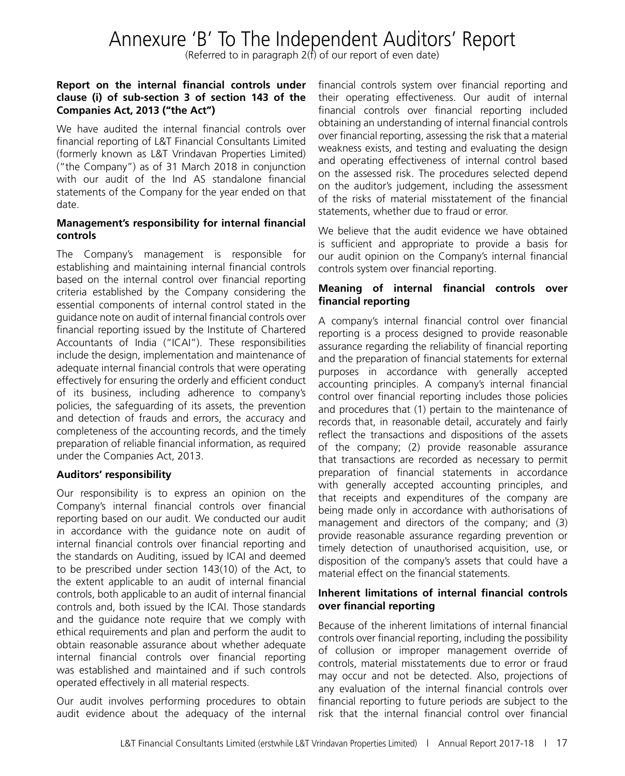# Annexure 'B' To The Independent Auditors' Report

(Referred to in paragraph 2(f) of our report of even date)

### **Report on the internal financial controls under clause (i) of sub-section 3 of section 143 of the Companies Act, 2013 ("the Act")**

We have audited the internal financial controls over financial reporting of L&T Financial Consultants Limited (formerly known as L&T Vrindavan Properties Limited) ("the Company") as of 31 March 2018 in conjunction with our audit of the Ind AS standalone financial statements of the Company for the year ended on that date.

### **Management's responsibility for internal financial controls**

The Company's management is responsible for establishing and maintaining internal financial controls based on the internal control over financial reporting criteria established by the Company considering the essential components of internal control stated in the guidance note on audit of internal financial controls over financial reporting issued by the Institute of Chartered Accountants of India ("ICAI"). These responsibilities include the design, implementation and maintenance of adequate internal financial controls that were operating effectively for ensuring the orderly and efficient conduct of its business, including adherence to company's policies, the safeguarding of its assets, the prevention and detection of frauds and errors, the accuracy and completeness of the accounting records, and the timely preparation of reliable financial information, as required under the Companies Act, 2013.

### **Auditors' responsibility**

Our responsibility is to express an opinion on the Company's internal financial controls over financial reporting based on our audit. We conducted our audit in accordance with the guidance note on audit of internal financial controls over financial reporting and the standards on Auditing, issued by ICAI and deemed to be prescribed under section 143(10) of the Act, to the extent applicable to an audit of internal financial controls, both applicable to an audit of internal financial controls and, both issued by the ICAI. Those standards and the guidance note require that we comply with ethical requirements and plan and perform the audit to obtain reasonable assurance about whether adequate internal financial controls over financial reporting was established and maintained and if such controls operated effectively in all material respects.

Our audit involves performing procedures to obtain audit evidence about the adequacy of the internal

financial controls system over financial reporting and their operating effectiveness. Our audit of internal financial controls over financial reporting included obtaining an understanding of internal financial controls over financial reporting, assessing the risk that a material weakness exists, and testing and evaluating the design and operating effectiveness of internal control based on the assessed risk. The procedures selected depend on the auditor's judgement, including the assessment of the risks of material misstatement of the financial statements, whether due to fraud or error.

We believe that the audit evidence we have obtained is sufficient and appropriate to provide a basis for our audit opinion on the Company's internal financial controls system over financial reporting.

### **Meaning of internal financial controls over financial reporting**

A company's internal financial control over financial reporting is a process designed to provide reasonable assurance regarding the reliability of financial reporting and the preparation of financial statements for external purposes in accordance with generally accepted accounting principles. A company's internal financial control over financial reporting includes those policies and procedures that (1) pertain to the maintenance of records that, in reasonable detail, accurately and fairly reflect the transactions and dispositions of the assets of the company; (2) provide reasonable assurance that transactions are recorded as necessary to permit preparation of financial statements in accordance with generally accepted accounting principles, and that receipts and expenditures of the company are being made only in accordance with authorisations of management and directors of the company; and (3) provide reasonable assurance regarding prevention or timely detection of unauthorised acquisition, use, or disposition of the company's assets that could have a material effect on the financial statements.

### **Inherent limitations of internal financial controls over financial reporting**

Because of the inherent limitations of internal financial controls over financial reporting, including the possibility of collusion or improper management override of controls, material misstatements due to error or fraud may occur and not be detected. Also, projections of any evaluation of the internal financial controls over financial reporting to future periods are subject to the risk that the internal financial control over financial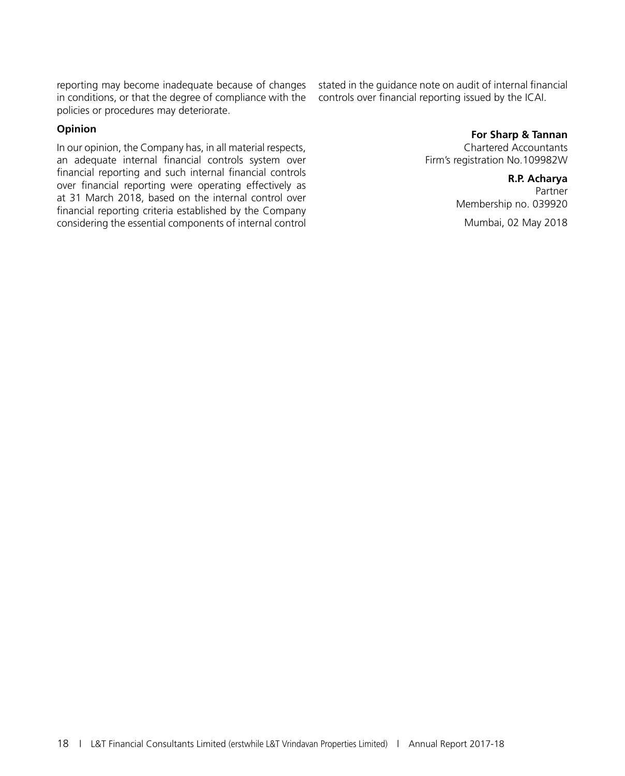reporting may become inadequate because of changes in conditions, or that the degree of compliance with the policies or procedures may deteriorate.

### **Opinion**

In our opinion, the Company has, in all material respects, an adequate internal financial controls system over financial reporting and such internal financial controls over financial reporting were operating effectively as at 31 March 2018, based on the internal control over financial reporting criteria established by the Company considering the essential components of internal control stated in the guidance note on audit of internal financial controls over financial reporting issued by the ICAI.

### **For Sharp & Tannan**

Chartered Accountants Firm's registration No.109982W

### **R.P. Acharya**

Partner Membership no. 039920

Mumbai, 02 May 2018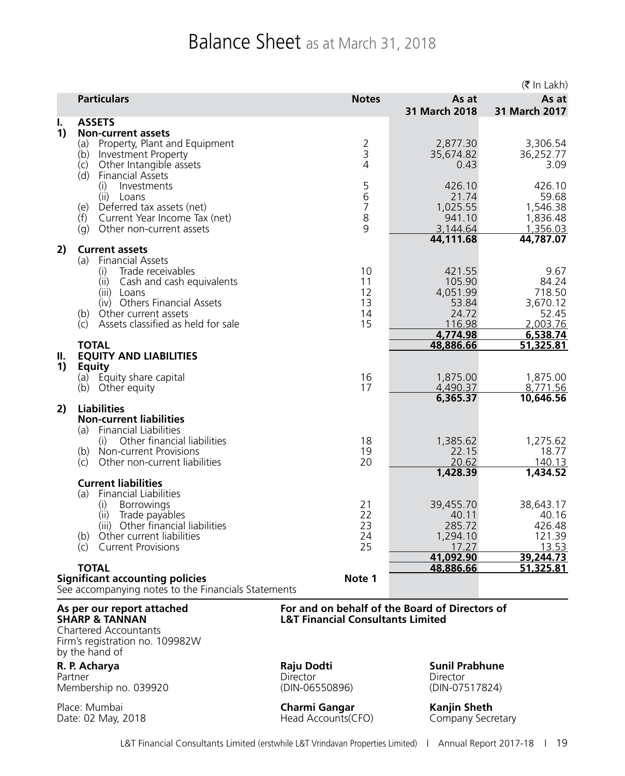# Balance Sheet as at March 31, 2018

|          |                                                                                                                                                                                                                         |                                    |                                                          | $($ ₹ In Lakh $)$                                        |
|----------|-------------------------------------------------------------------------------------------------------------------------------------------------------------------------------------------------------------------------|------------------------------------|----------------------------------------------------------|----------------------------------------------------------|
|          | <b>Particulars</b>                                                                                                                                                                                                      | <b>Notes</b>                       | As at<br>31 March 2018                                   | As at<br>31 March 2017                                   |
| ı.<br>1) | <b>ASSETS</b><br><b>Non-current assets</b>                                                                                                                                                                              |                                    |                                                          |                                                          |
|          | Property, Plant and Equipment<br>(a)<br>Investment Property<br>(b)<br>Other Intangible assets<br>(c)<br>(d)<br><b>Financial Assets</b>                                                                                  | $\frac{2}{3}$<br>$\overline{4}$    | 2,877.30<br>35,674.82<br>0.43                            | 3,306.54<br>36,252.77<br>3.09                            |
|          | Investments<br>(i)<br>(ii) Loans<br>(e) Deferred tax assets (net)<br>Current Year Income Tax (net)<br>(f)<br>Other non-current assets<br>(q)                                                                            | 5<br>$\overline{6}$<br>7<br>8<br>9 | 426.10<br>21.74<br>1,025.55<br>941.10<br>3,144.64        | 426.10<br>59.68<br>1,546.38<br>1,836.48<br>1,356.03      |
| 2)       | <b>Current assets</b>                                                                                                                                                                                                   |                                    | 44,111.68                                                | 44,787.07                                                |
|          | <b>Financial Assets</b><br>(a)<br>Trade receivables<br>(i)<br>(ii) Cash and cash equivalents<br>(iii) Loans<br>(iv) Others Financial Assets<br>Other current assets<br>(b)<br>Assets classified as held for sale<br>(C) | 10<br>11<br>12<br>13<br>14<br>15   | 421.55<br>105.90<br>4,051.99<br>53.84<br>24.72<br>116.98 | 9.67<br>84.24<br>718.50<br>3,670.12<br>52.45<br>2,003.76 |
|          | <b>TOTAL</b>                                                                                                                                                                                                            |                                    | 4,774.98<br>48,886.66                                    | 6,538.74<br>51,325.81                                    |
| П.       | <b>EQUITY AND LIABILITIES</b>                                                                                                                                                                                           |                                    |                                                          |                                                          |
| 1)       | <b>Equity</b><br>(a) Equity share capital<br>(b) Other equity                                                                                                                                                           | 16<br>17                           | 1,875.00<br>4,490.37<br>6,365.37                         | 1,875.00<br>8,771.56<br>10,646.56                        |
| 2)       | <b>Liabilities</b><br><b>Non-current liabilities</b>                                                                                                                                                                    |                                    |                                                          |                                                          |
|          | (a) Financial Liabilities<br>Other financial liabilities                                                                                                                                                                |                                    |                                                          |                                                          |
|          | (i)<br>Non-current Provisions<br>(b)<br>Other non-current liabilities<br>(C)                                                                                                                                            | 18<br>19<br>20                     | 1,385.62<br>22.15<br>20.62                               | 1,275.62<br>18.77<br>140.13                              |
|          | <b>Current liabilities</b>                                                                                                                                                                                              |                                    | 1,428.39                                                 | 1,434.52                                                 |
|          | (a)<br><b>Financial Liabilities</b>                                                                                                                                                                                     |                                    |                                                          |                                                          |
|          | Borrowings<br>(i)<br>(ii)<br>Trade payables                                                                                                                                                                             | 21<br>22                           | 39,455.70<br>40.11                                       | 38,643.17<br>40.16                                       |
|          | (iii) Other financial liabilities                                                                                                                                                                                       | 23                                 | 285.72                                                   | 426.48                                                   |
|          | (b) Other current liabilities<br><b>Current Provisions</b><br>(c)                                                                                                                                                       | 24<br>25                           | 1,294.10<br>17.27                                        | 121.39<br>13.53                                          |
|          | <b>TOTAL</b>                                                                                                                                                                                                            |                                    | 41,092.90<br>48,886.66                                   | 39,244.73<br>51,325.81                                   |
|          | <b>Significant accounting policies</b><br>See accompanying notes to the Financials Statements                                                                                                                           | Note 1                             |                                                          |                                                          |

Chartered Accountants Firm's registration no. 109982W by the hand of

Partner Director Director Director Director Director Director Membership no. 039920 (DIN-06550896) (DIN-07517824)

**As per our report attached For and on behalf of the Board of Directors of L&T Financial Consultants Limited** 

**R. P. Acharya Raju Dodti Sunil Prabhune**<br>Partner **Partner Sunil Prabhune Director Director Director** 

Place: Mumbai **Charmi Gangar Kanjin Sheth** Head Accounts(CFO)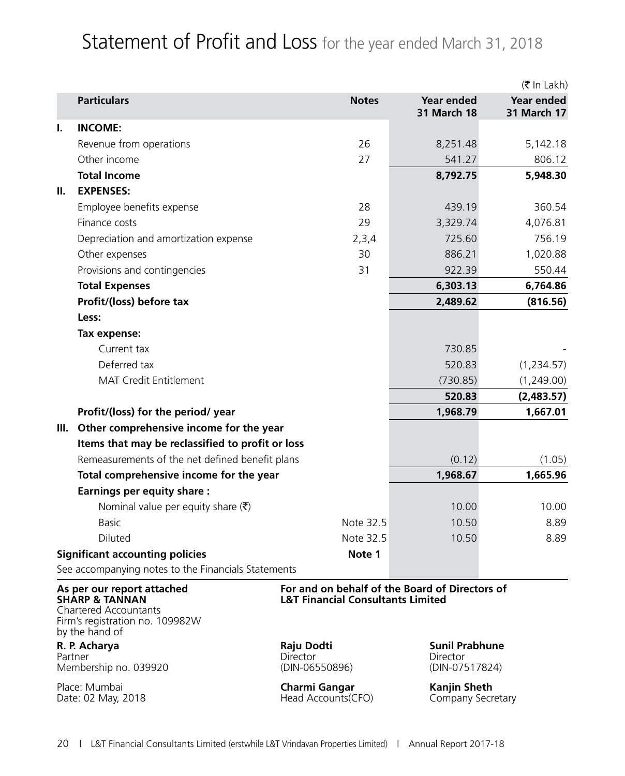# Statement of Profit and Loss for the year ended March 31, 2018

|      |                                                                                                                                              |                                                                                                |                                          | (₹ In Lakh)                      |
|------|----------------------------------------------------------------------------------------------------------------------------------------------|------------------------------------------------------------------------------------------------|------------------------------------------|----------------------------------|
|      | <b>Particulars</b>                                                                                                                           | <b>Notes</b>                                                                                   | <b>Year ended</b><br><b>31 March 18</b>  | Year ended<br><b>31 March 17</b> |
| L.   | <b>INCOME:</b>                                                                                                                               |                                                                                                |                                          |                                  |
|      | Revenue from operations                                                                                                                      | 26                                                                                             | 8,251.48                                 | 5,142.18                         |
|      | Other income                                                                                                                                 | 27                                                                                             | 541.27                                   | 806.12                           |
|      | <b>Total Income</b>                                                                                                                          |                                                                                                | 8,792.75                                 | 5,948.30                         |
| Ш.   | <b>EXPENSES:</b>                                                                                                                             |                                                                                                |                                          |                                  |
|      | Employee benefits expense                                                                                                                    | 28                                                                                             | 439.19                                   | 360.54                           |
|      | Finance costs                                                                                                                                | 29                                                                                             | 3,329.74                                 | 4,076.81                         |
|      | Depreciation and amortization expense                                                                                                        | 2,3,4                                                                                          | 725.60                                   | 756.19                           |
|      | Other expenses                                                                                                                               | 30                                                                                             | 886.21                                   | 1,020.88                         |
|      | Provisions and contingencies                                                                                                                 | 31                                                                                             | 922.39                                   | 550.44                           |
|      | <b>Total Expenses</b>                                                                                                                        |                                                                                                | 6,303.13                                 | 6,764.86                         |
|      | Profit/(loss) before tax                                                                                                                     |                                                                                                | 2,489.62                                 | (816.56)                         |
|      | Less:                                                                                                                                        |                                                                                                |                                          |                                  |
|      | Tax expense:                                                                                                                                 |                                                                                                |                                          |                                  |
|      | Current tax                                                                                                                                  |                                                                                                | 730.85                                   |                                  |
|      | Deferred tax                                                                                                                                 |                                                                                                | 520.83                                   | (1,234.57)                       |
|      | <b>MAT Credit Entitlement</b>                                                                                                                |                                                                                                | (730.85)                                 | (1,249.00)                       |
|      |                                                                                                                                              |                                                                                                | 520.83                                   | (2,483.57)                       |
|      | Profit/(loss) for the period/ year                                                                                                           |                                                                                                | 1,968.79                                 | 1,667.01                         |
| III. | Other comprehensive income for the year                                                                                                      |                                                                                                |                                          |                                  |
|      | Items that may be reclassified to profit or loss                                                                                             |                                                                                                |                                          |                                  |
|      |                                                                                                                                              | Remeasurements of the net defined benefit plans                                                |                                          |                                  |
|      | Total comprehensive income for the year                                                                                                      |                                                                                                | 1,968.67                                 | 1,665.96                         |
|      | <b>Earnings per equity share:</b>                                                                                                            |                                                                                                |                                          |                                  |
|      | Nominal value per equity share $(\bar{\zeta})$                                                                                               |                                                                                                | 10.00                                    | 10.00                            |
|      | <b>Basic</b>                                                                                                                                 | Note 32.5                                                                                      | 10.50                                    | 8.89                             |
|      | <b>Diluted</b>                                                                                                                               | Note 32.5                                                                                      | 10.50                                    | 8.89                             |
|      | <b>Significant accounting policies</b>                                                                                                       | Note 1                                                                                         |                                          |                                  |
|      | See accompanying notes to the Financials Statements                                                                                          |                                                                                                |                                          |                                  |
|      | As per our report attached<br><b>SHARP &amp; TANNAN</b><br><b>Chartered Accountants</b><br>Firm's registration no. 109982W<br>by the hand of | For and on behalf of the Board of Directors of<br><b>L&amp;T Financial Consultants Limited</b> |                                          |                                  |
|      | R. P. Acharya                                                                                                                                | Raju Dodti                                                                                     | <b>Sunil Prabhune</b>                    |                                  |
|      | Partner<br>Membership no. 039920                                                                                                             | <b>Director</b><br>(DIN-06550896)                                                              | Director<br>(DIN-07517824)               |                                  |
|      | Place: Mumbai<br>Date: 02 May, 2018                                                                                                          | <b>Charmi Gangar</b><br>Head Accounts(CFO)                                                     | <b>Kanjin Sheth</b><br>Company Secretary |                                  |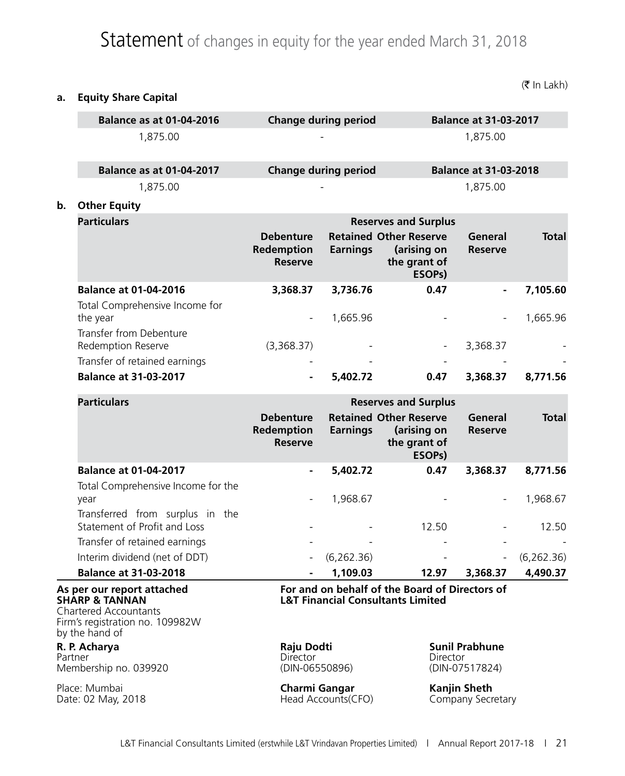# Statement of changes in equity for the year ended March 31, 2018

**a. Equity Share Capital**

|                                                                                                                            | <b>Balance as at 01-04-2016</b>                                       |                                                  | <b>Change during period</b> |                                                                                                | <b>Balance at 31-03-2017</b><br>1,875.00 |              |  |  |
|----------------------------------------------------------------------------------------------------------------------------|-----------------------------------------------------------------------|--------------------------------------------------|-----------------------------|------------------------------------------------------------------------------------------------|------------------------------------------|--------------|--|--|
|                                                                                                                            | 1,875.00                                                              |                                                  |                             |                                                                                                |                                          |              |  |  |
|                                                                                                                            | <b>Balance as at 01-04-2017</b>                                       |                                                  | <b>Change during period</b> |                                                                                                | <b>Balance at 31-03-2018</b>             |              |  |  |
|                                                                                                                            | 1,875.00                                                              |                                                  |                             |                                                                                                | 1,875.00                                 |              |  |  |
| b.                                                                                                                         | <b>Other Equity</b>                                                   |                                                  |                             |                                                                                                |                                          |              |  |  |
|                                                                                                                            | <b>Particulars</b>                                                    | <b>Reserves and Surplus</b>                      |                             |                                                                                                |                                          |              |  |  |
|                                                                                                                            |                                                                       | <b>Debenture</b><br>Redemption<br><b>Reserve</b> | <b>Earnings</b>             | <b>Retained Other Reserve</b><br>(arising on<br>the grant of<br>ESOP <sub>s</sub> )            | <b>General</b><br><b>Reserve</b>         | <b>Total</b> |  |  |
|                                                                                                                            | <b>Balance at 01-04-2016</b>                                          | 3,368.37                                         | 3,736.76                    | 0.47                                                                                           |                                          | 7,105.60     |  |  |
|                                                                                                                            | Total Comprehensive Income for<br>the year<br>Transfer from Debenture |                                                  | 1,665.96                    |                                                                                                |                                          | 1,665.96     |  |  |
|                                                                                                                            | Redemption Reserve                                                    | (3,368.37)                                       |                             | $\qquad \qquad -$                                                                              | 3,368.37                                 |              |  |  |
|                                                                                                                            | Transfer of retained earnings                                         |                                                  |                             |                                                                                                |                                          |              |  |  |
|                                                                                                                            | <b>Balance at 31-03-2017</b>                                          |                                                  | 5,402.72                    | 0.47                                                                                           | 3,368.37                                 | 8,771.56     |  |  |
|                                                                                                                            | <b>Particulars</b>                                                    | <b>Reserves and Surplus</b>                      |                             |                                                                                                |                                          |              |  |  |
|                                                                                                                            |                                                                       | <b>Debenture</b><br>Redemption<br><b>Reserve</b> | <b>Earnings</b>             | <b>Retained Other Reserve</b><br>(arising on<br>the grant of<br>ESOP <sub>s</sub> )            | General<br><b>Reserve</b>                | <b>Total</b> |  |  |
|                                                                                                                            | <b>Balance at 01-04-2017</b>                                          |                                                  | 5,402.72                    | 0.47                                                                                           | 3,368.37                                 | 8,771.56     |  |  |
|                                                                                                                            | Total Comprehensive Income for the<br>year                            |                                                  | 1,968.67                    |                                                                                                |                                          | 1,968.67     |  |  |
|                                                                                                                            | Transferred from surplus in the<br>Statement of Profit and Loss       |                                                  |                             | 12.50                                                                                          |                                          | 12.50        |  |  |
|                                                                                                                            | Transfer of retained earnings                                         |                                                  |                             |                                                                                                |                                          |              |  |  |
|                                                                                                                            | Interim dividend (net of DDT)                                         |                                                  | (6,262.36)                  |                                                                                                |                                          | (6,262.36)   |  |  |
|                                                                                                                            | <b>Balance at 31-03-2018</b>                                          |                                                  | 1,109.03                    | 12.97                                                                                          | 3,368.37                                 | 4,490.37     |  |  |
| As per our report attached<br>SHARP & TANNAN<br>Chartered Accountants<br>Firm's registration no. 109982W<br>by the hand of |                                                                       |                                                  |                             | For and on behalf of the Board of Directors of<br><b>L&amp;T Financial Consultants Limited</b> |                                          |              |  |  |
|                                                                                                                            | R. P. Acharya                                                         | Raju Dodti                                       |                             |                                                                                                | <b>Sunil Prabhune</b>                    |              |  |  |
|                                                                                                                            | Partner<br>Membership no. 039920                                      | Director<br>(DIN-06550896)                       |                             | Director<br>(DIN-07517824)                                                                     |                                          |              |  |  |
| Place: Mumbai<br>Date: 02 May, 2018                                                                                        |                                                                       | <b>Charmi Gangar</b><br>Head Accounts(CFO)       |                             | <b>Kanjin Sheth</b><br>Company Secretary                                                       |                                          |              |  |  |

 $(\bar{\bar{\tau}}$  In Lakh)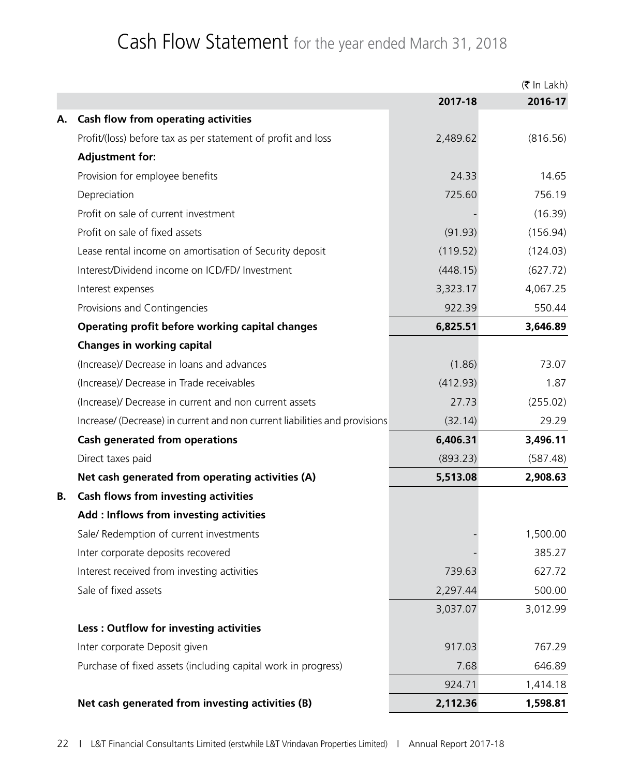# Cash Flow Statement for the year ended March 31, 2018

|    |                                                                            |          | $(5 \text{ In } \text{Lakh})$ |
|----|----------------------------------------------------------------------------|----------|-------------------------------|
|    |                                                                            | 2017-18  | 2016-17                       |
| А. | <b>Cash flow from operating activities</b>                                 |          |                               |
|    | Profit/(loss) before tax as per statement of profit and loss               | 2,489.62 | (816.56)                      |
|    | <b>Adjustment for:</b>                                                     |          |                               |
|    | Provision for employee benefits                                            | 24.33    | 14.65                         |
|    | Depreciation                                                               | 725.60   | 756.19                        |
|    | Profit on sale of current investment                                       |          | (16.39)                       |
|    | Profit on sale of fixed assets                                             | (91.93)  | (156.94)                      |
|    | Lease rental income on amortisation of Security deposit                    | (119.52) | (124.03)                      |
|    | Interest/Dividend income on ICD/FD/ Investment                             | (448.15) | (627.72)                      |
|    | Interest expenses                                                          | 3,323.17 | 4,067.25                      |
|    | Provisions and Contingencies                                               | 922.39   | 550.44                        |
|    | Operating profit before working capital changes                            | 6,825.51 | 3,646.89                      |
|    | <b>Changes in working capital</b>                                          |          |                               |
|    | (Increase)/ Decrease in loans and advances                                 | (1.86)   | 73.07                         |
|    | (Increase)/ Decrease in Trade receivables                                  | (412.93) | 1.87                          |
|    | (Increase)/ Decrease in current and non current assets                     | 27.73    | (255.02)                      |
|    | Increase/ (Decrease) in current and non current liabilities and provisions | (32.14)  | 29.29                         |
|    | <b>Cash generated from operations</b>                                      | 6,406.31 | 3,496.11                      |
|    | Direct taxes paid                                                          | (893.23) | (587.48)                      |
|    | Net cash generated from operating activities (A)                           | 5,513.08 | 2,908.63                      |
| В. | <b>Cash flows from investing activities</b>                                |          |                               |
|    | Add : Inflows from investing activities                                    |          |                               |
|    | Sale/ Redemption of current investments                                    |          | 1,500.00                      |
|    | Inter corporate deposits recovered                                         |          | 385.27                        |
|    | Interest received from investing activities                                | 739.63   | 627.72                        |
|    | Sale of fixed assets                                                       | 2,297.44 | 500.00                        |
|    |                                                                            | 3,037.07 | 3,012.99                      |
|    | Less: Outflow for investing activities                                     |          |                               |
|    | Inter corporate Deposit given                                              | 917.03   | 767.29                        |
|    | Purchase of fixed assets (including capital work in progress)              | 7.68     | 646.89                        |
|    |                                                                            | 924.71   | 1,414.18                      |
|    | Net cash generated from investing activities (B)                           | 2,112.36 | 1,598.81                      |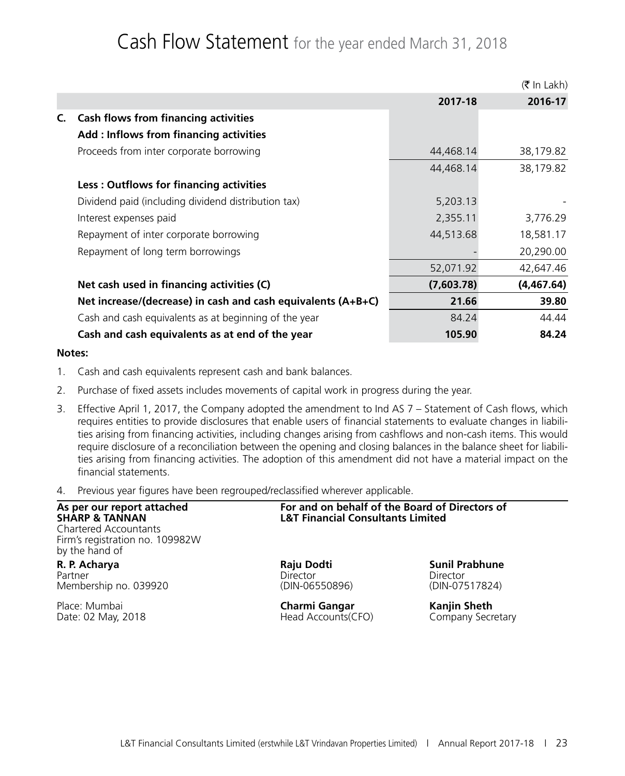# Cash Flow Statement for the year ended March 31, 2018

|                                                                |            | $(\bar{\bar{\mathbf{x}}}$ In Lakh) |
|----------------------------------------------------------------|------------|------------------------------------|
|                                                                | 2017-18    | 2016-17                            |
| <b>Cash flows from financing activities</b><br>C.              |            |                                    |
| Add : Inflows from financing activities                        |            |                                    |
| Proceeds from inter corporate borrowing                        | 44,468.14  | 38,179.82                          |
|                                                                | 44,468.14  | 38,179.82                          |
| <b>Less: Outflows for financing activities</b>                 |            |                                    |
| Dividend paid (including dividend distribution tax)            | 5,203.13   |                                    |
| Interest expenses paid                                         | 2,355.11   | 3,776.29                           |
| Repayment of inter corporate borrowing                         | 44,513.68  | 18,581.17                          |
| Repayment of long term borrowings                              |            | 20,290.00                          |
|                                                                | 52,071.92  | 42,647.46                          |
| Net cash used in financing activities (C)                      | (7,603.78) | (4,467.64)                         |
| Net increase/(decrease) in cash and cash equivalents $(A+B+C)$ | 21.66      | 39.80                              |
| Cash and cash equivalents as at beginning of the year          | 84.24      | 44.44                              |
| Cash and cash equivalents as at end of the year                | 105.90     | 84.24                              |

### **Notes:**

- 1. Cash and cash equivalents represent cash and bank balances.
- 2. Purchase of fixed assets includes movements of capital work in progress during the year.
- 3. Effective April 1, 2017, the Company adopted the amendment to Ind AS 7 Statement of Cash flows, which requires entities to provide disclosures that enable users of financial statements to evaluate changes in liabilities arising from financing activities, including changes arising from cashflows and non-cash items. This would require disclosure of a reconciliation between the opening and closing balances in the balance sheet for liabilities arising from financing activities. The adoption of this amendment did not have a material impact on the financial statements.
- 4. Previous year figures have been regrouped/reclassified wherever applicable.

| As per our report attached<br>SHARP & TANNAN<br>Chartered Accountants<br>Firm's registration no. 109982W<br>by the hand of | For and on behalf of the Board of Directors of<br><b>L&amp;T Financial Consultants Limited</b> |                       |  |  |  |
|----------------------------------------------------------------------------------------------------------------------------|------------------------------------------------------------------------------------------------|-----------------------|--|--|--|
| R. P. Acharya                                                                                                              | Raju Dodti                                                                                     | <b>Sunil Prabhune</b> |  |  |  |
| Partner                                                                                                                    | <b>Director</b>                                                                                | Director              |  |  |  |
| Membership no. 039920                                                                                                      | (DIN-06550896)                                                                                 | (DIN-07517824)        |  |  |  |
| Place: Mumbai                                                                                                              | Charmi Gangar                                                                                  | <b>Kanjin Sheth</b>   |  |  |  |
| Date: 02 May, 2018                                                                                                         | Head Accounts(CFO)                                                                             | Company Secretary     |  |  |  |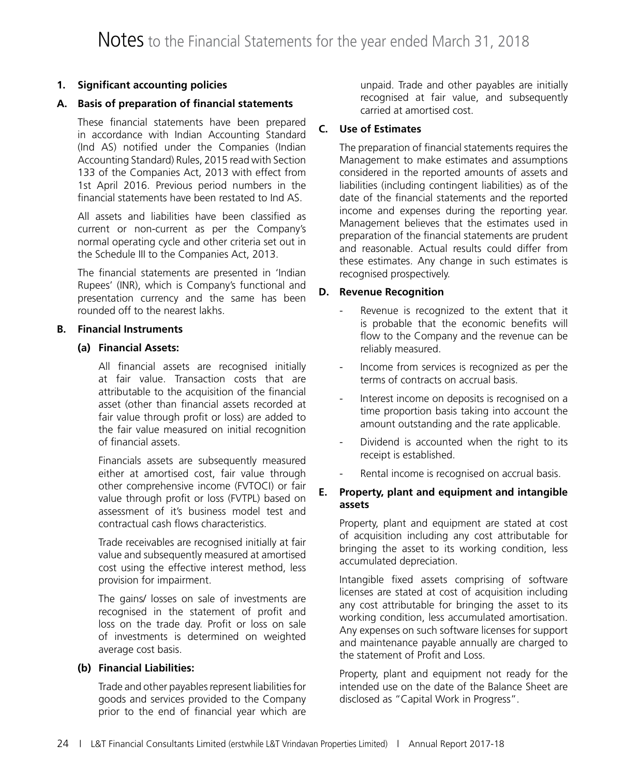## **1. Significant accounting policies**

### **A. Basis of preparation of financial statements**

These financial statements have been prepared in accordance with Indian Accounting Standard (Ind AS) notified under the Companies (Indian Accounting Standard) Rules, 2015 read with Section 133 of the Companies Act, 2013 with effect from 1st April 2016. Previous period numbers in the financial statements have been restated to Ind AS.

All assets and liabilities have been classified as current or non-current as per the Company's normal operating cycle and other criteria set out in the Schedule III to the Companies Act, 2013.

The financial statements are presented in 'Indian Rupees' (INR), which is Company's functional and presentation currency and the same has been rounded off to the nearest lakhs.

### **B. Financial Instruments**

### **(a) Financial Assets:**

 All financial assets are recognised initially at fair value. Transaction costs that are attributable to the acquisition of the financial asset (other than financial assets recorded at fair value through profit or loss) are added to the fair value measured on initial recognition of financial assets.

 Financials assets are subsequently measured either at amortised cost, fair value through other comprehensive income (FVTOCI) or fair value through profit or loss (FVTPL) based on assessment of it's business model test and contractual cash flows characteristics.

 Trade receivables are recognised initially at fair value and subsequently measured at amortised cost using the effective interest method, less provision for impairment.

 The gains/ losses on sale of investments are recognised in the statement of profit and loss on the trade day. Profit or loss on sale of investments is determined on weighted average cost basis.

### **(b) Financial Liabilities:**

 Trade and other payables represent liabilities for goods and services provided to the Company prior to the end of financial year which are

unpaid. Trade and other payables are initially recognised at fair value, and subsequently carried at amortised cost.

### **C. Use of Estimates**

The preparation of financial statements requires the Management to make estimates and assumptions considered in the reported amounts of assets and liabilities (including contingent liabilities) as of the date of the financial statements and the reported income and expenses during the reporting year. Management believes that the estimates used in preparation of the financial statements are prudent and reasonable. Actual results could differ from these estimates. Any change in such estimates is recognised prospectively.

### **D. Revenue Recognition**

- Revenue is recognized to the extent that it is probable that the economic benefits will flow to the Company and the revenue can be reliably measured.
- Income from services is recognized as per the terms of contracts on accrual basis.
- Interest income on deposits is recognised on a time proportion basis taking into account the amount outstanding and the rate applicable.
- Dividend is accounted when the right to its receipt is established.
- Rental income is recognised on accrual basis.

### **E. Property, plant and equipment and intangible assets**

Property, plant and equipment are stated at cost of acquisition including any cost attributable for bringing the asset to its working condition, less accumulated depreciation.

Intangible fixed assets comprising of software licenses are stated at cost of acquisition including any cost attributable for bringing the asset to its working condition, less accumulated amortisation. Any expenses on such software licenses for support and maintenance payable annually are charged to the statement of Profit and Loss.

Property, plant and equipment not ready for the intended use on the date of the Balance Sheet are disclosed as "Capital Work in Progress".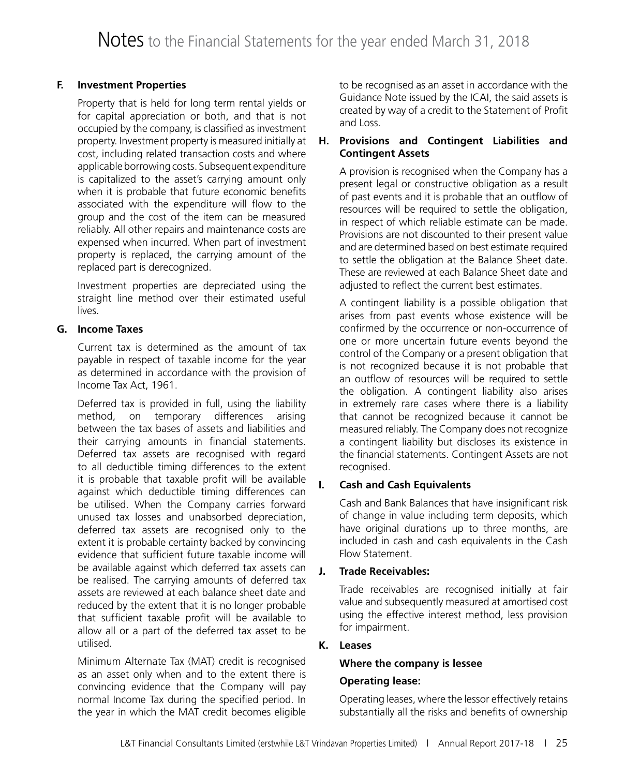### **F. Investment Properties**

Property that is held for long term rental yields or for capital appreciation or both, and that is not occupied by the company, is classified as investment property. Investment property is measured initially at cost, including related transaction costs and where applicable borrowing costs. Subsequent expenditure is capitalized to the asset's carrying amount only when it is probable that future economic benefits associated with the expenditure will flow to the group and the cost of the item can be measured reliably. All other repairs and maintenance costs are expensed when incurred. When part of investment property is replaced, the carrying amount of the replaced part is derecognized.

Investment properties are depreciated using the straight line method over their estimated useful lives.

### **G. Income Taxes**

Current tax is determined as the amount of tax payable in respect of taxable income for the year as determined in accordance with the provision of Income Tax Act, 1961.

Deferred tax is provided in full, using the liability method, on temporary differences arising between the tax bases of assets and liabilities and their carrying amounts in financial statements. Deferred tax assets are recognised with regard to all deductible timing differences to the extent it is probable that taxable profit will be available against which deductible timing differences can be utilised. When the Company carries forward unused tax losses and unabsorbed depreciation, deferred tax assets are recognised only to the extent it is probable certainty backed by convincing evidence that sufficient future taxable income will be available against which deferred tax assets can be realised. The carrying amounts of deferred tax assets are reviewed at each balance sheet date and reduced by the extent that it is no longer probable that sufficient taxable profit will be available to allow all or a part of the deferred tax asset to be utilised.

Minimum Alternate Tax (MAT) credit is recognised as an asset only when and to the extent there is convincing evidence that the Company will pay normal Income Tax during the specified period. In the year in which the MAT credit becomes eligible

to be recognised as an asset in accordance with the Guidance Note issued by the ICAI, the said assets is created by way of a credit to the Statement of Profit and Loss.

### **H. Provisions and Contingent Liabilities and Contingent Assets**

A provision is recognised when the Company has a present legal or constructive obligation as a result of past events and it is probable that an outflow of resources will be required to settle the obligation, in respect of which reliable estimate can be made. Provisions are not discounted to their present value and are determined based on best estimate required to settle the obligation at the Balance Sheet date. These are reviewed at each Balance Sheet date and adjusted to reflect the current best estimates.

A contingent liability is a possible obligation that arises from past events whose existence will be confirmed by the occurrence or non-occurrence of one or more uncertain future events beyond the control of the Company or a present obligation that is not recognized because it is not probable that an outflow of resources will be required to settle the obligation. A contingent liability also arises in extremely rare cases where there is a liability that cannot be recognized because it cannot be measured reliably. The Company does not recognize a contingent liability but discloses its existence in the financial statements. Contingent Assets are not recognised.

## **I. Cash and Cash Equivalents**

Cash and Bank Balances that have insignificant risk of change in value including term deposits, which have original durations up to three months, are included in cash and cash equivalents in the Cash Flow Statement.

## **J. Trade Receivables:**

Trade receivables are recognised initially at fair value and subsequently measured at amortised cost using the effective interest method, less provision for impairment.

## **K. Leases**

### **Where the company is lessee**

## **Operating lease:**

Operating leases, where the lessor effectively retains substantially all the risks and benefits of ownership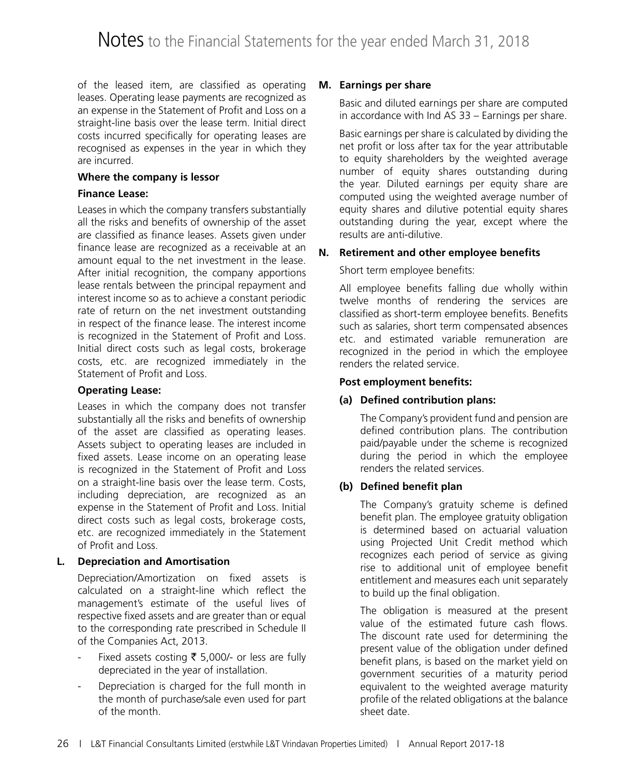of the leased item, are classified as operating leases. Operating lease payments are recognized as an expense in the Statement of Profit and Loss on a straight-line basis over the lease term. Initial direct costs incurred specifically for operating leases are recognised as expenses in the year in which they are incurred.

### **Where the company is lessor**

### **Finance Lease:**

Leases in which the company transfers substantially all the risks and benefits of ownership of the asset are classified as finance leases. Assets given under finance lease are recognized as a receivable at an amount equal to the net investment in the lease. After initial recognition, the company apportions lease rentals between the principal repayment and interest income so as to achieve a constant periodic rate of return on the net investment outstanding in respect of the finance lease. The interest income is recognized in the Statement of Profit and Loss. Initial direct costs such as legal costs, brokerage costs, etc. are recognized immediately in the Statement of Profit and Loss.

### **Operating Lease:**

Leases in which the company does not transfer substantially all the risks and benefits of ownership of the asset are classified as operating leases. Assets subject to operating leases are included in fixed assets. Lease income on an operating lease is recognized in the Statement of Profit and Loss on a straight-line basis over the lease term. Costs, including depreciation, are recognized as an expense in the Statement of Profit and Loss. Initial direct costs such as legal costs, brokerage costs, etc. are recognized immediately in the Statement of Profit and Loss.

### **L. Depreciation and Amortisation**

Depreciation/Amortization on fixed assets is calculated on a straight-line which reflect the management's estimate of the useful lives of respective fixed assets and are greater than or equal to the corresponding rate prescribed in Schedule II of the Companies Act, 2013.

- Fixed assets costing  $\bar{\bar{\xi}}$  5,000/- or less are fully depreciated in the year of installation.
- Depreciation is charged for the full month in the month of purchase/sale even used for part of the month.

### **M. Earnings per share**

Basic and diluted earnings per share are computed in accordance with Ind AS 33 – Earnings per share.

Basic earnings per share is calculated by dividing the net profit or loss after tax for the year attributable to equity shareholders by the weighted average number of equity shares outstanding during the year. Diluted earnings per equity share are computed using the weighted average number of equity shares and dilutive potential equity shares outstanding during the year, except where the results are anti-dilutive.

### **N. Retirement and other employee benefits**

### Short term employee benefits:

All employee benefits falling due wholly within twelve months of rendering the services are classified as short-term employee benefits. Benefits such as salaries, short term compensated absences etc. and estimated variable remuneration are recognized in the period in which the employee renders the related service.

### **Post employment benefits:**

### **(a) Defined contribution plans:**

 The Company's provident fund and pension are defined contribution plans. The contribution paid/payable under the scheme is recognized during the period in which the employee renders the related services.

### **(b) Defined benefit plan**

 The Company's gratuity scheme is defined benefit plan. The employee gratuity obligation is determined based on actuarial valuation using Projected Unit Credit method which recognizes each period of service as giving rise to additional unit of employee benefit entitlement and measures each unit separately to build up the final obligation.

 The obligation is measured at the present value of the estimated future cash flows. The discount rate used for determining the present value of the obligation under defined benefit plans, is based on the market yield on government securities of a maturity period equivalent to the weighted average maturity profile of the related obligations at the balance sheet date.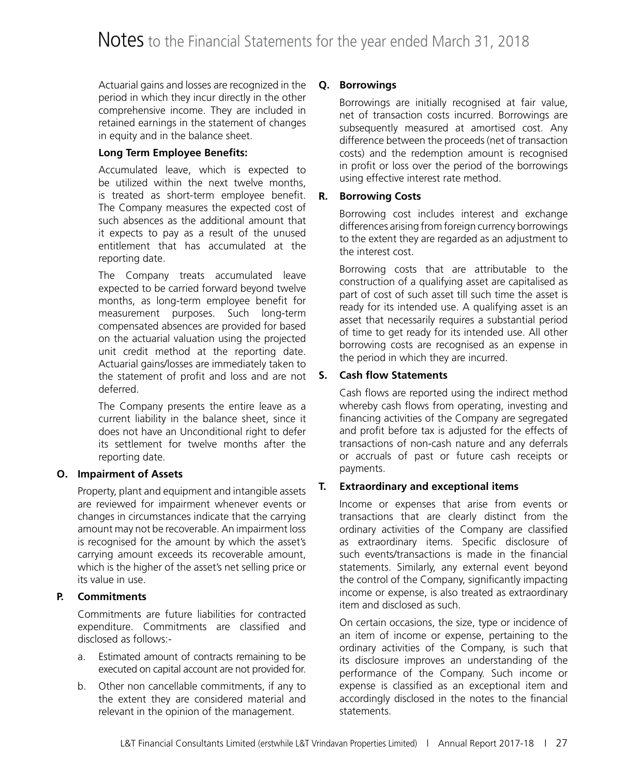Actuarial gains and losses are recognized in the period in which they incur directly in the other comprehensive income. They are included in retained earnings in the statement of changes in equity and in the balance sheet.

### **Long Term Employee Benefits:**

 Accumulated leave, which is expected to be utilized within the next twelve months, is treated as short-term employee benefit. The Company measures the expected cost of such absences as the additional amount that it expects to pay as a result of the unused entitlement that has accumulated at the reporting date.

 The Company treats accumulated leave expected to be carried forward beyond twelve months, as long-term employee benefit for measurement purposes. Such long-term compensated absences are provided for based on the actuarial valuation using the projected unit credit method at the reporting date. Actuarial gains/losses are immediately taken to the statement of profit and loss and are not deferred.

 The Company presents the entire leave as a current liability in the balance sheet, since it does not have an Unconditional right to defer its settlement for twelve months after the reporting date.

### **O. Impairment of Assets**

Property, plant and equipment and intangible assets are reviewed for impairment whenever events or changes in circumstances indicate that the carrying amount may not be recoverable. An impairment loss is recognised for the amount by which the asset's carrying amount exceeds its recoverable amount, which is the higher of the asset's net selling price or its value in use.

### **P. Commitments**

Commitments are future liabilities for contracted expenditure. Commitments are classified and disclosed as follows:-

- a. Estimated amount of contracts remaining to be executed on capital account are not provided for.
- b. Other non cancellable commitments, if any to the extent they are considered material and relevant in the opinion of the management.

### **Q. Borrowings**

Borrowings are initially recognised at fair value, net of transaction costs incurred. Borrowings are subsequently measured at amortised cost. Any difference between the proceeds (net of transaction costs) and the redemption amount is recognised in profit or loss over the period of the borrowings using effective interest rate method.

### **R. Borrowing Costs**

Borrowing cost includes interest and exchange differences arising from foreign currency borrowings to the extent they are regarded as an adjustment to the interest cost.

Borrowing costs that are attributable to the construction of a qualifying asset are capitalised as part of cost of such asset till such time the asset is ready for its intended use. A qualifying asset is an asset that necessarily requires a substantial period of time to get ready for its intended use. All other borrowing costs are recognised as an expense in the period in which they are incurred.

### **S. Cash flow Statements**

Cash flows are reported using the indirect method whereby cash flows from operating, investing and financing activities of the Company are segregated and profit before tax is adjusted for the effects of transactions of non-cash nature and any deferrals or accruals of past or future cash receipts or payments.

### **T. Extraordinary and exceptional items**

Income or expenses that arise from events or transactions that are clearly distinct from the ordinary activities of the Company are classified as extraordinary items. Specific disclosure of such events/transactions is made in the financial statements. Similarly, any external event beyond the control of the Company, significantly impacting income or expense, is also treated as extraordinary item and disclosed as such.

On certain occasions, the size, type or incidence of an item of income or expense, pertaining to the ordinary activities of the Company, is such that its disclosure improves an understanding of the performance of the Company. Such income or expense is classified as an exceptional item and accordingly disclosed in the notes to the financial statements.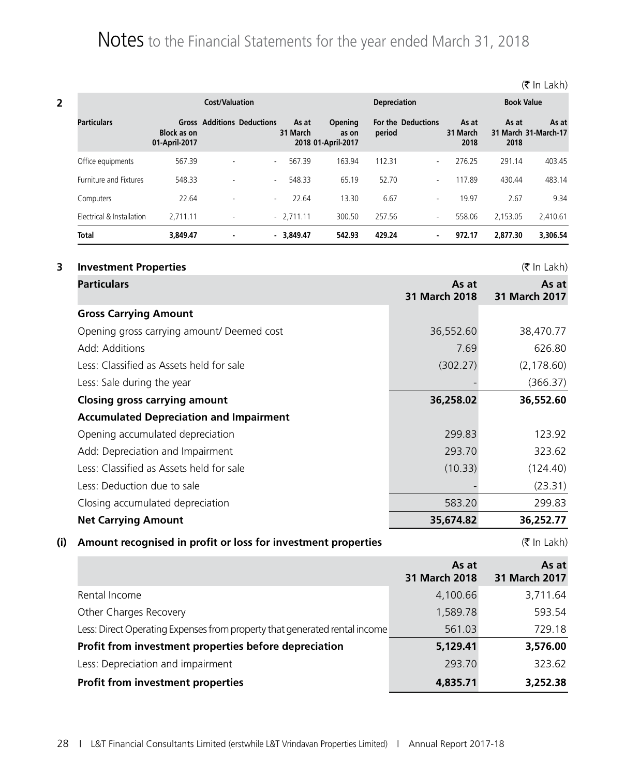|                               |                                     |                                   | <b>Cost/Valuation</b> |                                               |        | <b>Depreciation</b>       |                           |               | <b>Book Value</b>             |  |
|-------------------------------|-------------------------------------|-----------------------------------|-----------------------|-----------------------------------------------|--------|---------------------------|---------------------------|---------------|-------------------------------|--|
| <b>Particulars</b>            | <b>Block as on</b><br>01-April-2017 | <b>Gross Additions Deductions</b> | As at<br>31 March     | <b>Opening</b><br>as on<br>2018 01-April-2017 | period | <b>For the Deductions</b> | As at<br>31 March<br>2018 | As at<br>2018 | As at<br>31 March 31-March-17 |  |
| Office equipments             | 567.39                              | $\overline{\phantom{a}}$          | 567.39<br>$\sim$      | 163.94                                        | 112.31 | $\overline{\phantom{a}}$  | 276.25                    | 291.14        | 403.45                        |  |
| <b>Furniture and Fixtures</b> | 548.33                              | $\overline{\phantom{a}}$          | 548.33<br>$\sim$      | 65.19                                         | 52.70  | $\overline{\phantom{a}}$  | 17.89                     | 430.44        | 483.14                        |  |
| Computers                     | 22.64                               | $\overline{\phantom{a}}$          | 22.64<br>$\sim$       | 13.30                                         | 6.67   | $\overline{\phantom{a}}$  | 19.97                     | 2.67          | 9.34                          |  |
| Electrical & Installation     | 2.711.11                            | $\blacksquare$                    | $-2.711.11$           | 300.50                                        | 257.56 | $\overline{\phantom{a}}$  | 558.06                    | 2.153.05      | 2.410.61                      |  |
| <b>Total</b>                  | 3.849.47                            | $\blacksquare$                    | $-3.849.47$           | 542.93                                        | 429.24 | $\blacksquare$            | 972.17                    | 2.877.30      | 3.306.54                      |  |

### **3 Investment Properties** (₹ In Lakh)

| <b>Particulars</b>                             | As at<br>31 March 2018 | As at<br>31 March 2017 |
|------------------------------------------------|------------------------|------------------------|
| <b>Gross Carrying Amount</b>                   |                        |                        |
| Opening gross carrying amount/ Deemed cost     | 36,552.60              | 38,470.77              |
| Add: Additions                                 | 7.69                   | 626.80                 |
| Less: Classified as Assets held for sale       | (302.27)               | (2, 178.60)            |
| Less: Sale during the year                     |                        | (366.37)               |
| <b>Closing gross carrying amount</b>           | 36,258.02              | 36,552.60              |
| <b>Accumulated Depreciation and Impairment</b> |                        |                        |
| Opening accumulated depreciation               | 299.83                 | 123.92                 |
| Add: Depreciation and Impairment               | 293.70                 | 323.62                 |
| Less: Classified as Assets held for sale       | (10.33)                | (124.40)               |
| Less: Deduction due to sale                    |                        | (23.31)                |
| Closing accumulated depreciation               | 583.20                 | 299.83                 |
| <b>Net Carrying Amount</b>                     | 35,674.82              | 36,252.77              |

# **(i)** Amount recognised in profit or loss for investment properties  $( ₹ \ln \text{Lakh})$

|                                                                            | As at<br>31 March 2018 | As at<br>31 March 2017 |
|----------------------------------------------------------------------------|------------------------|------------------------|
| Rental Income                                                              | 4,100.66               | 3,711.64               |
| Other Charges Recovery                                                     | 1,589.78               | 593.54                 |
| Less: Direct Operating Expenses from property that generated rental income | 561.03                 | 729.18                 |
| Profit from investment properties before depreciation                      | 5,129.41               | 3,576.00               |
| Less: Depreciation and impairment                                          | 293.70                 | 323.62                 |
| <b>Profit from investment properties</b>                                   | 4,835.71               | 3,252.38               |

(そ In Lakh)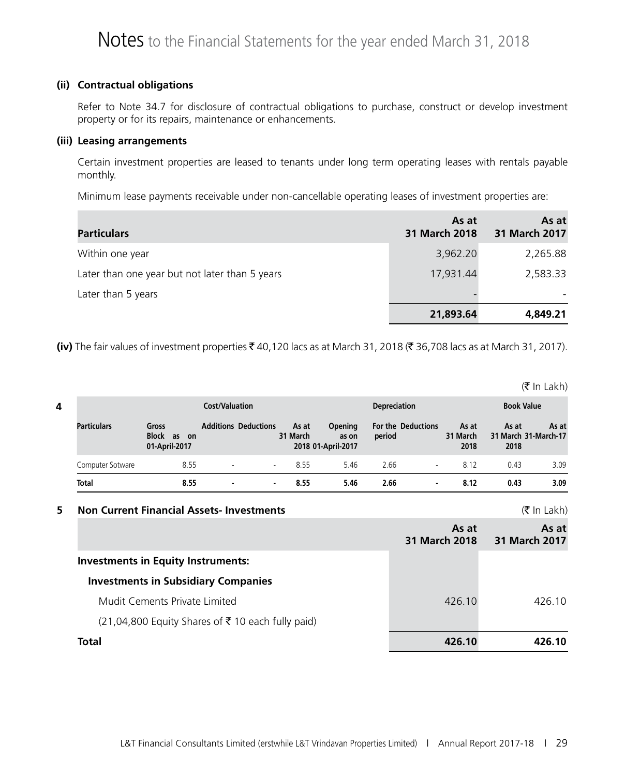### **(ii) Contractual obligations**

Refer to Note 34.7 for disclosure of contractual obligations to purchase, construct or develop investment property or for its repairs, maintenance or enhancements.

### **(iii) Leasing arrangements**

Certain investment properties are leased to tenants under long term operating leases with rentals payable monthly.

Minimum lease payments receivable under non-cancellable operating leases of investment properties are:

| <b>Particulars</b>                             | As at<br>31 March 2018 | As at<br>31 March 2017 |
|------------------------------------------------|------------------------|------------------------|
| Within one year                                | 3,962.20               | 2,265.88               |
| Later than one year but not later than 5 years | 17,931.44              | 2,583.33               |
| Later than 5 years                             |                        |                        |
|                                                | 21,893.64              | 4,849.21               |

**(iv)** The fair values of investment properties ₹40,120 lacs as at March 31, 2018 (₹ 36,708 lacs as at March 31, 2017).

 $(\bar{\bar{\mathbf{z}}}$  In Lakh)

| 4 | <b>Cost/Valuation</b> |                                          |                          |                             |                   |                                        | <b>Book Value</b><br><b>Depreciation</b> |                           |                           |               |                               |
|---|-----------------------|------------------------------------------|--------------------------|-----------------------------|-------------------|----------------------------------------|------------------------------------------|---------------------------|---------------------------|---------------|-------------------------------|
|   | <b>Particulars</b>    | Gross<br>Block as<br>on<br>01-April-2017 |                          | <b>Additions Deductions</b> | As at<br>31 March | Opening<br>as on<br>2018 01-April-2017 | period                                   | <b>For the Deductions</b> | As at<br>31 March<br>2018 | As at<br>2018 | As at<br>31 March 31-March-17 |
|   | Computer Sotware      | 8.55                                     | $\overline{\phantom{a}}$ | $\sim$                      | 8.55              | 5.46                                   | 2.66                                     | $\overline{\phantom{a}}$  | 8.12                      | 0.43          | 3.09                          |
|   | <b>Total</b>          | 8.55                                     | $\blacksquare$           | . .                         | 8.55              | 5.46                                   | 2.66                                     | $\blacksquare$            | 8.12                      | 0.43          | 3.09                          |

### **5 Non Current Financial Assets- Investments** (` In Lakh)

|                                                    | As at<br>31 March 2018 | As at<br>31 March 2017 |
|----------------------------------------------------|------------------------|------------------------|
| <b>Investments in Equity Instruments:</b>          |                        |                        |
| <b>Investments in Subsidiary Companies</b>         |                        |                        |
| Mudit Cements Private Limited                      | 426.10                 | 426.10                 |
| $(21,04,800$ Equity Shares of ₹10 each fully paid) |                        |                        |
| Total                                              | 426.10                 | 426.10                 |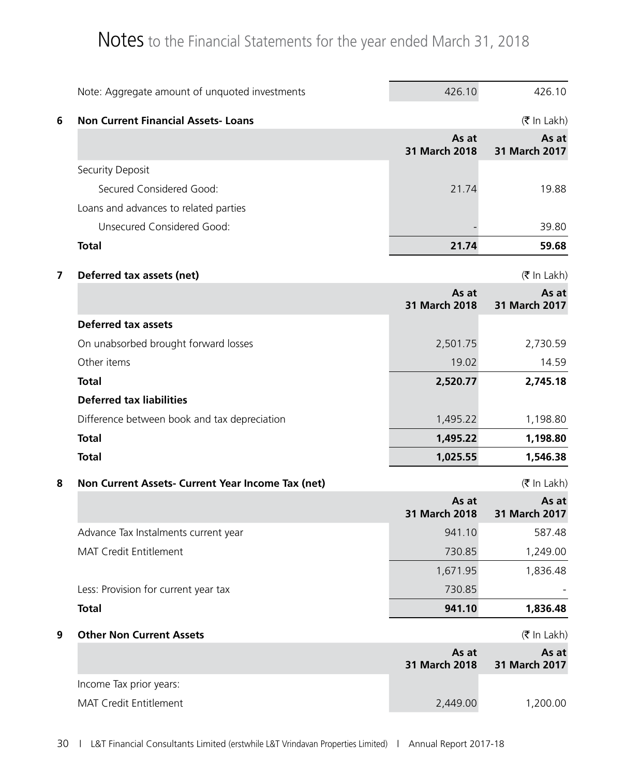|   | Note: Aggregate amount of unquoted investments    | 426.10                 | 426.10                             |
|---|---------------------------------------------------|------------------------|------------------------------------|
| 6 | <b>Non Current Financial Assets-Loans</b>         |                        | $(\bar{\bar{\mathbf{z}}}$ In Lakh) |
|   |                                                   | As at<br>31 March 2018 | As at<br>31 March 2017             |
|   | Security Deposit                                  |                        |                                    |
|   | Secured Considered Good:                          | 21.74                  | 19.88                              |
|   | Loans and advances to related parties             |                        |                                    |
|   | Unsecured Considered Good:                        |                        | 39.80                              |
|   | <b>Total</b>                                      | 21.74                  | 59.68                              |
| 7 | Deferred tax assets (net)                         |                        | $(\bar{\bar{\mathbf{z}}}$ In Lakh) |
|   |                                                   | As at<br>31 March 2018 | As at<br>31 March 2017             |
|   | <b>Deferred tax assets</b>                        |                        |                                    |
|   | On unabsorbed brought forward losses              | 2,501.75               | 2,730.59                           |
|   | Other items                                       | 19.02                  | 14.59                              |
|   | <b>Total</b>                                      | 2,520.77               | 2,745.18                           |
|   | <b>Deferred tax liabilities</b>                   |                        |                                    |
|   | Difference between book and tax depreciation      | 1,495.22               | 1,198.80                           |
|   | <b>Total</b>                                      | 1,495.22               | 1,198.80                           |
|   | <b>Total</b>                                      | 1,025.55               | 1,546.38                           |
| 8 | Non Current Assets- Current Year Income Tax (net) |                        | $(\bar{\bar{\mathbf{z}}}$ In Lakh) |
|   |                                                   | As at<br>31 March 2018 | As at<br>31 March 2017             |
|   | Advance Tax Instalments current year              | 941.10                 | 587.48                             |
|   | MAT Credit Entitlement                            | 730.85                 | 1,249.00                           |
|   |                                                   | 1,671.95               | 1,836.48                           |
|   | Less: Provision for current year tax              | 730.85                 |                                    |
|   | <b>Total</b>                                      | 941.10                 | 1,836.48                           |
| 9 | <b>Other Non Current Assets</b>                   |                        | $(\bar{\bar{\mathbf{z}}}$ In Lakh) |
|   |                                                   | As at                  | As at                              |
|   |                                                   | 31 March 2018          | 31 March 2017                      |
|   | Income Tax prior years:                           |                        |                                    |
|   | MAT Credit Entitlement                            | 2,449.00               | 1,200.00                           |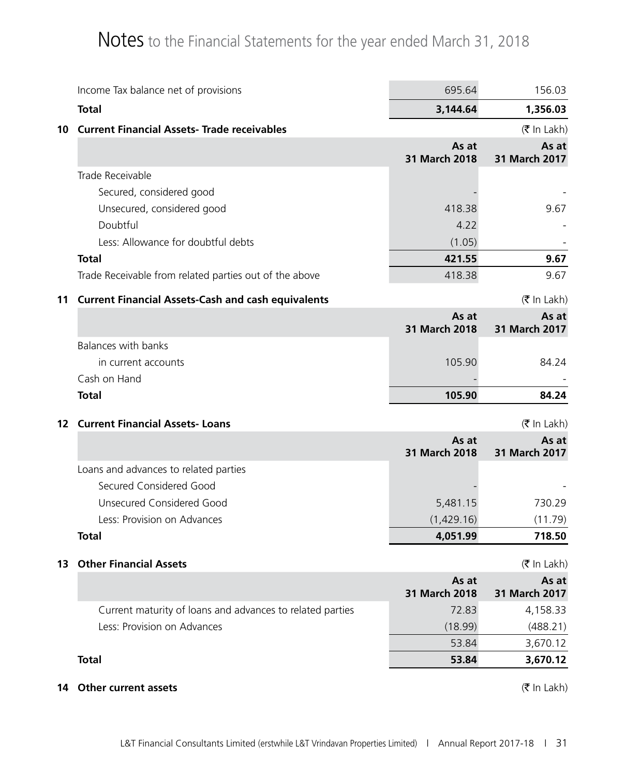|                 | Income Tax balance net of provisions                                                     | 695.64                 | 156.03                             |
|-----------------|------------------------------------------------------------------------------------------|------------------------|------------------------------------|
|                 | <b>Total</b>                                                                             | 3,144.64               | 1,356.03                           |
| 10              | <b>Current Financial Assets- Trade receivables</b>                                       |                        | $(\bar{\bar{\mathbf{z}}}$ In Lakh) |
|                 |                                                                                          | As at<br>31 March 2018 | As at<br>31 March 2017             |
|                 | Trade Receivable                                                                         |                        |                                    |
|                 | Secured, considered good                                                                 |                        |                                    |
|                 | Unsecured, considered good                                                               | 418.38                 | 9.67                               |
|                 | Doubtful                                                                                 | 4.22                   |                                    |
|                 | Less: Allowance for doubtful debts                                                       | (1.05)                 |                                    |
|                 | <b>Total</b>                                                                             | 421.55                 | 9.67                               |
|                 | Trade Receivable from related parties out of the above                                   | 418.38                 | 9.67                               |
| 11              | <b>Current Financial Assets-Cash and cash equivalents</b>                                |                        | (₹ In Lakh)                        |
|                 |                                                                                          | As at                  | As at                              |
|                 |                                                                                          | 31 March 2018          | 31 March 2017                      |
|                 | <b>Balances with banks</b>                                                               |                        |                                    |
|                 | in current accounts                                                                      | 105.90                 | 84.24                              |
|                 | Cash on Hand                                                                             |                        |                                    |
|                 |                                                                                          |                        |                                    |
|                 | <b>Total</b>                                                                             | 105.90                 | 84.24                              |
| 12 <sup>2</sup> | <b>Current Financial Assets-Loans</b>                                                    |                        | (₹ In Lakh)                        |
|                 |                                                                                          | As at<br>31 March 2018 | As at<br>31 March 2017             |
|                 | Loans and advances to related parties                                                    |                        |                                    |
|                 | Secured Considered Good                                                                  |                        |                                    |
|                 | <b>Unsecured Considered Good</b>                                                         | 5,481.15               | 730.29                             |
|                 | Less: Provision on Advances                                                              | (1,429.16)             | (11.79)                            |
|                 | <b>Total</b>                                                                             | 4,051.99               | 718.50                             |
| 13              | <b>Other Financial Assets</b>                                                            |                        |                                    |
|                 |                                                                                          | As at                  | (₹ In Lakh)<br>As at               |
|                 |                                                                                          | 31 March 2018          | 31 March 2017                      |
|                 | Current maturity of loans and advances to related parties<br>Less: Provision on Advances | 72.83                  | 4,158.33                           |
|                 |                                                                                          | (18.99)<br>53.84       | (488.21)                           |
|                 | <b>Total</b>                                                                             | 53.84                  | 3,670.12<br>3,670.12               |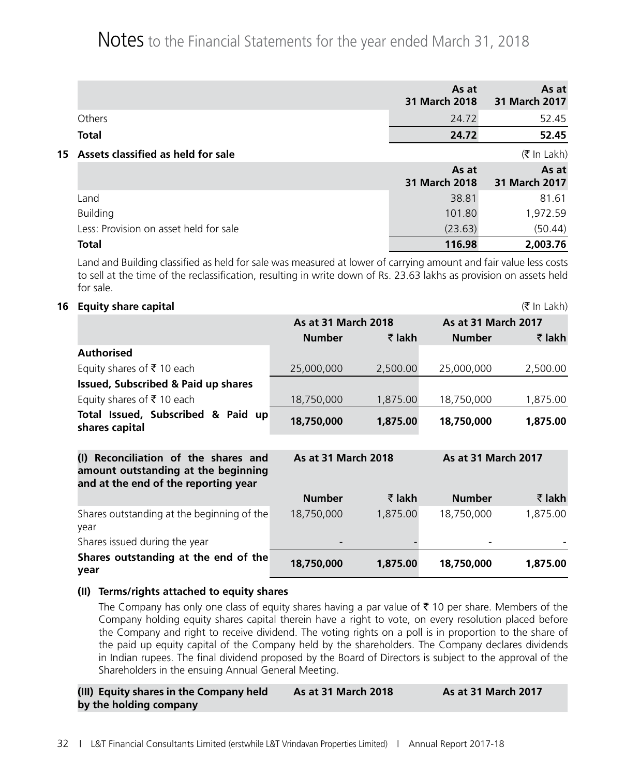|                                        | As at<br>31 March 2018 | As at<br>31 March 2017 |
|----------------------------------------|------------------------|------------------------|
| Others                                 | 24.72                  | 52.45                  |
| <b>Total</b>                           | 24.72                  | 52.45                  |
| 15 Assets classified as held for sale  |                        | $(5 \text{ In Lakh})$  |
|                                        | As at<br>31 March 2018 | As at<br>31 March 2017 |
| Land                                   | 38.81                  | 81.61                  |
| <b>Building</b>                        | 101.80                 | 1,972.59               |
| Less: Provision on asset held for sale | (23.63)                | (50.44)                |
| <b>Total</b>                           | 116.98                 | 2,003.76               |

Land and Building classified as held for sale was measured at lower of carrying amount and fair value less costs to sell at the time of the reclassification, resulting in write down of Rs. 23.63 lakhs as provision on assets held for sale.

### **16 Equity share capital** (` In Lakh)

|                                                                                | As at 31 March 2018        |          | As at 31 March 2017        |          |
|--------------------------------------------------------------------------------|----------------------------|----------|----------------------------|----------|
|                                                                                | <b>Number</b>              | ₹ lakh   | <b>Number</b>              | ₹ lakh   |
| <b>Authorised</b>                                                              |                            |          |                            |          |
| Equity shares of ₹10 each                                                      | 25,000,000                 | 2,500.00 | 25,000,000                 | 2,500.00 |
| Issued, Subscribed & Paid up shares                                            |                            |          |                            |          |
| Equity shares of ₹10 each                                                      | 18,750,000                 | 1,875.00 | 18,750,000                 | 1,875.00 |
| Total Issued, Subscribed & Paid up<br>shares capital                           | 18,750,000                 | 1,875.00 | 18,750,000                 | 1,875.00 |
| Reconciliation of the shares and<br>(1)<br>amount outstanding at the beginning | <b>As at 31 March 2018</b> |          | <b>As at 31 March 2017</b> |          |
| and at the end of the reporting year                                           |                            |          |                            |          |
|                                                                                | <b>Number</b>              | ₹ lakh   | <b>Number</b>              | ₹ lakh   |
| Shares outstanding at the beginning of the<br>year                             | 18,750,000                 | 1,875.00 | 18,750,000                 | 1,875.00 |
| Shares issued during the year                                                  |                            |          |                            |          |
| Shares outstanding at the end of the<br>year                                   | 18,750,000                 | 1,875.00 | 18,750,000                 | 1,875.00 |

### **(II) Terms/rights attached to equity shares**

The Company has only one class of equity shares having a par value of  $\bar{\tau}$  10 per share. Members of the Company holding equity shares capital therein have a right to vote, on every resolution placed before the Company and right to receive dividend. The voting rights on a poll is in proportion to the share of the paid up equity capital of the Company held by the shareholders. The Company declares dividends in Indian rupees. The final dividend proposed by the Board of Directors is subject to the approval of the Shareholders in the ensuing Annual General Meeting.

| (III) Equity shares in the Company held | <b>As at 31 March 2018</b> | <b>As at 31 March 2017</b> |
|-----------------------------------------|----------------------------|----------------------------|
| by the holding company                  |                            |                            |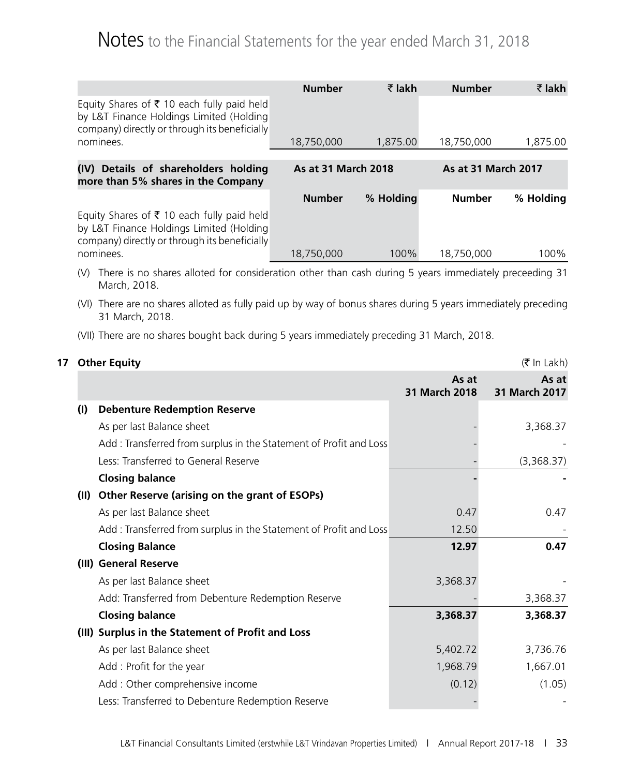|                                                                                                                                         | <b>Number</b>       | ₹ lakh    | <b>Number</b>              | ₹ lakh    |
|-----------------------------------------------------------------------------------------------------------------------------------------|---------------------|-----------|----------------------------|-----------|
| Equity Shares of ₹ 10 each fully paid held<br>by L&T Finance Holdings Limited (Holding<br>company) directly or through its beneficially |                     |           |                            |           |
| nominees.                                                                                                                               | 18,750,000          | 1,875.00  | 18,750,000                 | 1,875.00  |
|                                                                                                                                         |                     |           |                            |           |
| (IV) Details of shareholders holding<br>more than 5% shares in the Company                                                              | As at 31 March 2018 |           | <b>As at 31 March 2017</b> |           |
|                                                                                                                                         | <b>Number</b>       | % Holding | <b>Number</b>              | % Holding |
| Equity Shares of ₹ 10 each fully paid held<br>by L&T Finance Holdings Limited (Holding<br>company) directly or through its beneficially |                     |           |                            |           |
| nominees.                                                                                                                               | 18,750,000          | 100%      | 18,750,000                 | 100%      |

- (V) There is no shares alloted for consideration other than cash during 5 years immediately preceeding 31 March, 2018.
- (VI) There are no shares alloted as fully paid up by way of bonus shares during 5 years immediately preceding 31 March, 2018.
- (VII) There are no shares bought back during 5 years immediately preceding 31 March, 2018.

| 17 |      | <b>Other Equity</b>                                                | (₹ In Lakh)            |                        |  |
|----|------|--------------------------------------------------------------------|------------------------|------------------------|--|
|    |      |                                                                    | As at<br>31 March 2018 | As at<br>31 March 2017 |  |
|    | (1)  | <b>Debenture Redemption Reserve</b>                                |                        |                        |  |
|    |      | As per last Balance sheet                                          |                        | 3,368.37               |  |
|    |      | Add : Transferred from surplus in the Statement of Profit and Loss |                        |                        |  |
|    |      | Less: Transferred to General Reserve                               |                        | (3,368.37)             |  |
|    |      | <b>Closing balance</b>                                             |                        |                        |  |
|    | (II) | Other Reserve (arising on the grant of ESOPs)                      |                        |                        |  |
|    |      | As per last Balance sheet                                          | 0.47                   | 0.47                   |  |
|    |      | Add: Transferred from surplus in the Statement of Profit and Loss  | 12.50                  |                        |  |
|    |      | <b>Closing Balance</b>                                             | 12.97                  | 0.47                   |  |
|    |      | (III) General Reserve                                              |                        |                        |  |
|    |      | As per last Balance sheet                                          | 3,368.37               |                        |  |
|    |      | Add: Transferred from Debenture Redemption Reserve                 |                        | 3,368.37               |  |
|    |      | <b>Closing balance</b>                                             | 3,368.37               | 3,368.37               |  |
|    |      | (III) Surplus in the Statement of Profit and Loss                  |                        |                        |  |
|    |      | As per last Balance sheet                                          | 5,402.72               | 3,736.76               |  |
|    |      | Add: Profit for the year                                           | 1,968.79               | 1,667.01               |  |
|    |      | Add: Other comprehensive income                                    | (0.12)                 | (1.05)                 |  |
|    |      | Less: Transferred to Debenture Redemption Reserve                  |                        |                        |  |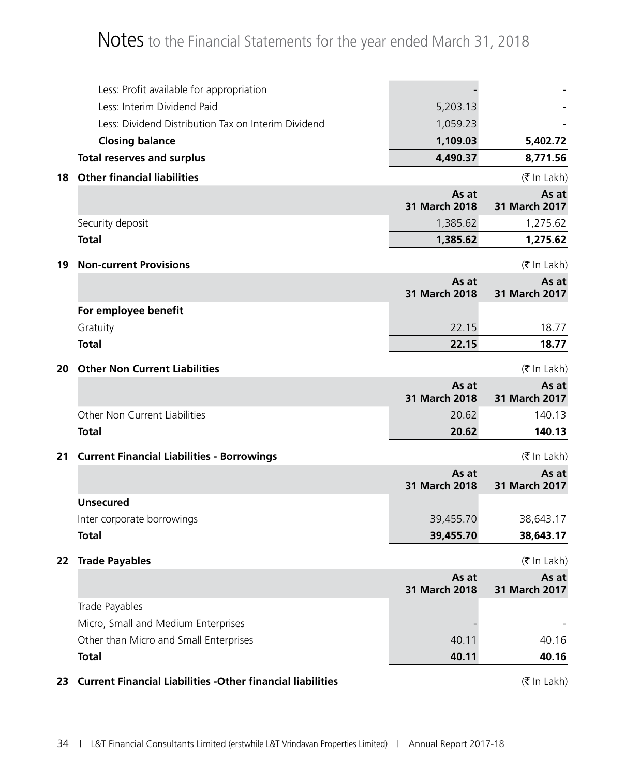|    | Less: Profit available for appropriation                          |                        |                                    |
|----|-------------------------------------------------------------------|------------------------|------------------------------------|
|    | Less: Interim Dividend Paid                                       | 5,203.13               |                                    |
|    | Less: Dividend Distribution Tax on Interim Dividend               | 1,059.23               |                                    |
|    | <b>Closing balance</b>                                            | 1,109.03               | 5,402.72                           |
|    | <b>Total reserves and surplus</b>                                 | 4,490.37               | 8,771.56                           |
| 18 | <b>Other financial liabilities</b>                                |                        | (₹ In Lakh)                        |
|    |                                                                   | As at<br>31 March 2018 | As at<br>31 March 2017             |
|    | Security deposit                                                  | 1,385.62               | 1,275.62                           |
|    | <b>Total</b>                                                      | 1,385.62               | 1,275.62                           |
| 19 | <b>Non-current Provisions</b>                                     |                        | (₹ In Lakh)                        |
|    |                                                                   | As at<br>31 March 2018 | As at<br>31 March 2017             |
|    | For employee benefit                                              |                        |                                    |
|    | Gratuity                                                          | 22.15                  | 18.77                              |
|    | <b>Total</b>                                                      | 22.15                  | 18.77                              |
| 20 | <b>Other Non Current Liabilities</b>                              |                        | $(5 \text{ In } \text{Lakh})$      |
|    |                                                                   | As at<br>31 March 2018 | As at<br>31 March 2017             |
|    | Other Non Current Liabilities                                     | 20.62                  | 140.13                             |
|    | <b>Total</b>                                                      | 20.62                  | 140.13                             |
| 21 | <b>Current Financial Liabilities - Borrowings</b>                 |                        | $(\bar{\bar{\mathbf{z}}}$ In Lakh) |
|    |                                                                   | As at<br>31 March 2018 | As at<br>31 March 2017             |
|    | <b>Unsecured</b>                                                  |                        |                                    |
|    | Inter corporate borrowings                                        | 39,455.70              | 38,643.17                          |
|    | <b>Total</b>                                                      | 39,455.70              | 38,643.17                          |
|    | 22 Trade Payables                                                 |                        | (₹ In Lakh)                        |
|    |                                                                   | As at<br>31 March 2018 | As at<br>31 March 2017             |
|    | Trade Payables                                                    |                        |                                    |
|    | Micro, Small and Medium Enterprises                               |                        |                                    |
|    | Other than Micro and Small Enterprises                            | 40.11                  | 40.16                              |
|    | <b>Total</b>                                                      | 40.11                  | 40.16                              |
| 23 | <b>Current Financial Liabilities -Other financial liabilities</b> |                        | (₹ In Lakh)                        |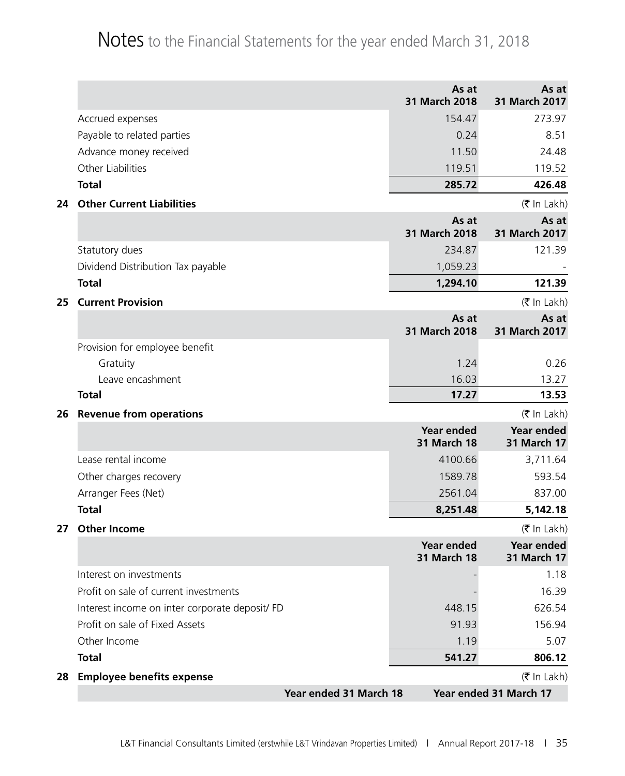|    |                                                |                        | As at<br>31 March 2018                  | As at<br>31 March 2017                  |
|----|------------------------------------------------|------------------------|-----------------------------------------|-----------------------------------------|
|    | Accrued expenses                               |                        | 154.47                                  | 273.97                                  |
|    | Payable to related parties                     |                        | 0.24                                    | 8.51                                    |
|    | Advance money received                         |                        | 11.50                                   | 24.48                                   |
|    | Other Liabilities                              |                        | 119.51                                  | 119.52                                  |
|    | <b>Total</b>                                   |                        | 285.72                                  | 426.48                                  |
| 24 | <b>Other Current Liabilities</b>               |                        |                                         | (₹ In Lakh)                             |
|    |                                                |                        | As at<br>31 March 2018                  | As at<br>31 March 2017                  |
|    | Statutory dues                                 |                        | 234.87                                  | 121.39                                  |
|    | Dividend Distribution Tax payable              |                        | 1,059.23                                |                                         |
|    | <b>Total</b>                                   |                        | 1,294.10                                | 121.39                                  |
| 25 | <b>Current Provision</b>                       |                        |                                         | (₹ In Lakh)                             |
|    |                                                |                        | As at                                   | As at                                   |
|    |                                                |                        | 31 March 2018                           | 31 March 2017                           |
|    | Provision for employee benefit<br>Gratuity     |                        | 1.24                                    | 0.26                                    |
|    | Leave encashment                               |                        | 16.03                                   | 13.27                                   |
|    | <b>Total</b>                                   |                        | 17.27                                   | 13.53                                   |
| 26 | <b>Revenue from operations</b>                 |                        |                                         | (₹ In Lakh)                             |
|    |                                                |                        | <b>Year ended</b>                       | <b>Year ended</b>                       |
|    |                                                |                        | <b>31 March 18</b>                      | <b>31 March 17</b>                      |
|    | Lease rental income                            |                        | 4100.66                                 | 3,711.64                                |
|    | Other charges recovery                         |                        | 1589.78                                 | 593.54                                  |
|    | Arranger Fees (Net)                            |                        | 2561.04                                 | 837.00                                  |
|    | <b>Total</b>                                   |                        | 8,251.48                                | 5,142.18                                |
| 27 | <b>Other Income</b>                            |                        |                                         | (₹ In Lakh)                             |
|    |                                                |                        | <b>Year ended</b><br><b>31 March 18</b> | <b>Year ended</b><br><b>31 March 17</b> |
|    | Interest on investments                        |                        |                                         | 1.18                                    |
|    | Profit on sale of current investments          |                        |                                         | 16.39                                   |
|    | Interest income on inter corporate deposit/ FD |                        | 448.15                                  | 626.54                                  |
|    | Profit on sale of Fixed Assets                 |                        | 91.93                                   | 156.94                                  |
|    | Other Income                                   |                        | 1.19                                    | 5.07                                    |
|    | <b>Total</b>                                   |                        | 541.27                                  | 806.12                                  |
| 28 | <b>Employee benefits expense</b>               |                        |                                         | (₹ In Lakh)                             |
|    |                                                | Year ended 31 March 18 |                                         | Year ended 31 March 17                  |
|    |                                                |                        |                                         |                                         |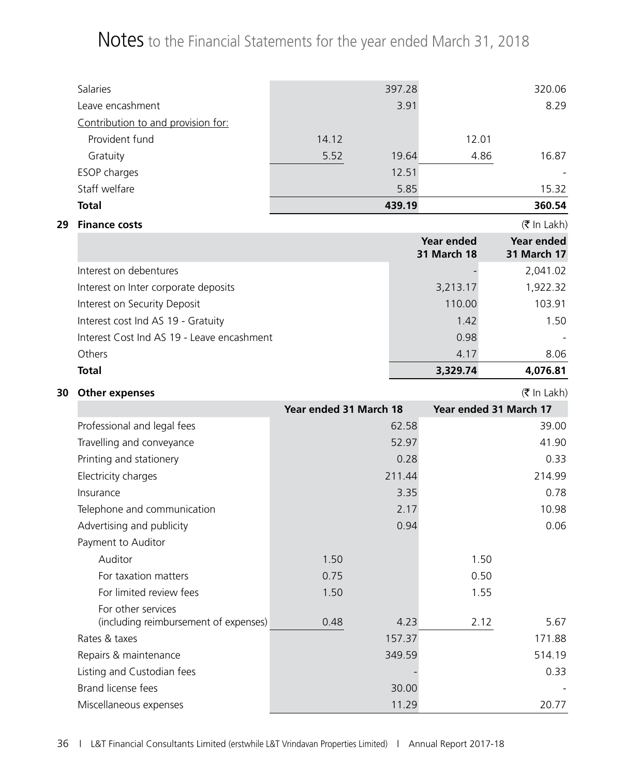|    | Salaries                                                    |                        | 397.28 |                                         | 320.06                             |
|----|-------------------------------------------------------------|------------------------|--------|-----------------------------------------|------------------------------------|
|    | Leave encashment                                            |                        | 3.91   |                                         | 8.29                               |
|    | Contribution to and provision for:                          |                        |        |                                         |                                    |
|    | Provident fund                                              | 14.12                  |        | 12.01                                   |                                    |
|    | Gratuity                                                    | 5.52                   | 19.64  | 4.86                                    | 16.87                              |
|    | ESOP charges                                                |                        | 12.51  |                                         |                                    |
|    | Staff welfare                                               |                        | 5.85   |                                         | 15.32                              |
|    | <b>Total</b>                                                |                        | 439.19 |                                         | 360.54                             |
| 29 | <b>Finance costs</b>                                        |                        |        |                                         | (₹ In Lakh)                        |
|    |                                                             |                        |        | <b>Year ended</b><br><b>31 March 18</b> | Year ended<br><b>31 March 17</b>   |
|    | Interest on debentures                                      |                        |        |                                         | 2,041.02                           |
|    | Interest on Inter corporate deposits                        |                        |        | 3,213.17                                | 1,922.32                           |
|    | Interest on Security Deposit                                |                        |        | 110.00                                  | 103.91                             |
|    | Interest cost Ind AS 19 - Gratuity                          |                        |        | 1.42                                    | 1.50                               |
|    | Interest Cost Ind AS 19 - Leave encashment                  |                        |        | 0.98                                    |                                    |
|    | Others                                                      |                        |        | 4.17                                    | 8.06                               |
|    | <b>Total</b>                                                |                        |        | 3,329.74                                | 4,076.81                           |
| 30 | <b>Other expenses</b>                                       |                        |        |                                         | $(\bar{\bar{\mathbf{z}}}$ In Lakh) |
|    |                                                             | Year ended 31 March 18 |        | Year ended 31 March 17                  |                                    |
|    | Professional and legal fees                                 |                        | 62.58  |                                         | 39.00                              |
|    | Travelling and conveyance                                   |                        | 52.97  |                                         | 41.90                              |
|    | Printing and stationery                                     |                        | 0.28   |                                         | 0.33                               |
|    | Electricity charges                                         |                        | 211.44 |                                         | 214.99                             |
|    | Insurance                                                   |                        | 3.35   |                                         | 0.78                               |
|    | Telephone and communication                                 |                        | 2.17   |                                         | 10.98                              |
|    | Advertising and publicity                                   |                        | 0.94   |                                         | 0.06                               |
|    | Payment to Auditor                                          |                        |        |                                         |                                    |
|    | Auditor                                                     | 1.50                   |        | 1.50                                    |                                    |
|    | For taxation matters                                        | 0.75                   |        | 0.50                                    |                                    |
|    | For limited review fees                                     | 1.50                   |        | 1.55                                    |                                    |
|    | For other services<br>(including reimbursement of expenses) | 0.48                   | 4.23   | 2.12                                    | 5.67                               |
|    | Rates & taxes                                               |                        | 157.37 |                                         | 171.88                             |
|    | Repairs & maintenance                                       |                        | 349.59 |                                         | 514.19                             |
|    | Listing and Custodian fees                                  |                        |        |                                         | 0.33                               |

Brand license fees 30.00 - 30.00 - 30.00 - 30.00 - 30.00 - 30.00 - 30.00 - 30.00 - 30.00 - 30.00 - 30.00 - 30.00 - 30.00 - 30.00 - 30.00 - 30.00 - 30.00 - 30.00 - 30.00 - 30.00 - 30.00 - 30.00 - 30.00 - 30.00 - 30.00 - 30. Miscellaneous expenses and the contract of the contract of the contract of the contract of the contract of the contract of the contract of the contract of the contract of the contract of the contract of the contract of the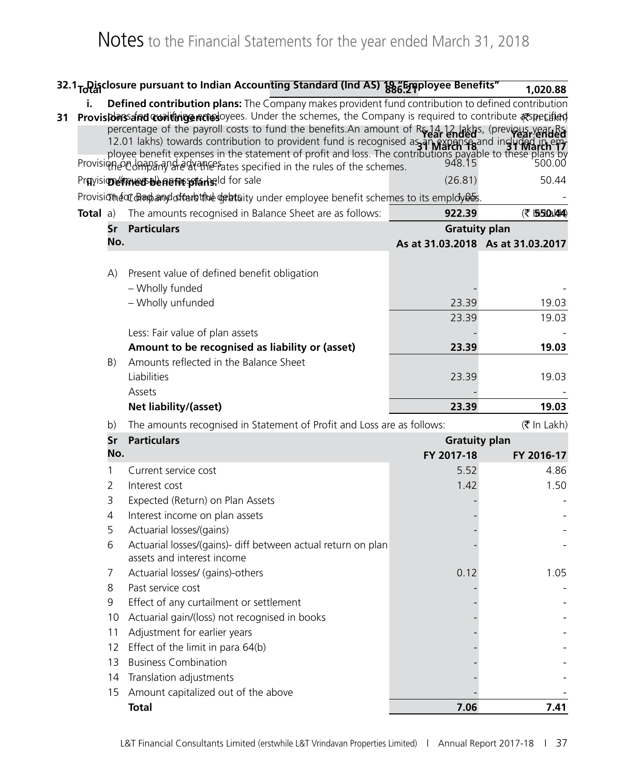|    |                 |                | 32.1 <sub>To</sub> Disclosure pursuant to Indian Accounting Standard (Ind AS) 38 Employee Benefits"                                                                                                                                     |                      | 1,020.88                          |
|----|-----------------|----------------|-----------------------------------------------------------------------------------------------------------------------------------------------------------------------------------------------------------------------------------------|----------------------|-----------------------------------|
|    | i.              |                | Defined contribution plans: The Company makes provident fund contribution to defined contribution                                                                                                                                       |                      |                                   |
| 31 |                 |                | Provisionsand contingencies ovees. Under the schemes, the Company is required to contribute especified                                                                                                                                  |                      |                                   |
|    |                 |                | percentage of the payroll costs to fund the benefits. An amount of R <sub>y 14</sub> , 12 lakhs, (previous year Rs                                                                                                                      |                      |                                   |
|    |                 |                | 12.01 lakhs) towards contribution to provident fund is recognised as an rexpense and included in<br>player raking towards conditioned by the statement of profit and loss. The contributions payable to these plans by<br>948.15 500.00 |                      |                                   |
|    |                 |                | Provision of the schemes.                                                                                                                                                                                                               |                      |                                   |
|    |                 |                | Pravisione meet be nemetarised for sale                                                                                                                                                                                                 | (26.81)              | 50.44                             |
|    |                 |                | Provision and offer by the debtaity under employee benefit schemes to its employees.                                                                                                                                                    |                      |                                   |
|    | <b>Total</b> a) |                | The amounts recognised in Balance Sheet are as follows:                                                                                                                                                                                 | 922.39               | (そ 1550a)444)                     |
|    |                 | Sr             | <b>Particulars</b>                                                                                                                                                                                                                      | <b>Gratuity plan</b> |                                   |
|    |                 | No.            |                                                                                                                                                                                                                                         |                      | As at 31.03.2018 As at 31.03.2017 |
|    |                 |                |                                                                                                                                                                                                                                         |                      |                                   |
|    |                 | A)             | Present value of defined benefit obligation                                                                                                                                                                                             |                      |                                   |
|    |                 |                | - Wholly funded                                                                                                                                                                                                                         |                      |                                   |
|    |                 |                | - Wholly unfunded                                                                                                                                                                                                                       | 23.39                | 19.03                             |
|    |                 |                |                                                                                                                                                                                                                                         | 23.39                | 19.03                             |
|    |                 |                | Less: Fair value of plan assets                                                                                                                                                                                                         |                      |                                   |
|    |                 |                | Amount to be recognised as liability or (asset)                                                                                                                                                                                         | 23.39                | 19.03                             |
|    |                 | B)             | Amounts reflected in the Balance Sheet                                                                                                                                                                                                  |                      |                                   |
|    |                 |                | Liabilities                                                                                                                                                                                                                             | 23.39                | 19.03                             |
|    |                 |                | Assets                                                                                                                                                                                                                                  |                      |                                   |
|    |                 |                | Net liability/(asset)                                                                                                                                                                                                                   | 23.39                | 19.03                             |
|    |                 | b)             | The amounts recognised in Statement of Profit and Loss are as follows:                                                                                                                                                                  |                      | (₹ In Lakh)                       |
|    |                 | Sr             | <b>Particulars</b>                                                                                                                                                                                                                      | <b>Gratuity plan</b> |                                   |
|    |                 | No.            |                                                                                                                                                                                                                                         | FY 2017-18           | FY 2016-17                        |
|    |                 | 1              | Current service cost                                                                                                                                                                                                                    | 5.52                 | 4.86                              |
|    |                 | 2              | Interest cost                                                                                                                                                                                                                           | 1.42                 | 1.50                              |
|    |                 | 3              | Expected (Return) on Plan Assets                                                                                                                                                                                                        |                      |                                   |
|    |                 | $\overline{4}$ | Interest income on plan assets                                                                                                                                                                                                          |                      |                                   |
|    |                 | 5              | Actuarial losses/(gains)                                                                                                                                                                                                                |                      |                                   |
|    |                 | 6              | Actuarial losses/(gains)- diff between actual return on plan<br>assets and interest income                                                                                                                                              |                      |                                   |
|    |                 | 7              | Actuarial losses/ (gains)-others                                                                                                                                                                                                        | 0.12                 | 1.05                              |
|    |                 | 8              | Past service cost                                                                                                                                                                                                                       |                      |                                   |
|    |                 | 9              | Effect of any curtailment or settlement                                                                                                                                                                                                 |                      |                                   |
|    |                 | 10             | Actuarial gain/(loss) not recognised in books                                                                                                                                                                                           |                      |                                   |
|    |                 | 11             | Adjustment for earlier years                                                                                                                                                                                                            |                      |                                   |
|    |                 | 12             | Effect of the limit in para 64(b)                                                                                                                                                                                                       |                      |                                   |
|    |                 | 13             | <b>Business Combination</b>                                                                                                                                                                                                             |                      |                                   |
|    |                 | 14             | Translation adjustments                                                                                                                                                                                                                 |                      |                                   |
|    |                 | 15             | Amount capitalized out of the above                                                                                                                                                                                                     |                      |                                   |
|    |                 |                | <b>Total</b>                                                                                                                                                                                                                            | 7.06                 | 7.41                              |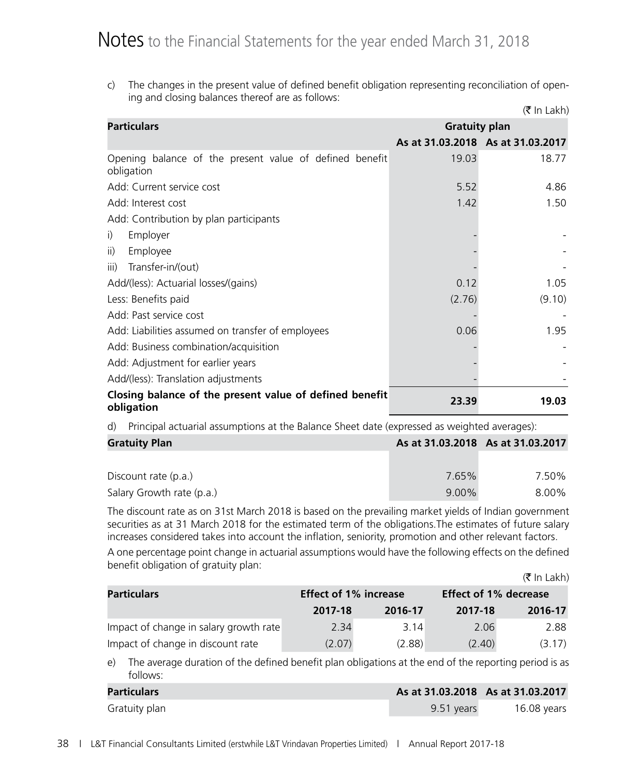c) The changes in the present value of defined benefit obligation representing reconciliation of opening and closing balances thereof are as follows:

|                                                                       |                      | (₹ In Lakh)                       |  |
|-----------------------------------------------------------------------|----------------------|-----------------------------------|--|
| <b>Particulars</b>                                                    | <b>Gratuity plan</b> |                                   |  |
|                                                                       |                      | As at 31.03.2018 As at 31.03.2017 |  |
| Opening balance of the present value of defined benefit<br>obligation | 19.03                | 18.77                             |  |
| Add: Current service cost                                             | 5.52                 | 4.86                              |  |
| Add: Interest cost                                                    | 1.42                 | 1.50                              |  |
| Add: Contribution by plan participants                                |                      |                                   |  |
| Employer<br>i)                                                        |                      |                                   |  |
| Employee<br>$\overline{ii}$                                           |                      |                                   |  |
| Transfer-in/(out)<br>iii)                                             |                      |                                   |  |
| Add/(less): Actuarial losses/(gains)                                  | 0.12                 | 1.05                              |  |
| Less: Benefits paid                                                   | (2.76)               | (9.10)                            |  |
| Add: Past service cost                                                |                      |                                   |  |
| Add: Liabilities assumed on transfer of employees                     | 0.06                 | 1.95                              |  |
| Add: Business combination/acquisition                                 |                      |                                   |  |
| Add: Adjustment for earlier years                                     |                      |                                   |  |
| Add/(less): Translation adjustments                                   |                      |                                   |  |
| Closing balance of the present value of defined benefit<br>obligation | 23.39                | 19.03                             |  |

d) Principal actuarial assumptions at the Balance Sheet date (expressed as weighted averages):

| <b>Gratuity Plan</b>      |          | As at 31.03.2018 As at 31.03.2017 |
|---------------------------|----------|-----------------------------------|
|                           |          |                                   |
| Discount rate (p.a.)      | 7.65%    | 7.50%                             |
| Salary Growth rate (p.a.) | $9.00\%$ | 8.00%                             |

 The discount rate as on 31st March 2018 is based on the prevailing market yields of Indian government securities as at 31 March 2018 for the estimated term of the obligations.The estimates of future salary increases considered takes into account the inflation, seniority, promotion and other relevant factors.

 A one percentage point change in actuarial assumptions would have the following effects on the defined benefit obligation of gratuity plan:  $(\mathcal{F} \ln | \Delta h)$ 

|                                                    |         |                              |         | $\mathbf{X}$ III LANII |
|----------------------------------------------------|---------|------------------------------|---------|------------------------|
| <b>Effect of 1% increase</b><br><b>Particulars</b> |         | <b>Effect of 1% decrease</b> |         |                        |
|                                                    | 2017-18 | 2016-17                      | 2017-18 | 2016-17                |
| Impact of change in salary growth rate             | 2.34    | 3.14                         | 2.06    | 2.88                   |
| Impact of change in discount rate                  | (2.07)  | (2.88)                       | (2.40)  | (3.17)                 |

 e) The average duration of the defined benefit plan obligations at the end of the reporting period is as follows:

| Particulars   | As at 31.03.2018 As at 31.03.2017 |             |
|---------------|-----------------------------------|-------------|
| Gratuity plan | 9.51 years                        | 16.08 vears |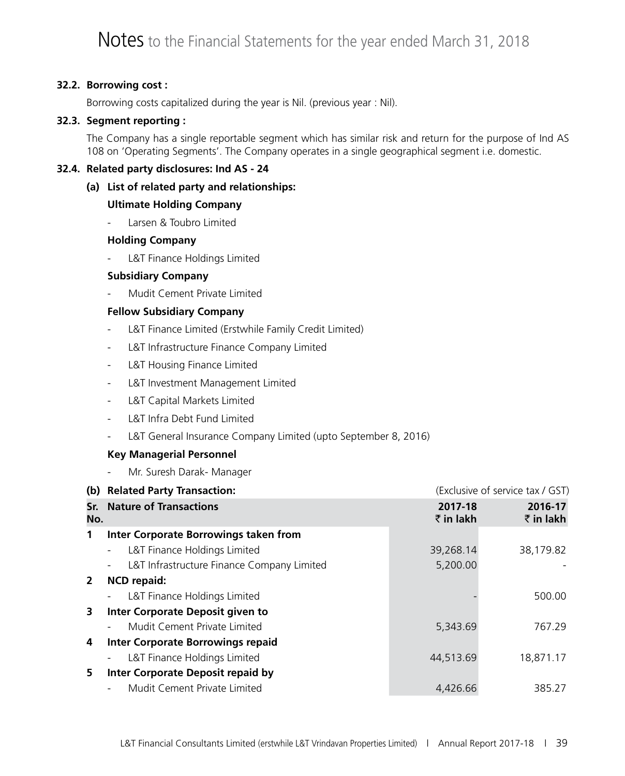### **32.2. Borrowing cost :**

Borrowing costs capitalized during the year is Nil. (previous year : Nil).

### **32.3. Segment reporting :**

The Company has a single reportable segment which has similar risk and return for the purpose of Ind AS 108 on 'Operating Segments'. The Company operates in a single geographical segment i.e. domestic.

### **32.4. Related party disclosures: Ind AS - 24**

 **(a) List of related party and relationships:**

### **Ultimate Holding Company**

Larsen & Toubro Limited

### **Holding Company**

L&T Finance Holdings Limited

### **Subsidiary Company**

Mudit Cement Private Limited

### **Fellow Subsidiary Company**

- L&T Finance Limited (Erstwhile Family Credit Limited)
- L&T Infrastructure Finance Company Limited
- L&T Housing Finance Limited
- L&T Investment Management Limited
- L&T Capital Markets Limited
- L&T Infra Debt Fund Limited
- L&T General Insurance Company Limited (upto September 8, 2016)

### **Key Managerial Personnel**

Mr. Suresh Darak- Manager

|              | (b) Related Party Transaction:                                         |                      | (Exclusive of service tax / GST) |
|--------------|------------------------------------------------------------------------|----------------------|----------------------------------|
| No.          | <b>Sr.</b> Nature of Transactions                                      | 2017-18<br>₹ in lakh | 2016-17<br>₹ in lakh             |
| 1            | Inter Corporate Borrowings taken from                                  |                      |                                  |
|              | L&T Finance Holdings Limited<br>$\qquad \qquad \blacksquare$           | 39,268.14            | 38,179.82                        |
|              | L&T Infrastructure Finance Company Limited<br>$\overline{\phantom{a}}$ | 5,200.00             |                                  |
| $\mathbf{2}$ | <b>NCD repaid:</b>                                                     |                      |                                  |
|              | L&T Finance Holdings Limited<br>$\overline{\phantom{a}}$               |                      | 500.00                           |
| 3            | Inter Corporate Deposit given to                                       |                      |                                  |
|              | Mudit Cement Private Limited<br>$\overline{\phantom{a}}$               | 5,343.69             | 767.29                           |
| 4            | Inter Corporate Borrowings repaid                                      |                      |                                  |
|              | L&T Finance Holdings Limited<br>$\overline{\phantom{a}}$               | 44,513.69            | 18,871.17                        |
| 5            | <b>Inter Corporate Deposit repaid by</b>                               |                      |                                  |
|              | Mudit Cement Private Limited                                           | 4,426.66             | 385.27                           |
|              |                                                                        |                      |                                  |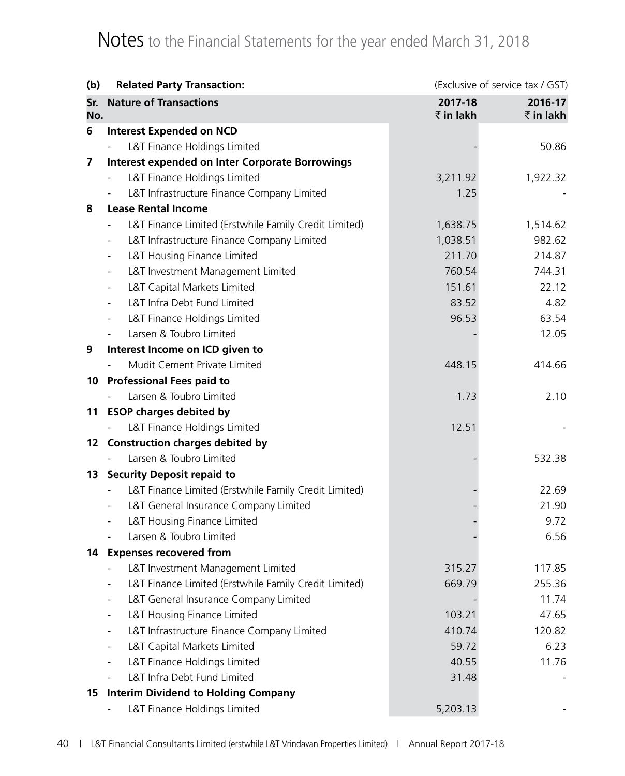| (b) | <b>Related Party Transaction:</b>                                                 |           | (Exclusive of service tax / GST) |
|-----|-----------------------------------------------------------------------------------|-----------|----------------------------------|
| Sr. | <b>Nature of Transactions</b>                                                     | 2017-18   | 2016-17                          |
| No. |                                                                                   | ₹ in lakh | $\bar{z}$ in lakh                |
| 6   | <b>Interest Expended on NCD</b>                                                   |           |                                  |
|     | L&T Finance Holdings Limited                                                      |           | 50.86                            |
| 7   | <b>Interest expended on Inter Corporate Borrowings</b>                            |           |                                  |
|     | L&T Finance Holdings Limited                                                      | 3,211.92  | 1,922.32                         |
|     | L&T Infrastructure Finance Company Limited                                        | 1.25      |                                  |
| 8   | <b>Lease Rental Income</b>                                                        |           |                                  |
|     | L&T Finance Limited (Erstwhile Family Credit Limited)                             | 1,638.75  | 1,514.62                         |
|     | L&T Infrastructure Finance Company Limited<br>$\overline{\phantom{0}}$            | 1,038.51  | 982.62                           |
|     | L&T Housing Finance Limited<br>$\overline{\phantom{a}}$                           | 211.70    | 214.87                           |
|     | L&T Investment Management Limited                                                 | 760.54    | 744.31                           |
|     | L&T Capital Markets Limited<br>$\overline{\phantom{0}}$                           | 151.61    | 22.12                            |
|     | L&T Infra Debt Fund Limited                                                       | 83.52     | 4.82                             |
|     | L&T Finance Holdings Limited<br>$\overline{\phantom{0}}$                          | 96.53     | 63.54                            |
|     | Larsen & Toubro Limited                                                           |           | 12.05                            |
| 9   | Interest Income on ICD given to                                                   |           |                                  |
|     | Mudit Cement Private Limited                                                      | 448.15    | 414.66                           |
|     | 10 Professional Fees paid to                                                      |           |                                  |
|     | Larsen & Toubro Limited                                                           | 1.73      | 2.10                             |
| 11  | <b>ESOP charges debited by</b>                                                    |           |                                  |
|     | L&T Finance Holdings Limited                                                      | 12.51     |                                  |
|     | 12 Construction charges debited by                                                |           |                                  |
|     | Larsen & Toubro Limited                                                           |           | 532.38                           |
| 13  | <b>Security Deposit repaid to</b>                                                 |           |                                  |
|     | L&T Finance Limited (Erstwhile Family Credit Limited)<br>$\overline{\phantom{a}}$ |           | 22.69                            |
|     | L&T General Insurance Company Limited                                             |           | 21.90                            |
|     | L&T Housing Finance Limited<br>$\overline{\phantom{a}}$                           |           | 9.72                             |
|     | Larsen & Toubro Limited                                                           |           | 6.56                             |
| 14  | <b>Expenses recovered from</b>                                                    |           |                                  |
|     | L&T Investment Management Limited                                                 | 315.27    | 117.85                           |
|     | L&T Finance Limited (Erstwhile Family Credit Limited)<br>$\overline{\phantom{a}}$ | 669.79    | 255.36                           |
|     | L&T General Insurance Company Limited                                             |           | 11.74                            |
|     | L&T Housing Finance Limited<br>$\overline{\phantom{0}}$                           | 103.21    | 47.65                            |
|     | L&T Infrastructure Finance Company Limited                                        | 410.74    | 120.82                           |
|     | L&T Capital Markets Limited                                                       | 59.72     | 6.23                             |
|     | L&T Finance Holdings Limited                                                      | 40.55     | 11.76                            |
|     | L&T Infra Debt Fund Limited                                                       | 31.48     |                                  |
| 15  | <b>Interim Dividend to Holding Company</b>                                        |           |                                  |
|     | L&T Finance Holdings Limited                                                      | 5,203.13  |                                  |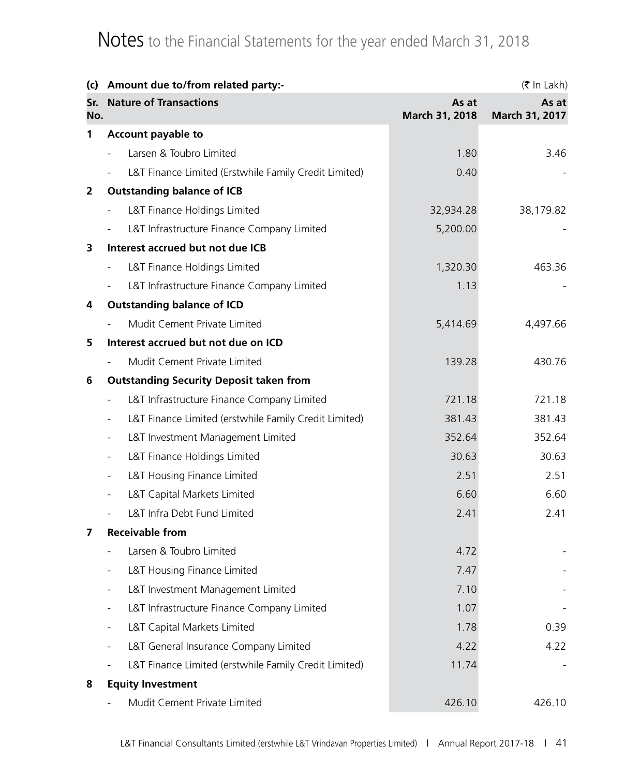| (c)          | Amount due to/from related party:-                                                |                         | (₹ In Lakh)             |
|--------------|-----------------------------------------------------------------------------------|-------------------------|-------------------------|
| Sr.<br>No.   | <b>Nature of Transactions</b>                                                     | As at<br>March 31, 2018 | As at<br>March 31, 2017 |
| 1            | Account payable to                                                                |                         |                         |
|              | Larsen & Toubro Limited<br>$\overline{\phantom{a}}$                               | 1.80                    | 3.46                    |
|              | L&T Finance Limited (Erstwhile Family Credit Limited)<br>$\overline{\phantom{a}}$ | 0.40                    |                         |
| $\mathbf{2}$ | <b>Outstanding balance of ICB</b>                                                 |                         |                         |
|              | L&T Finance Holdings Limited<br>$\overline{\phantom{a}}$                          | 32,934.28               | 38,179.82               |
|              | L&T Infrastructure Finance Company Limited<br>$\overline{\phantom{a}}$            | 5,200.00                |                         |
| 3            | Interest accrued but not due ICB                                                  |                         |                         |
|              | L&T Finance Holdings Limited<br>$\qquad \qquad \blacksquare$                      | 1,320.30                | 463.36                  |
|              | L&T Infrastructure Finance Company Limited<br>$\overline{\phantom{a}}$            | 1.13                    |                         |
| 4            | <b>Outstanding balance of ICD</b>                                                 |                         |                         |
|              | Mudit Cement Private Limited                                                      | 5,414.69                | 4,497.66                |
| 5            | Interest accrued but not due on ICD                                               |                         |                         |
|              | Mudit Cement Private Limited                                                      | 139.28                  | 430.76                  |
| 6            | <b>Outstanding Security Deposit taken from</b>                                    |                         |                         |
|              | L&T Infrastructure Finance Company Limited<br>$\qquad \qquad \blacksquare$        | 721.18                  | 721.18                  |
|              | L&T Finance Limited (erstwhile Family Credit Limited)<br>$\overline{\phantom{a}}$ | 381.43                  | 381.43                  |
|              | L&T Investment Management Limited<br>$\overline{\phantom{a}}$                     | 352.64                  | 352.64                  |
|              | L&T Finance Holdings Limited<br>$\overline{\phantom{a}}$                          | 30.63                   | 30.63                   |
|              | L&T Housing Finance Limited<br>$\qquad \qquad \blacksquare$                       | 2.51                    | 2.51                    |
|              | L&T Capital Markets Limited<br>$\overline{\phantom{a}}$                           | 6.60                    | 6.60                    |
|              | L&T Infra Debt Fund Limited                                                       | 2.41                    | 2.41                    |
| 7            | <b>Receivable from</b>                                                            |                         |                         |
|              | Larsen & Toubro Limited                                                           | 4.72                    |                         |
|              | L&T Housing Finance Limited                                                       | 7.47                    |                         |
|              | L&T Investment Management Limited<br>$\qquad \qquad \blacksquare$                 | 7.10                    |                         |
|              | L&T Infrastructure Finance Company Limited<br>$\overline{\phantom{0}}$            | 1.07                    |                         |
|              | L&T Capital Markets Limited<br>$\overline{\phantom{a}}$                           | 1.78                    | 0.39                    |
|              | L&T General Insurance Company Limited                                             | 4.22                    | 4.22                    |
|              | L&T Finance Limited (erstwhile Family Credit Limited)                             | 11.74                   |                         |
| 8            | <b>Equity Investment</b>                                                          |                         |                         |
|              | Mudit Cement Private Limited                                                      | 426.10                  | 426.10                  |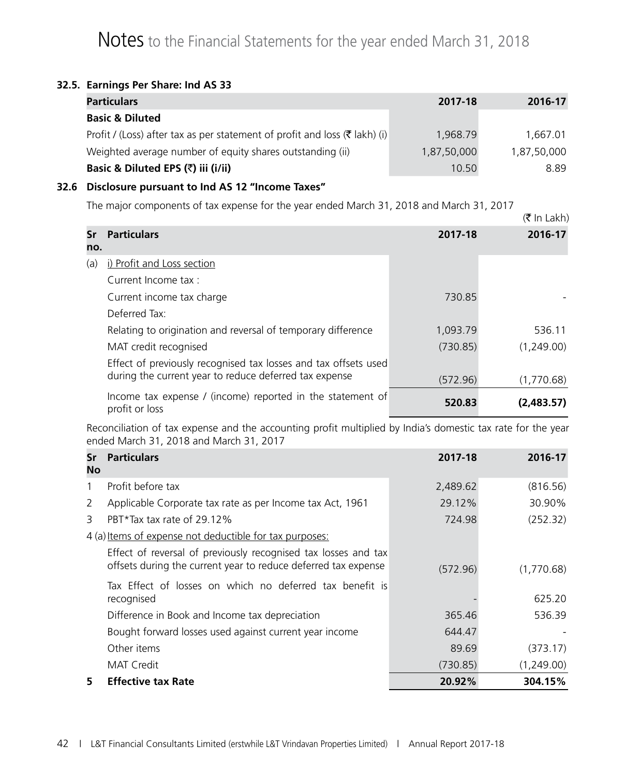### **32.5. Earnings Per Share: Ind AS 33**

| <b>Particulars</b>                                                                    | 2017-18     | 2016-17     |
|---------------------------------------------------------------------------------------|-------------|-------------|
| <b>Basic &amp; Diluted</b>                                                            |             |             |
| Profit / (Loss) after tax as per statement of profit and loss $(\bar{\tau}$ lakh) (i) | 1.968.79    | 1,667.01    |
| Weighted average number of equity shares outstanding (ii)                             | 1,87,50,000 | 1,87,50,000 |
| Basic & Diluted EPS (₹) iii (i/ii)                                                    | 10.50       | 8.89        |

## **32.6 Disclosure pursuant to Ind AS 12 "Income Taxes"**

The major components of tax expense for the year ended March 31, 2018 and March 31, 2017

|           |                                                                              |          | $(1)$ $\overline{1}$ $\overline{1}$ $\overline{1}$ $\overline{2}$ $\overline{1}$ $\overline{2}$ $\overline{1}$ $\overline{2}$ $\overline{1}$ $\overline{2}$ $\overline{1}$ $\overline{2}$ $\overline{1}$ $\overline{2}$ $\overline{1}$ $\overline{2}$ $\overline{1}$ $\overline{2}$ $\overline{2}$ $\overline{1}$ $\overline{2}$ $\overline{2}$ $\overline{2}$ $\overline{1}$ |
|-----------|------------------------------------------------------------------------------|----------|-------------------------------------------------------------------------------------------------------------------------------------------------------------------------------------------------------------------------------------------------------------------------------------------------------------------------------------------------------------------------------|
| Sr<br>no. | <b>Particulars</b>                                                           | 2017-18  | 2016-17                                                                                                                                                                                                                                                                                                                                                                       |
| (a)       | i) Profit and Loss section                                                   |          |                                                                                                                                                                                                                                                                                                                                                                               |
|           | Current Income tax :                                                         |          |                                                                                                                                                                                                                                                                                                                                                                               |
|           | Current income tax charge                                                    | 730.85   |                                                                                                                                                                                                                                                                                                                                                                               |
|           | Deferred Tax:                                                                |          |                                                                                                                                                                                                                                                                                                                                                                               |
|           | Relating to origination and reversal of temporary difference                 | 1,093.79 | 536.11                                                                                                                                                                                                                                                                                                                                                                        |
|           | MAT credit recognised                                                        | (730.85) | (1,249.00)                                                                                                                                                                                                                                                                                                                                                                    |
|           | Effect of previously recognised tax losses and tax offsets used              |          |                                                                                                                                                                                                                                                                                                                                                                               |
|           | during the current year to reduce deferred tax expense                       | (572.96) | (1,770.68)                                                                                                                                                                                                                                                                                                                                                                    |
|           | Income tax expense / (income) reported in the statement of<br>profit or loss | 520.83   | (2,483.57)                                                                                                                                                                                                                                                                                                                                                                    |

 $(\mathcal{F} \ln | \Delta h)$ 

Reconciliation of tax expense and the accounting profit multiplied by India's domestic tax rate for the year ended March 31, 2018 and March 31, 2017

| Sr<br>No | <b>Particulars</b>                                                                                                               | 2017-18  | 2016-17    |
|----------|----------------------------------------------------------------------------------------------------------------------------------|----------|------------|
| 1        | Profit before tax                                                                                                                | 2,489.62 | (816.56)   |
| 2        | Applicable Corporate tax rate as per Income tax Act, 1961                                                                        | 29.12%   | 30.90%     |
| 3        | PBT $*$ Tax tax rate of 29.12%                                                                                                   | 724.98   | (252.32)   |
|          | 4 (a) Items of expense not deductible for tax purposes:                                                                          |          |            |
|          | Effect of reversal of previously recognised tax losses and tax<br>offsets during the current year to reduce deferred tax expense | (572.96) | (1,770.68) |
|          | Tax Effect of losses on which no deferred tax benefit is<br>recognised                                                           |          | 625.20     |
|          | Difference in Book and Income tax depreciation                                                                                   | 365.46   | 536.39     |
|          | Bought forward losses used against current year income                                                                           | 644.47   |            |
|          | Other items                                                                                                                      | 89.69    | (373.17)   |
|          | MAT Credit                                                                                                                       | (730.85) | (1,249.00) |
| 5        | <b>Effective tax Rate</b>                                                                                                        | 20.92%   | 304.15%    |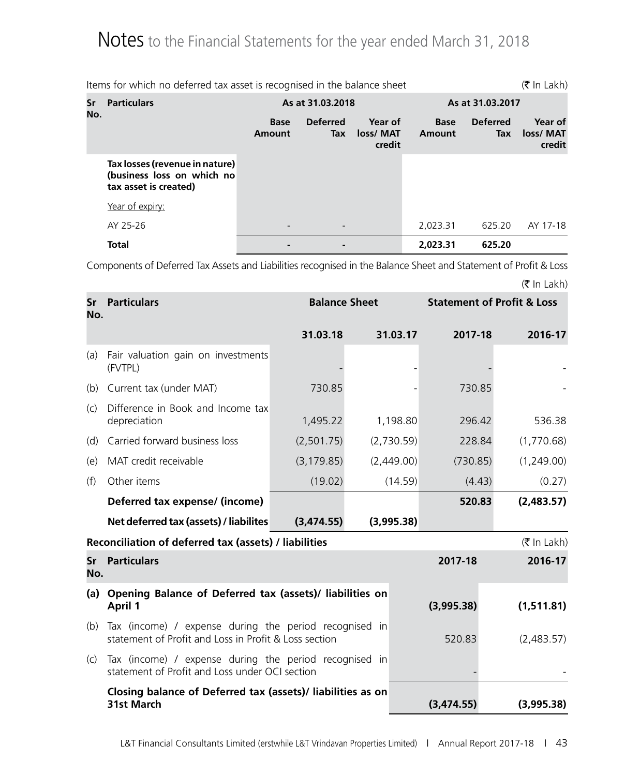|           | (₹ In Lakh)<br>Items for which no deferred tax asset is recognised in the balance sheet |                       |                        |                                |                       |                               |                                |  |
|-----------|-----------------------------------------------------------------------------------------|-----------------------|------------------------|--------------------------------|-----------------------|-------------------------------|--------------------------------|--|
| Sr<br>No. | <b>Particulars</b>                                                                      |                       | As at 31.03.2018       |                                |                       | As at 31.03.2017              |                                |  |
|           |                                                                                         | <b>Base</b><br>Amount | <b>Deferred</b><br>Tax | Year of<br>loss/ MAT<br>credit | <b>Base</b><br>Amount | <b>Deferred</b><br><b>Tax</b> | Year of<br>loss/ MAT<br>credit |  |
|           | Tax losses (revenue in nature)<br>(business loss on which no<br>tax asset is created)   |                       |                        |                                |                       |                               |                                |  |
|           | Year of expiry:                                                                         |                       |                        |                                |                       |                               |                                |  |
|           | AY 25-26                                                                                |                       |                        |                                | 2,023.31              | 625.20                        | AY 17-18                       |  |
|           | <b>Total</b>                                                                            |                       |                        |                                | 2,023.31              | 625.20                        |                                |  |

Components of Deferred Tax Assets and Liabilities recognised in the Balance Sheet and Statement of Profit & Loss

| No.       | <b>Sr</b> Particulars                                                                                           | <b>Balance Sheet</b> |            |            |            | <b>Statement of Profit &amp; Loss</b> |  |
|-----------|-----------------------------------------------------------------------------------------------------------------|----------------------|------------|------------|------------|---------------------------------------|--|
|           |                                                                                                                 | 31.03.18             |            | 31.03.17   | 2017-18    | 2016-17                               |  |
| (a)       | Fair valuation gain on investments<br>(FVTPL)                                                                   |                      |            |            |            |                                       |  |
| (b)       | Current tax (under MAT)                                                                                         | 730.85               |            |            | 730.85     |                                       |  |
| (c)       | Difference in Book and Income tax<br>depreciation                                                               | 1,495.22             |            | 1,198.80   | 296.42     | 536.38                                |  |
| (d)       | Carried forward business loss                                                                                   | (2,501.75)           |            | (2,730.59) | 228.84     | (1,770.68)                            |  |
| (e)       | MAT credit receivable                                                                                           | (3, 179.85)          |            | (2,449.00) | (730.85)   | (1,249.00)                            |  |
| (f)       | Other items                                                                                                     | (19.02)              |            | (14.59)    | (4.43)     | (0.27)                                |  |
|           | Deferred tax expense/ (income)                                                                                  |                      |            |            | 520.83     | (2,483.57)                            |  |
|           | Net deferred tax (assets) / liabilites                                                                          | (3,474.55)           |            | (3,995.38) |            |                                       |  |
|           | Reconciliation of deferred tax (assets) / liabilities                                                           |                      |            |            |            | $(\bar{\bar{\mathbf{x}}}$ In Lakh)    |  |
| Sr<br>No. | <b>Particulars</b>                                                                                              |                      |            |            | 2017-18    | 2016-17                               |  |
| (a)       | Opening Balance of Deferred tax (assets)/ liabilities on<br><b>April 1</b>                                      |                      | (3,995.38) | (1,511.81) |            |                                       |  |
| (b)       | Tax (income) / expense during the period recognised in<br>statement of Profit and Loss in Profit & Loss section |                      | 520.83     | (2,483.57) |            |                                       |  |
| (C)       | Tax (income) / expense during the period recognised in<br>statement of Profit and Loss under OCI section        |                      |            |            |            |                                       |  |
|           | Closing balance of Deferred tax (assets)/ liabilities as on<br><b>31st March</b>                                |                      |            |            | (3,474.55) | (3,995.38)                            |  |

 $(\bar{\bar{\mathbf{x}}}$  In Lakh)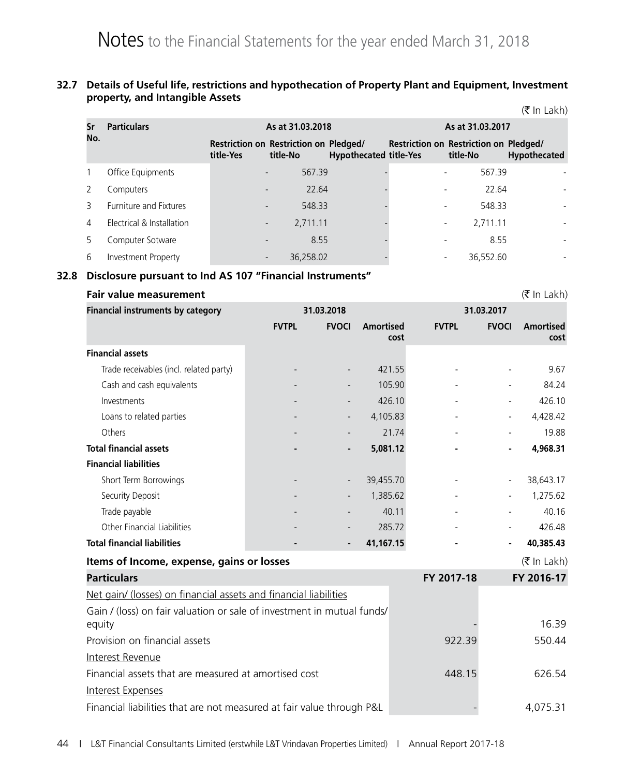#### **32.7 Details of Useful life, restrictions and hypothecation of Property Plant and Equipment, Investment property, and Intangible Assets**  $(\mathcal{F} \ln | \Delta h)$

|     |                           |                  |                                                    |                               |                  |                                                    | (\ III LANII)            |
|-----|---------------------------|------------------|----------------------------------------------------|-------------------------------|------------------|----------------------------------------------------|--------------------------|
| Sr  | <b>Particulars</b>        | As at 31.03.2018 |                                                    |                               | As at 31.03.2017 |                                                    |                          |
| No. |                           | title-Yes        | Restriction on Restriction on Pledged/<br>title-No | <b>Hypothecated title-Yes</b> |                  | Restriction on Restriction on Pledged/<br>title-No | Hypothecated             |
|     | Office Equipments         |                  | 567.39<br>$\overline{\phantom{a}}$                 |                               |                  | 567.39                                             |                          |
|     | Computers                 |                  | 22.64<br>$\overline{\phantom{a}}$                  |                               |                  | 22.64                                              |                          |
| 3   | Furniture and Fixtures    |                  | 548.33<br>$\overline{\phantom{a}}$                 |                               |                  | 548.33                                             |                          |
| 4   | Electrical & Installation |                  | 2,711.11<br>$\overline{\phantom{a}}$               |                               |                  | 2,711.11                                           |                          |
| 5.  | Computer Sotware          |                  | 8.55<br>$\overline{\phantom{0}}$                   |                               |                  | 8.55                                               |                          |
| 6   | Investment Property       |                  | 36,258.02<br>$\overline{\phantom{a}}$              |                               |                  | 36,552.60                                          | $\overline{\phantom{a}}$ |

### **32.8 Disclosure pursuant to Ind AS 107 "Financial Instruments"**

| <b>Fair value measurement</b>                                                    |              |                          |                          |              |              | $(\bar{\bar{\mathbf{z}}}$ In Lakh) |  |
|----------------------------------------------------------------------------------|--------------|--------------------------|--------------------------|--------------|--------------|------------------------------------|--|
| <b>Financial instruments by category</b>                                         |              | 31.03.2018               |                          | 31.03.2017   |              |                                    |  |
|                                                                                  | <b>FVTPL</b> | <b>FVOCI</b>             | <b>Amortised</b><br>cost | <b>FVTPL</b> | <b>FVOCI</b> | <b>Amortised</b><br>cost           |  |
| <b>Financial assets</b>                                                          |              |                          |                          |              |              |                                    |  |
| Trade receivables (incl. related party)                                          |              |                          | 421.55                   |              |              | 9.67                               |  |
| Cash and cash equivalents                                                        |              |                          | 105.90                   |              |              | 84.24                              |  |
| Investments                                                                      |              |                          | 426.10                   |              |              | 426.10                             |  |
| Loans to related parties                                                         |              | $\overline{\phantom{a}}$ | 4,105.83                 |              |              | 4,428.42                           |  |
| Others                                                                           |              |                          | 21.74                    |              |              | 19.88                              |  |
| <b>Total financial assets</b>                                                    |              |                          | 5,081.12                 |              |              | 4,968.31                           |  |
| <b>Financial liabilities</b>                                                     |              |                          |                          |              |              |                                    |  |
| Short Term Borrowings                                                            |              |                          | 39,455.70                |              |              | 38,643.17                          |  |
| Security Deposit                                                                 |              |                          | 1,385.62                 |              |              | 1,275.62                           |  |
| Trade payable                                                                    |              |                          | 40.11                    |              |              | 40.16                              |  |
| Other Financial Liabilities                                                      |              |                          | 285.72                   |              |              | 426.48                             |  |
| <b>Total financial liabilities</b>                                               |              |                          | 41,167.15                |              |              | 40,385.43                          |  |
| Items of Income, expense, gains or losses                                        |              |                          |                          |              |              | $($ ₹ In Lakh)                     |  |
| <b>Particulars</b>                                                               |              |                          |                          | FY 2017-18   |              | FY 2016-17                         |  |
| Net gain/ (losses) on financial assets and financial liabilities                 |              |                          |                          |              |              |                                    |  |
| Gain / (loss) on fair valuation or sale of investment in mutual funds/<br>equity |              |                          |                          |              |              | 16.39                              |  |
| Provision on financial assets                                                    |              |                          |                          | 922.39       |              | 550.44                             |  |
| Interest Revenue                                                                 |              |                          |                          |              |              |                                    |  |
| Financial assets that are measured at amortised cost                             |              |                          |                          | 448.15       |              | 626.54                             |  |
| Interest Expenses                                                                |              |                          |                          |              |              |                                    |  |
| Financial liabilities that are not measured at fair value through P&L            |              |                          |                          |              |              | 4,075.31                           |  |
|                                                                                  |              |                          |                          |              |              |                                    |  |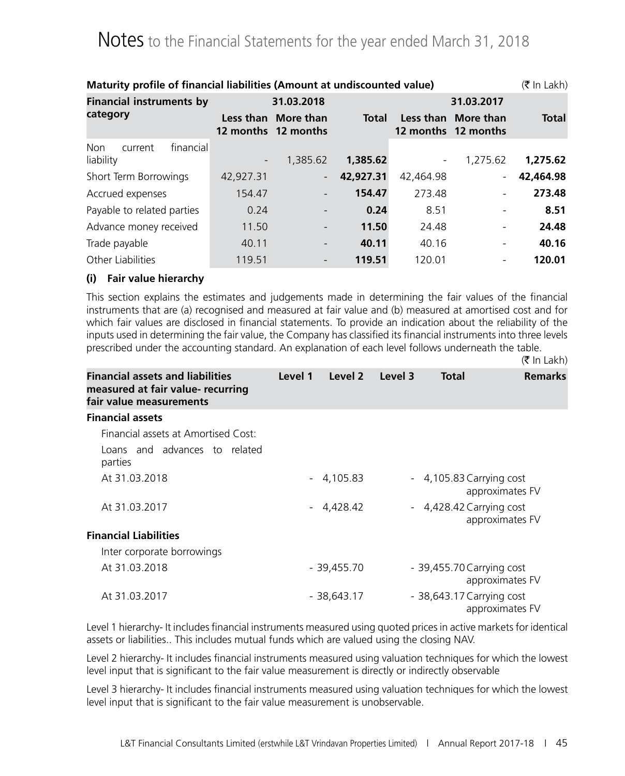| Maturity profile of financial liabilities (Amount at undiscounted value)<br>$(5 \text{ In Lakh})$ |            |                                            |              |                              |                                            |              |  |  |
|---------------------------------------------------------------------------------------------------|------------|--------------------------------------------|--------------|------------------------------|--------------------------------------------|--------------|--|--|
| <b>Financial instruments by</b>                                                                   | 31.03.2018 |                                            |              | 31.03.2017                   |                                            |              |  |  |
| category                                                                                          |            | Less than More than<br>12 months 12 months | <b>Total</b> |                              | Less than More than<br>12 months 12 months | <b>Total</b> |  |  |
| financial<br><b>Non</b><br>current                                                                |            |                                            |              |                              |                                            |              |  |  |
| liability                                                                                         |            | 1,385.62                                   | 1,385.62     | $\qquad \qquad \blacksquare$ | 1,275.62                                   | 1,275.62     |  |  |
| Short Term Borrowings                                                                             | 42,927.31  | $\blacksquare$                             | 42,927.31    | 42,464.98                    |                                            | 42,464.98    |  |  |
| Accrued expenses                                                                                  | 154.47     |                                            | 154.47       | 273.48                       |                                            | 273.48       |  |  |
| Payable to related parties                                                                        | 0.24       |                                            | 0.24         | 8.51                         |                                            | 8.51         |  |  |
| Advance money received                                                                            | 11.50      |                                            | 11.50        | 24.48                        |                                            | 24.48        |  |  |
| Trade payable                                                                                     | 40.11      | $\overline{\phantom{0}}$                   | 40.11        | 40.16                        |                                            | 40.16        |  |  |
| Other Liabilities                                                                                 | 119.51     |                                            | 119.51       | 120.01                       |                                            | 120.01       |  |  |

### **(i) Fair value hierarchy**

This section explains the estimates and judgements made in determining the fair values of the financial instruments that are (a) recognised and measured at fair value and (b) measured at amortised cost and for which fair values are disclosed in financial statements. To provide an indication about the reliability of the inputs used in determining the fair value, the Company has classified its financial instruments into three levels prescribed under the accounting standard. An explanation of each level follows underneath the table.

|                                                                                                         |         |             |         |                           | $(\bar{\bar{\mathbf{x}}}$ In Lakh) |
|---------------------------------------------------------------------------------------------------------|---------|-------------|---------|---------------------------|------------------------------------|
| <b>Financial assets and liabilities</b><br>measured at fair value- recurring<br>fair value measurements | Level 1 | Level 2     | Level 3 | Total                     | <b>Remarks</b>                     |
| <b>Financial assets</b>                                                                                 |         |             |         |                           |                                    |
| Financial assets at Amortised Cost:                                                                     |         |             |         |                           |                                    |
| Loans and advances to related<br>parties                                                                |         |             |         |                           |                                    |
| At 31.03.2018                                                                                           |         | $-4,105.83$ |         | - 4,105.83 Carrying cost  | approximates FV                    |
| At 31.03.2017                                                                                           |         | $-4,428.42$ |         | - 4,428.42 Carrying cost  | approximates FV                    |
| <b>Financial Liabilities</b>                                                                            |         |             |         |                           |                                    |
| Inter corporate borrowings                                                                              |         |             |         |                           |                                    |
| At 31.03.2018                                                                                           |         | - 39,455.70 |         | - 39,455.70 Carrying cost | approximates FV                    |
| At 31.03.2017                                                                                           |         | - 38,643.17 |         | - 38,643.17 Carrying cost | approximates FV                    |

Level 1 hierarchy- It includes financial instruments measured using quoted prices in active markets for identical assets or liabilities.. This includes mutual funds which are valued using the closing NAV.

Level 2 hierarchy- It includes financial instruments measured using valuation techniques for which the lowest level input that is significant to the fair value measurement is directly or indirectly observable

Level 3 hierarchy- It includes financial instruments measured using valuation techniques for which the lowest level input that is significant to the fair value measurement is unobservable.